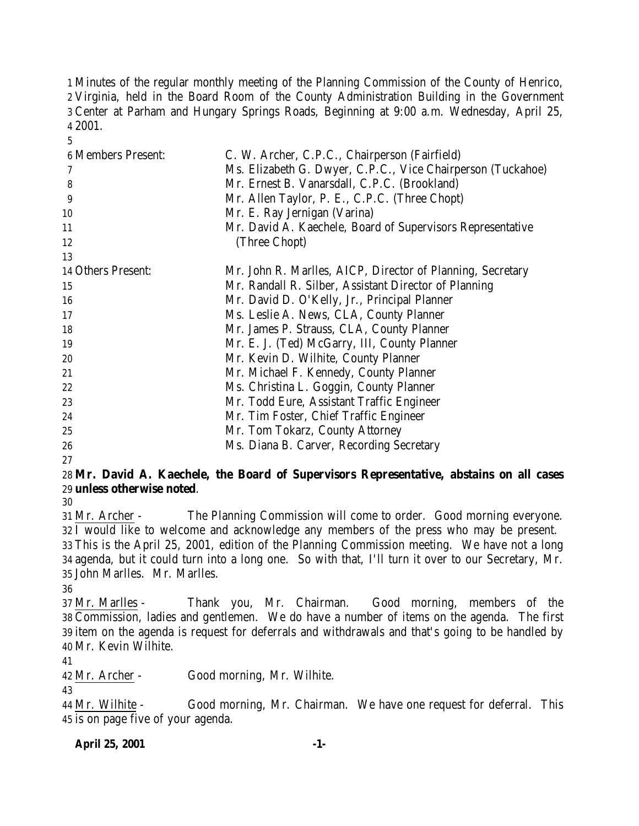Minutes of the regular monthly meeting of the Planning Commission of the County of Henrico, Virginia, held in the Board Room of the County Administration Building in the Government Center at Parham and Hungary Springs Roads, Beginning at 9:00 a.m. Wednesday, April 25, 2001.

| <b>6 Members Present:</b> | C. W. Archer, C.P.C., Chairperson (Fairfield)               |
|---------------------------|-------------------------------------------------------------|
|                           | Ms. Elizabeth G. Dwyer, C.P.C., Vice Chairperson (Tuckahoe) |
| 8                         | Mr. Ernest B. Vanarsdall, C.P.C. (Brookland)                |
| 9                         | Mr. Allen Taylor, P. E., C.P.C. (Three Chopt)               |
| 10                        | Mr. E. Ray Jernigan (Varina)                                |
| 11                        | Mr. David A. Kaechele, Board of Supervisors Representative  |
| 12                        | (Three Chopt)                                               |
| 13                        |                                                             |
| 14 Others Present:        | Mr. John R. Marlles, AICP, Director of Planning, Secretary  |
| 15                        | Mr. Randall R. Silber, Assistant Director of Planning       |
| 16                        | Mr. David D. O'Kelly, Jr., Principal Planner                |
| 17                        | Ms. Leslie A. News, CLA, County Planner                     |
| 18                        | Mr. James P. Strauss, CLA, County Planner                   |
| 19                        | Mr. E. J. (Ted) McGarry, III, County Planner                |
| 20                        | Mr. Kevin D. Wilhite, County Planner                        |
| 21                        | Mr. Michael F. Kennedy, County Planner                      |
| 22                        | Ms. Christina L. Goggin, County Planner                     |
| 23                        | Mr. Todd Eure, Assistant Traffic Engineer                   |
| 24                        | Mr. Tim Foster, Chief Traffic Engineer                      |
| 25                        | Mr. Tom Tokarz, County Attorney                             |
| 26                        | Ms. Diana B. Carver, Recording Secretary                    |

### **Mr. David A. Kaechele, the Board of Supervisors Representative, abstains on all cases unless otherwise noted**.

 Mr. Archer - The Planning Commission will come to order. Good morning everyone. I would like to welcome and acknowledge any members of the press who may be present. This is the April 25, 2001, edition of the Planning Commission meeting. We have not a long

 agenda, but it could turn into a long one. So with that, I'll turn it over to our Secretary, Mr. John Marlles. Mr. Marlles.

 Mr. Marlles - Thank you, Mr. Chairman. Good morning, members of the Commission, ladies and gentlemen. We do have a number of items on the agenda. The first item on the agenda is request for deferrals and withdrawals and that's going to be handled by Mr. Kevin Wilhite.

Mr. Archer - Good morning, Mr. Wilhite.

 Mr. Wilhite - Good morning, Mr. Chairman. We have one request for deferral. This is on page five of your agenda.

**April 25, 2001 -1-**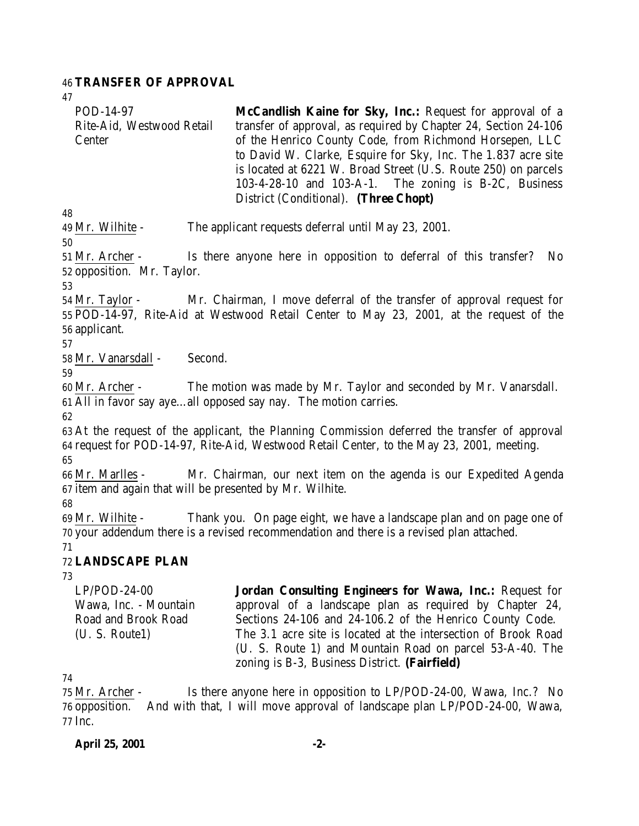#### **TRANSFER OF APPROVAL**

| POD-14-97                 | McCandlish Kaine for Sky, Inc.: Request for approval of a       |
|---------------------------|-----------------------------------------------------------------|
| Rite-Aid, Westwood Retail | transfer of approval, as required by Chapter 24, Section 24-106 |
| Center                    | of the Henrico County Code, from Richmond Horsepen, LLC         |
|                           | to David W. Clarke, Esquire for Sky, Inc. The 1.837 acre site   |
|                           | is located at 6221 W. Broad Street (U.S. Route 250) on parcels  |
|                           | $103-4-28-10$ and $103-A-1$ . The zoning is B-2C, Business      |
|                           | District (Conditional). (Three Chopt)                           |

Mr. Wilhite - The applicant requests deferral until May 23, 2001.

 Mr. Archer - Is there anyone here in opposition to deferral of this transfer? No opposition. Mr. Taylor.

 Mr. Taylor - Mr. Chairman, I move deferral of the transfer of approval request for POD-14-97, Rite-Aid at Westwood Retail Center to May 23, 2001, at the request of the applicant.

Mr. Vanarsdall - Second.

 Mr. Archer - The motion was made by Mr. Taylor and seconded by Mr. Vanarsdall. All in favor say aye…all opposed say nay. The motion carries.

 At the request of the applicant, the Planning Commission deferred the transfer of approval request for POD-14-97, Rite-Aid, Westwood Retail Center, to the May 23, 2001, meeting.

 Mr. Marlles - Mr. Chairman, our next item on the agenda is our Expedited Agenda item and again that will be presented by Mr. Wilhite.

 Mr. Wilhite - Thank you. On page eight, we have a landscape plan and on page one of your addendum there is a revised recommendation and there is a revised plan attached. 

### **LANDSCAPE PLAN**

| $LP/POD-24-00$        | Jordan Consulting Engineers for Wawa, Inc.: Request for        |
|-----------------------|----------------------------------------------------------------|
| Wawa, Inc. - Mountain | approval of a landscape plan as required by Chapter 24,        |
| Road and Brook Road   | Sections 24-106 and 24-106.2 of the Henrico County Code.       |
| (U. S. Route1)        | The 3.1 acre site is located at the intersection of Brook Road |
|                       | (U. S. Route 1) and Mountain Road on parcel 53-A-40. The       |
|                       | zoning is $B-3$ , Business District. ( <b>Fairfield</b> )      |

 Mr. Archer - Is there anyone here in opposition to LP/POD-24-00, Wawa, Inc.? No opposition. And with that, I will move approval of landscape plan LP/POD-24-00, Wawa, Inc.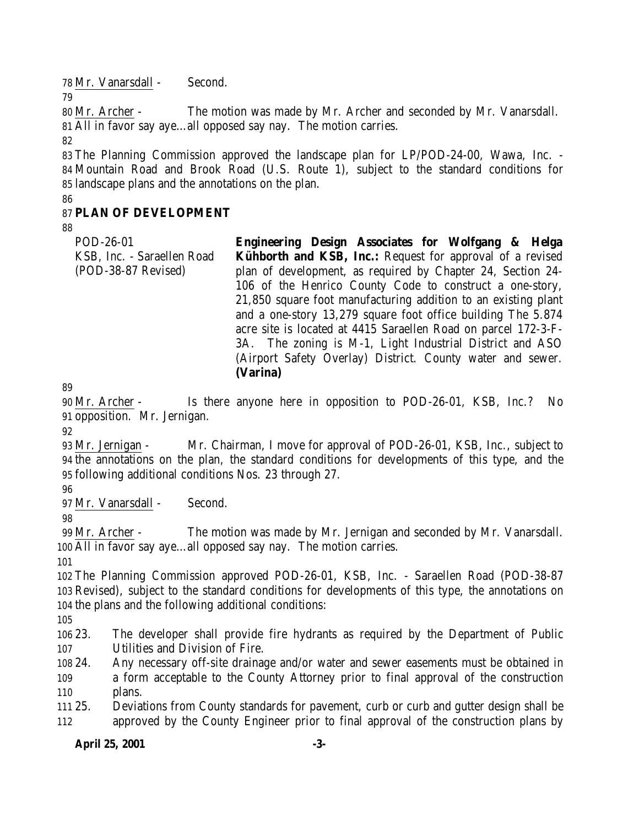Mr. Vanarsdall - Second.

 Mr. Archer - The motion was made by Mr. Archer and seconded by Mr. Vanarsdall. All in favor say aye…all opposed say nay. The motion carries.

 The Planning Commission approved the landscape plan for LP/POD-24-00, Wawa, Inc. - Mountain Road and Brook Road (U.S. Route 1), subject to the standard conditions for landscape plans and the annotations on the plan.

# **PLAN OF DEVELOPMENT**

| POD-26-01                  | Engineering Design Associates for Wolfgang & Helga             |
|----------------------------|----------------------------------------------------------------|
| KSB, Inc. - Saraellen Road | Kühborth and KSB, Inc.: Request for approval of a revised      |
| (POD-38-87 Revised)        | plan of development, as required by Chapter 24, Section 24-    |
|                            | 106 of the Henrico County Code to construct a one-story,       |
|                            | 21,850 square foot manufacturing addition to an existing plant |
|                            | and a one-story 13,279 square foot office building The 5.874   |
|                            | acre site is located at 4415 Saraellen Road on parcel 172-3-F- |
|                            | 3A. The zoning is M-1, Light Industrial District and ASO       |
|                            | (Airport Safety Overlay) District. County water and sewer.     |
|                            | (Varina)                                                       |

 Mr. Archer - Is there anyone here in opposition to POD-26-01, KSB, Inc.? No opposition. Mr. Jernigan.

 Mr. Jernigan - Mr. Chairman, I move for approval of POD-26-01, KSB, Inc., subject to the annotations on the plan, the standard conditions for developments of this type, and the following additional conditions Nos. 23 through 27.

Mr. Vanarsdall - Second.

 Mr. Archer - The motion was made by Mr. Jernigan and seconded by Mr. Vanarsdall. All in favor say aye…all opposed say nay. The motion carries.

 The Planning Commission approved POD-26-01, KSB, Inc. - Saraellen Road (POD-38-87 Revised), subject to the standard conditions for developments of this type, the annotations on the plans and the following additional conditions:

 23. The developer shall provide fire hydrants as required by the Department of Public Utilities and Division of Fire.

 24. Any necessary off-site drainage and/or water and sewer easements must be obtained in a form acceptable to the County Attorney prior to final approval of the construction plans.

 25. Deviations from County standards for pavement, curb or curb and gutter design shall be approved by the County Engineer prior to final approval of the construction plans by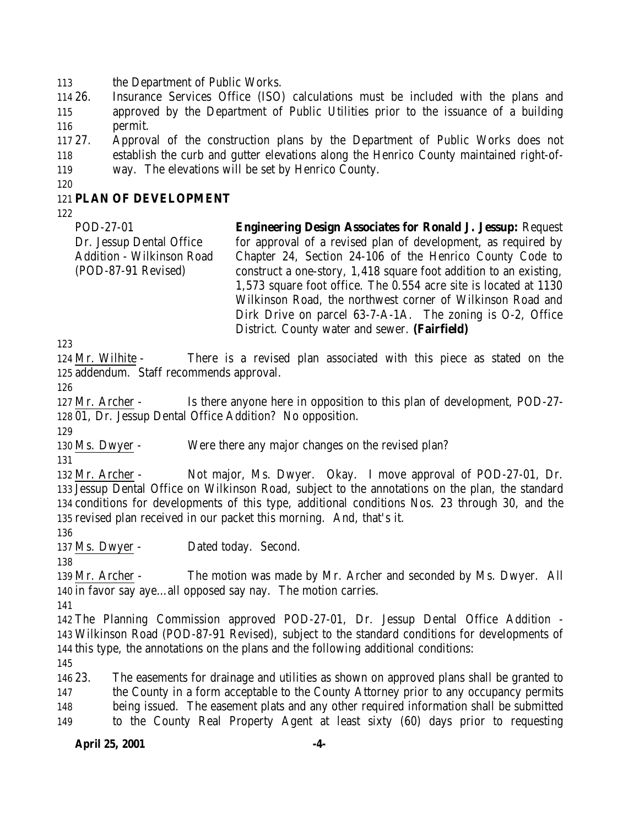the Department of Public Works.

 26. Insurance Services Office (ISO) calculations must be included with the plans and approved by the Department of Public Utilities prior to the issuance of a building permit.

- 27. Approval of the construction plans by the Department of Public Works does not establish the curb and gutter elevations along the Henrico County maintained right-of-way. The elevations will be set by Henrico County.
- 

### **PLAN OF DEVELOPMENT**

POD-27-01 Dr. Jessup Dental Office Addition - Wilkinson Road (POD-87-91 Revised) **Engineering Design Associates for Ronald J. Jessup:** Request for approval of a revised plan of development, as required by Chapter 24, Section 24-106 of the Henrico County Code to construct a one-story, 1,418 square foot addition to an existing, 1,573 square foot office. The 0.554 acre site is located at 1130 Wilkinson Road, the northwest corner of Wilkinson Road and Dirk Drive on parcel 63-7-A-1A. The zoning is O-2, Office District. County water and sewer. **(Fairfield)**

 Mr. Wilhite - There is a revised plan associated with this piece as stated on the addendum. Staff recommends approval.

 Mr. Archer - Is there anyone here in opposition to this plan of development, POD-27- 01, Dr. Jessup Dental Office Addition? No opposition.

Ms. Dwyer - Were there any major changes on the revised plan?

 Mr. Archer - Not major, Ms. Dwyer. Okay. I move approval of POD-27-01, Dr. Jessup Dental Office on Wilkinson Road, subject to the annotations on the plan, the standard conditions for developments of this type, additional conditions Nos. 23 through 30, and the revised plan received in our packet this morning. And, that's it.

Ms. Dwyer - Dated today. Second.

 Mr. Archer - The motion was made by Mr. Archer and seconded by Ms. Dwyer. All in favor say aye…all opposed say nay. The motion carries.

 The Planning Commission approved POD-27-01, Dr. Jessup Dental Office Addition - Wilkinson Road (POD-87-91 Revised), subject to the standard conditions for developments of this type, the annotations on the plans and the following additional conditions:

 23. The easements for drainage and utilities as shown on approved plans shall be granted to 147 the County in a form acceptable to the County Attorney prior to any occupancy permits being issued. The easement plats and any other required information shall be submitted to the County Real Property Agent at least sixty (60) days prior to requesting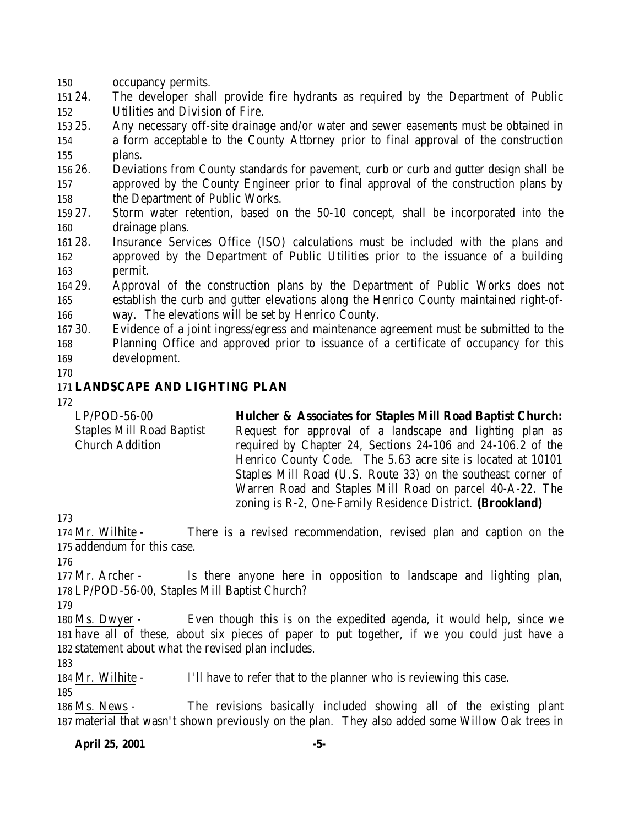occupancy permits.

 24. The developer shall provide fire hydrants as required by the Department of Public Utilities and Division of Fire.

 25. Any necessary off-site drainage and/or water and sewer easements must be obtained in a form acceptable to the County Attorney prior to final approval of the construction plans.

 26. Deviations from County standards for pavement, curb or curb and gutter design shall be approved by the County Engineer prior to final approval of the construction plans by the Department of Public Works.

 27. Storm water retention, based on the 50-10 concept, shall be incorporated into the drainage plans.

 28. Insurance Services Office (ISO) calculations must be included with the plans and approved by the Department of Public Utilities prior to the issuance of a building permit.

 29. Approval of the construction plans by the Department of Public Works does not establish the curb and gutter elevations along the Henrico County maintained right-of-way. The elevations will be set by Henrico County.

 30. Evidence of a joint ingress/egress and maintenance agreement must be submitted to the Planning Office and approved prior to issuance of a certificate of occupancy for this development.

# **LANDSCAPE AND LIGHTING PLAN**

LP/POD-56-00 Staples Mill Road Baptist Church Addition **Hulcher & Associates for Staples Mill Road Baptist Church:** Request for approval of a landscape and lighting plan as required by Chapter 24, Sections 24-106 and 24-106.2 of the Henrico County Code. The 5.63 acre site is located at 10101 Staples Mill Road (U.S. Route 33) on the southeast corner of Warren Road and Staples Mill Road on parcel 40-A-22. The

zoning is R-2, One-Family Residence District. **(Brookland)**

 Mr. Wilhite - There is a revised recommendation, revised plan and caption on the addendum for this case.

 Mr. Archer - Is there anyone here in opposition to landscape and lighting plan, LP/POD-56-00, Staples Mill Baptist Church?

 Ms. Dwyer - Even though this is on the expedited agenda, it would help, since we have all of these, about six pieces of paper to put together, if we you could just have a statement about what the revised plan includes.

Mr. Wilhite - I'll have to refer that to the planner who is reviewing this case.

 Ms. News - The revisions basically included showing all of the existing plant material that wasn't shown previously on the plan. They also added some Willow Oak trees in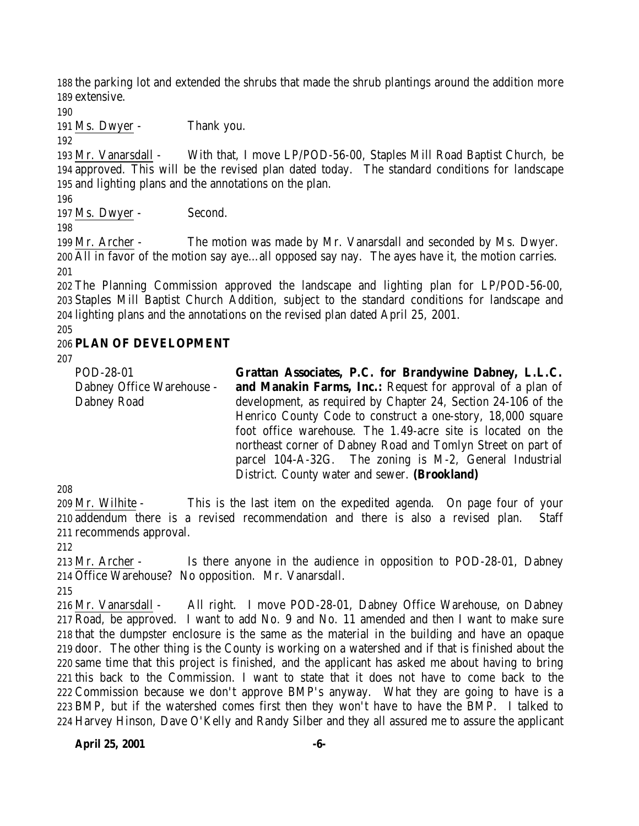the parking lot and extended the shrubs that made the shrub plantings around the addition more extensive.

Ms. Dwyer - Thank you.

 Mr. Vanarsdall - With that, I move LP/POD-56-00, Staples Mill Road Baptist Church, be approved. This will be the revised plan dated today. The standard conditions for landscape and lighting plans and the annotations on the plan.

197 Ms. Dwyer - Second.

 Mr. Archer - The motion was made by Mr. Vanarsdall and seconded by Ms. Dwyer. All in favor of the motion say aye…all opposed say nay. The ayes have it, the motion carries. 

 The Planning Commission approved the landscape and lighting plan for LP/POD-56-00, Staples Mill Baptist Church Addition, subject to the standard conditions for landscape and lighting plans and the annotations on the revised plan dated April 25, 2001.

### **PLAN OF DEVELOPMENT**

| POD-28-01                 | Grattan Associates, P.C. for Brandywine Dabney, L.L.C.            |
|---------------------------|-------------------------------------------------------------------|
| Dabney Office Warehouse - | <b>and Manakin Farms, Inc.:</b> Request for approval of a plan of |
| Dabney Road               | development, as required by Chapter 24, Section 24-106 of the     |
|                           | Henrico County Code to construct a one-story, 18,000 square       |
|                           | foot office warehouse. The 1.49-acre site is located on the       |
|                           | northeast corner of Dabney Road and Tomlyn Street on part of      |
|                           | parcel 104-A-32G. The zoning is M-2, General Industrial           |
|                           | District. County water and sewer. (Brookland)                     |

 Mr. Wilhite - This is the last item on the expedited agenda. On page four of your addendum there is a revised recommendation and there is also a revised plan. Staff recommends approval.

 Mr. Archer - Is there anyone in the audience in opposition to POD-28-01, Dabney Office Warehouse? No opposition. Mr. Vanarsdall.

 Mr. Vanarsdall - All right. I move POD-28-01, Dabney Office Warehouse, on Dabney Road, be approved. I want to add No. 9 and No. 11 amended and then I want to make sure that the dumpster enclosure is the same as the material in the building and have an opaque door. The other thing is the County is working on a watershed and if that is finished about the same time that this project is finished, and the applicant has asked me about having to bring this back to the Commission. I want to state that it does not have to come back to the Commission because we don't approve BMP's anyway. What they are going to have is a BMP, but if the watershed comes first then they won't have to have the BMP. I talked to Harvey Hinson, Dave O'Kelly and Randy Silber and they all assured me to assure the applicant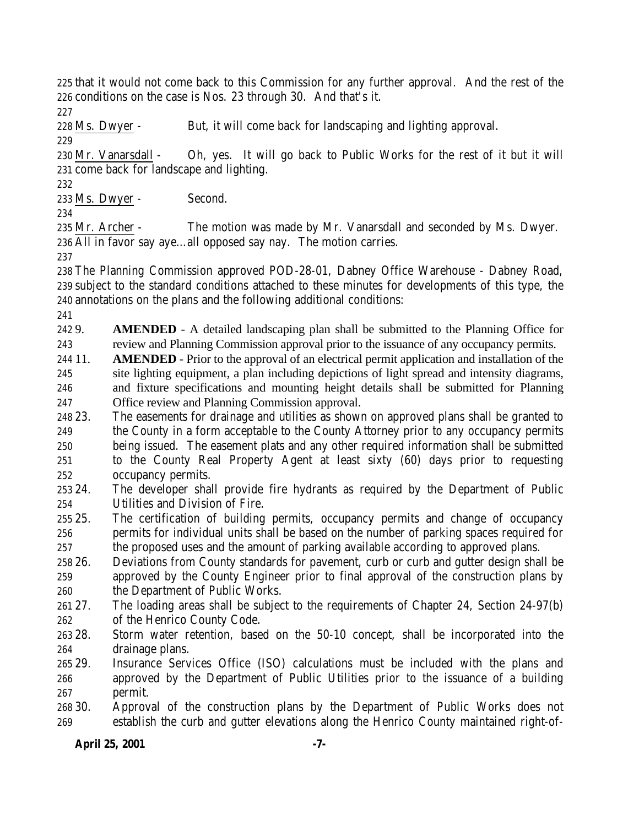that it would not come back to this Commission for any further approval. And the rest of the conditions on the case is Nos. 23 through 30. And that's it.

228 Ms. Dwyer - But, it will come back for landscaping and lighting approval.

 Mr. Vanarsdall - Oh, yes. It will go back to Public Works for the rest of it but it will come back for landscape and lighting.

Ms. Dwyer - Second.

 Mr. Archer - The motion was made by Mr. Vanarsdall and seconded by Ms. Dwyer. All in favor say aye…all opposed say nay. The motion carries.

 The Planning Commission approved POD-28-01, Dabney Office Warehouse - Dabney Road, subject to the standard conditions attached to these minutes for developments of this type, the annotations on the plans and the following additional conditions:

 9. **AMENDED** - A detailed landscaping plan shall be submitted to the Planning Office for review and Planning Commission approval prior to the issuance of any occupancy permits.

 11. **AMENDED** - Prior to the approval of an electrical permit application and installation of the site lighting equipment, a plan including depictions of light spread and intensity diagrams, and fixture specifications and mounting height details shall be submitted for Planning Office review and Planning Commission approval.

 23. The easements for drainage and utilities as shown on approved plans shall be granted to the County in a form acceptable to the County Attorney prior to any occupancy permits being issued. The easement plats and any other required information shall be submitted to the County Real Property Agent at least sixty (60) days prior to requesting occupancy permits.

 24. The developer shall provide fire hydrants as required by the Department of Public Utilities and Division of Fire.

 25. The certification of building permits, occupancy permits and change of occupancy permits for individual units shall be based on the number of parking spaces required for the proposed uses and the amount of parking available according to approved plans.

 26. Deviations from County standards for pavement, curb or curb and gutter design shall be approved by the County Engineer prior to final approval of the construction plans by the Department of Public Works.

 27. The loading areas shall be subject to the requirements of Chapter 24, Section 24-97(b) of the Henrico County Code.

 28. Storm water retention, based on the 50-10 concept, shall be incorporated into the drainage plans.

 29. Insurance Services Office (ISO) calculations must be included with the plans and approved by the Department of Public Utilities prior to the issuance of a building permit.

 30. Approval of the construction plans by the Department of Public Works does not establish the curb and gutter elevations along the Henrico County maintained right-of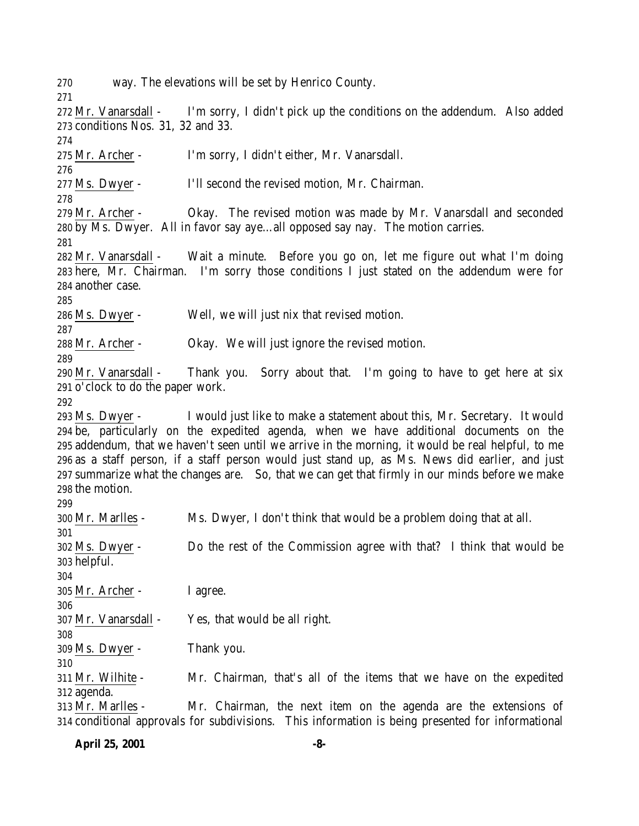way. The elevations will be set by Henrico County.

 Mr. Vanarsdall - I'm sorry, I didn't pick up the conditions on the addendum. Also added conditions Nos. 31, 32 and 33.

Mr. Archer - I'm sorry, I didn't either, Mr. Vanarsdall.

Ms. Dwyer - I'll second the revised motion, Mr. Chairman.

 Mr. Archer - Okay. The revised motion was made by Mr. Vanarsdall and seconded by Ms. Dwyer. All in favor say aye…all opposed say nay. The motion carries.

 Mr. Vanarsdall - Wait a minute. Before you go on, let me figure out what I'm doing here, Mr. Chairman. I'm sorry those conditions I just stated on the addendum were for another case.

Ms. Dwyer - Well, we will just nix that revised motion.

Mr. Archer - Okay. We will just ignore the revised motion.

 Mr. Vanarsdall - Thank you. Sorry about that. I'm going to have to get here at six o'clock to do the paper work.

 Ms. Dwyer - I would just like to make a statement about this, Mr. Secretary. It would be, particularly on the expedited agenda, when we have additional documents on the addendum, that we haven't seen until we arrive in the morning, it would be real helpful, to me as a staff person, if a staff person would just stand up, as Ms. News did earlier, and just summarize what the changes are. So, that we can get that firmly in our minds before we make the motion.

| 299                  |                                                                                                   |
|----------------------|---------------------------------------------------------------------------------------------------|
| 300 Mr. Marlles -    | Ms. Dwyer, I don't think that would be a problem doing that at all.                               |
| 301                  |                                                                                                   |
| 302 Ms. Dwyer -      | Do the rest of the Commission agree with that? I think that would be                              |
| 303 helpful.         |                                                                                                   |
| 304                  |                                                                                                   |
| 305 Mr. Archer -     | I agree.                                                                                          |
| 306                  |                                                                                                   |
| 307 Mr. Vanarsdall - | Yes, that would be all right.                                                                     |
| 308                  |                                                                                                   |
| 309 Ms. Dwyer -      | Thank you.                                                                                        |
| 310                  |                                                                                                   |
| 311 Mr. Wilhite -    | Mr. Chairman, that's all of the items that we have on the expedited                               |
| 312 agenda.          |                                                                                                   |
| 313 Mr. Marlles -    | Mr. Chairman, the next item on the agenda are the extensions of                                   |
|                      | 314 conditional approvals for subdivisions. This information is being presented for informational |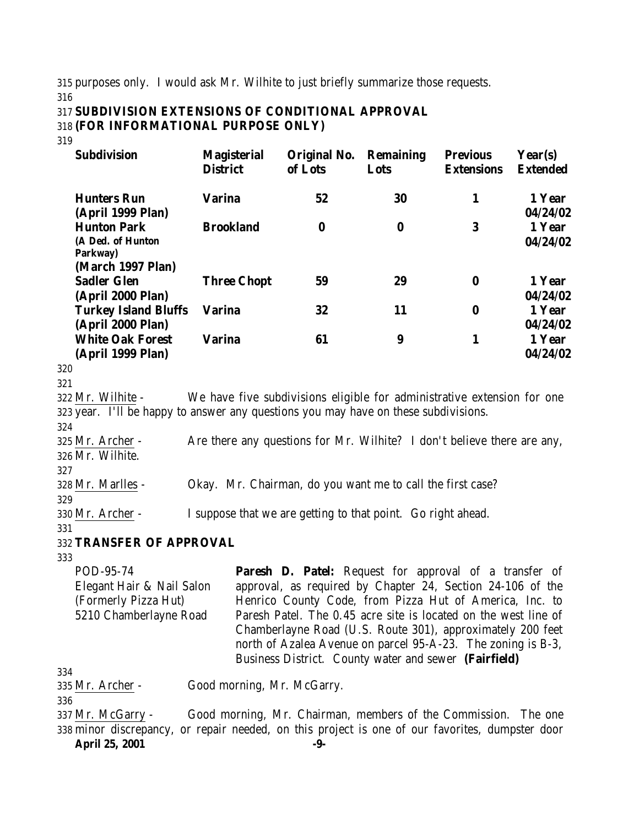315 purposes only. I would ask Mr. Wilhite to just briefly summarize those requests. 316

#### 317 **SUBDIVISION EXTENSIONS OF CONDITIONAL APPROVAL** 318 **(FOR INFORMATIONAL PURPOSE ONLY)**

319

| <b>Subdivision</b>                                                                                       | <b>Magisterial</b><br><b>District</b>                                   | Original No.<br>of Lots | <b>Remaining</b><br>Lots | <b>Previous</b><br><b>Extensions</b> | Year(s)<br><b>Extended</b>     |
|----------------------------------------------------------------------------------------------------------|-------------------------------------------------------------------------|-------------------------|--------------------------|--------------------------------------|--------------------------------|
| <b>Hunters Run</b>                                                                                       | <b>Varina</b>                                                           | 52                      | 30                       | 1                                    | 1 Year                         |
| (April 1999 Plan)<br><b>Hunton Park</b><br>(A Ded. of Hunton<br>Parkway)                                 | <b>Brookland</b>                                                        | $\bf{0}$                | $\bf{0}$                 | 3                                    | 04/24/02<br>1 Year<br>04/24/02 |
| (March 1997 Plan)<br><b>Sadler Glen</b><br>(April 2000 Plan)                                             | <b>Three Chopt</b>                                                      | 59                      | 29                       | $\bf{0}$                             | 1 Year<br>04/24/02             |
| <b>Turkey Island Bluffs</b><br>(April 2000 Plan)                                                         | <b>Varina</b>                                                           | 32                      | 11                       | $\bf{0}$                             | 1 Year<br>04/24/02             |
| <b>White Oak Forest</b><br>(April 1999 Plan)                                                             | Varina                                                                  | 61                      | 9                        | 1                                    | 1 Year<br>04/24/02             |
| 320<br>321                                                                                               |                                                                         |                         |                          |                                      |                                |
| 322 Mr. Wilhite -<br>323 year. I'll be happy to answer any questions you may have on these subdivisions. | We have five subdivisions eligible for administrative extension for one |                         |                          |                                      |                                |

323 year. I'll be happy to answer any questions you may have on these subdivisions. 324

325 Mr. Archer - Are there any questions for Mr. Wilhite? I don't believe there are any, 326 Mr. Wilhite.

327

328 Mr. Marlles - Okay. Mr. Chairman, do you want me to call the first case?

329

330 Mr. Archer - I suppose that we are getting to that point. Go right ahead.

331

332 **TRANSFER OF APPROVAL**

333

POD-95-74 Elegant Hair & Nail Salon (Formerly Pizza Hut) 5210 Chamberlayne Road Paresh D. Patel: Request for approval of a transfer of approval, as required by Chapter 24, Section 24-106 of the Henrico County Code, from Pizza Hut of America, Inc. to Paresh Patel. The 0.45 acre site is located on the west line of Chamberlayne Road (U.S. Route 301), approximately 200 feet north of Azalea Avenue on parcel 95-A-23. The zoning is B-3, Business District. County water and sewer **(Fairfield)**

334

335 Mr. Archer - Good morning, Mr. McGarry.

336

**April 25, 2001 -9-** 337 Mr. McGarry - Good morning, Mr. Chairman, members of the Commission. The one 338 minor discrepancy, or repair needed, on this project is one of our favorites, dumpster door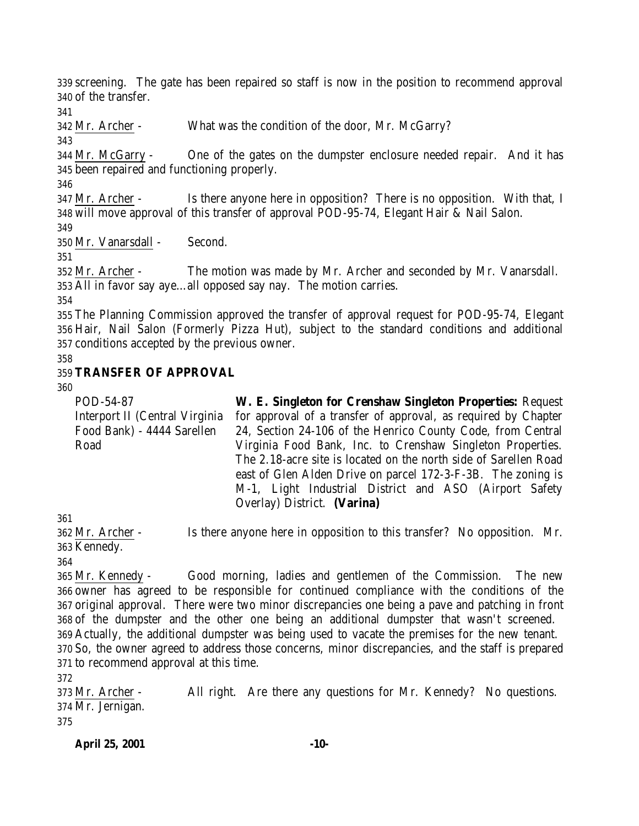screening. The gate has been repaired so staff is now in the position to recommend approval of the transfer.

Mr. Archer - What was the condition of the door, Mr. McGarry?

 Mr. McGarry - One of the gates on the dumpster enclosure needed repair. And it has been repaired and functioning properly.

 Mr. Archer - Is there anyone here in opposition? There is no opposition. With that, I will move approval of this transfer of approval POD-95-74, Elegant Hair & Nail Salon.

Mr. Vanarsdall - Second.

 Mr. Archer - The motion was made by Mr. Archer and seconded by Mr. Vanarsdall. All in favor say aye…all opposed say nay. The motion carries.

 The Planning Commission approved the transfer of approval request for POD-95-74, Elegant Hair, Nail Salon (Formerly Pizza Hut), subject to the standard conditions and additional conditions accepted by the previous owner.

## **TRANSFER OF APPROVAL**

POD-54-87 Interport II (Central Virginia Food Bank) - 4444 Sarellen Road **W. E. Singleton for Crenshaw Singleton Properties:** Request for approval of a transfer of approval, as required by Chapter 24, Section 24-106 of the Henrico County Code, from Central Virginia Food Bank, Inc. to Crenshaw Singleton Properties. The 2.18-acre site is located on the north side of Sarellen Road east of Glen Alden Drive on parcel 172-3-F-3B. The zoning is M-1, Light Industrial District and ASO (Airport Safety Overlay) District. **(Varina)**

 Mr. Archer - Is there anyone here in opposition to this transfer? No opposition. Mr. Kennedy.

 Mr. Kennedy - Good morning, ladies and gentlemen of the Commission. The new owner has agreed to be responsible for continued compliance with the conditions of the original approval. There were two minor discrepancies one being a pave and patching in front of the dumpster and the other one being an additional dumpster that wasn't screened. Actually, the additional dumpster was being used to vacate the premises for the new tenant. So, the owner agreed to address those concerns, minor discrepancies, and the staff is prepared to recommend approval at this time.

 Mr. Archer - All right. Are there any questions for Mr. Kennedy? No questions. Mr. Jernigan. 

**April 25, 2001 -10-**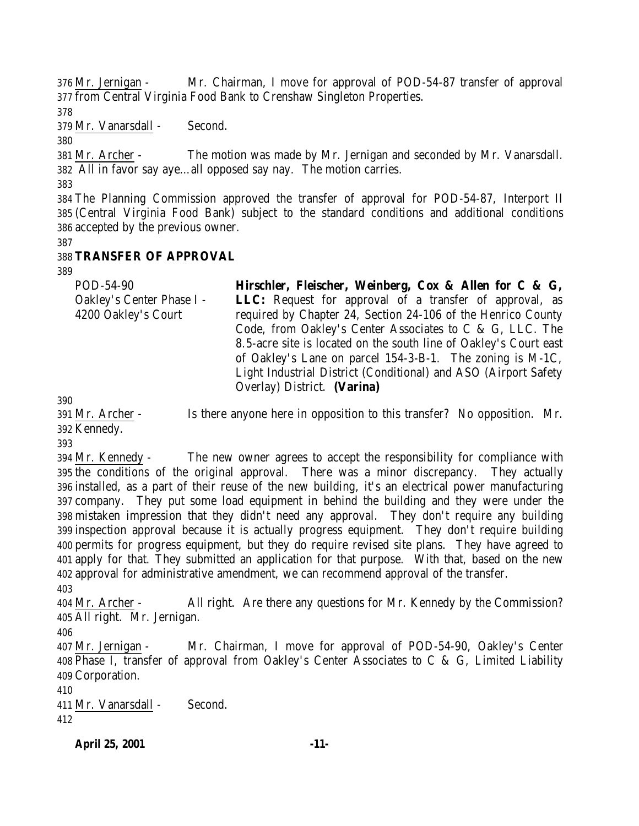Mr. Jernigan - Mr. Chairman, I move for approval of POD-54-87 transfer of approval from Central Virginia Food Bank to Crenshaw Singleton Properties.

Mr. Vanarsdall - Second.

 Mr. Archer - The motion was made by Mr. Jernigan and seconded by Mr. Vanarsdall. All in favor say aye…all opposed say nay. The motion carries.

 The Planning Commission approved the transfer of approval for POD-54-87, Interport II (Central Virginia Food Bank) subject to the standard conditions and additional conditions accepted by the previous owner.

# **TRANSFER OF APPROVAL**

| POD-54-90                 | Hirschler, Fleischer, Weinberg, Cox & Allen for C & G,            |
|---------------------------|-------------------------------------------------------------------|
| Oakley's Center Phase I - | <b>LLC:</b> Request for approval of a transfer of approval, as    |
| 4200 Oakley's Court       | required by Chapter 24, Section 24-106 of the Henrico County      |
|                           | Code, from Oakley's Center Associates to C & G, LLC. The          |
|                           | 8.5-acre site is located on the south line of Oakley's Court east |
|                           | of Oakley's Lane on parcel 154-3-B-1. The zoning is M-1C,         |
|                           | Light Industrial District (Conditional) and ASO (Airport Safety   |
|                           | Overlay) District. (Varina)                                       |

 Mr. Archer - Is there anyone here in opposition to this transfer? No opposition. Mr. Kennedy.

 Mr. Kennedy - The new owner agrees to accept the responsibility for compliance with the conditions of the original approval. There was a minor discrepancy. They actually installed, as a part of their reuse of the new building, it's an electrical power manufacturing company. They put some load equipment in behind the building and they were under the mistaken impression that they didn't need any approval. They don't require any building inspection approval because it is actually progress equipment. They don't require building permits for progress equipment, but they do require revised site plans. They have agreed to apply for that. They submitted an application for that purpose. With that, based on the new approval for administrative amendment, we can recommend approval of the transfer. 

 Mr. Archer - All right. Are there any questions for Mr. Kennedy by the Commission? All right. Mr. Jernigan.

 Mr. Jernigan - Mr. Chairman, I move for approval of POD-54-90, Oakley's Center Phase I, transfer of approval from Oakley's Center Associates to C & G, Limited Liability Corporation.

 Mr. Vanarsdall - Second. 

**April 25, 2001 -11-**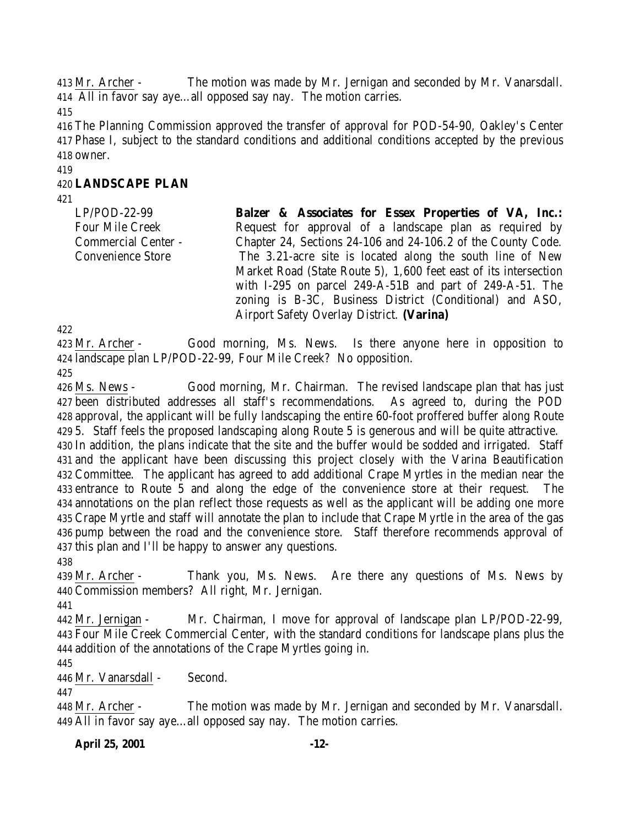Mr. Archer - The motion was made by Mr. Jernigan and seconded by Mr. Vanarsdall. All in favor say aye…all opposed say nay. The motion carries.

 The Planning Commission approved the transfer of approval for POD-54-90, Oakley's Center Phase I, subject to the standard conditions and additional conditions accepted by the previous owner.

#### **LANDSCAPE PLAN**

LP/POD-22-99 Four Mile Creek Commercial Center - Convenience Store

**Balzer & Associates for Essex Properties of VA, Inc.:** Request for approval of a landscape plan as required by Chapter 24, Sections 24-106 and 24-106.2 of the County Code. The 3.21-acre site is located along the south line of New Market Road (State Route 5), 1,600 feet east of its intersection with I-295 on parcel 249-A-51B and part of 249-A-51. The zoning is B-3C, Business District (Conditional) and ASO, Airport Safety Overlay District. **(Varina)**

 Mr. Archer - Good morning, Ms. News. Is there anyone here in opposition to landscape plan LP/POD-22-99, Four Mile Creek? No opposition.

 Ms. News - Good morning, Mr. Chairman. The revised landscape plan that has just been distributed addresses all staff's recommendations. As agreed to, during the POD approval, the applicant will be fully landscaping the entire 60-foot proffered buffer along Route 5. Staff feels the proposed landscaping along Route 5 is generous and will be quite attractive. In addition, the plans indicate that the site and the buffer would be sodded and irrigated. Staff and the applicant have been discussing this project closely with the Varina Beautification Committee. The applicant has agreed to add additional Crape Myrtles in the median near the entrance to Route 5 and along the edge of the convenience store at their request. The annotations on the plan reflect those requests as well as the applicant will be adding one more Crape Myrtle and staff will annotate the plan to include that Crape Myrtle in the area of the gas pump between the road and the convenience store. Staff therefore recommends approval of this plan and I'll be happy to answer any questions.

 Mr. Archer - Thank you, Ms. News. Are there any questions of Ms. News by Commission members? All right, Mr. Jernigan.

 Mr. Jernigan - Mr. Chairman, I move for approval of landscape plan LP/POD-22-99, Four Mile Creek Commercial Center, with the standard conditions for landscape plans plus the addition of the annotations of the Crape Myrtles going in.

Mr. Vanarsdall - Second.

 Mr. Archer - The motion was made by Mr. Jernigan and seconded by Mr. Vanarsdall. All in favor say aye…all opposed say nay. The motion carries.

**April 25, 2001 -12-**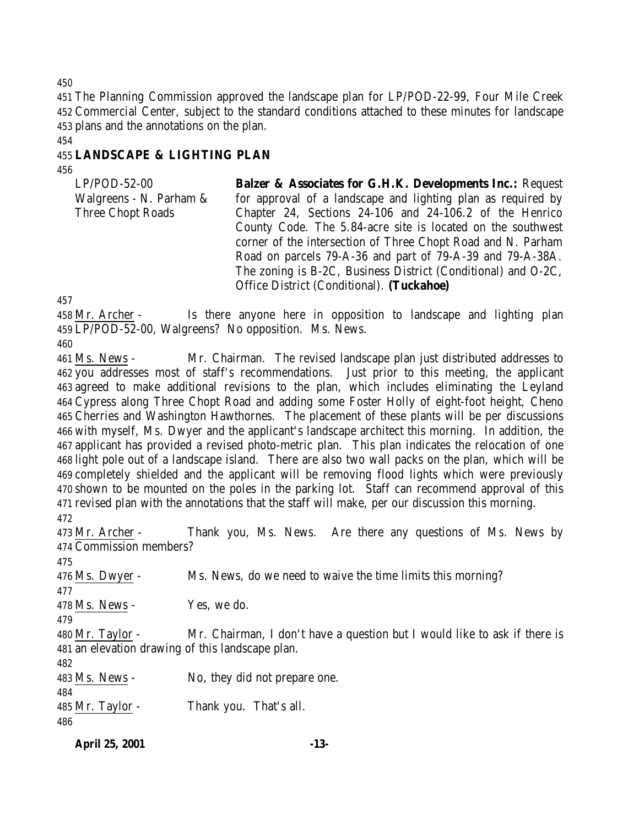The Planning Commission approved the landscape plan for LP/POD-22-99, Four Mile Creek Commercial Center, subject to the standard conditions attached to these minutes for landscape plans and the annotations on the plan.

## **LANDSCAPE & LIGHTING PLAN**

| <b>Balzer &amp; Associates for G.H.K. Developments Inc.: Request</b> |
|----------------------------------------------------------------------|
| for approval of a landscape and lighting plan as required by         |
| Chapter 24, Sections 24-106 and 24-106.2 of the Henrico              |
| County Code. The 5.84-acre site is located on the southwest          |
| corner of the intersection of Three Chopt Road and N. Parham         |
| Road on parcels 79-A-36 and part of 79-A-39 and 79-A-38A.            |
| The zoning is B-2C, Business District (Conditional) and O-2C,        |
| Office District (Conditional). (Tuckahoe)                            |
|                                                                      |

 Mr. Archer - Is there anyone here in opposition to landscape and lighting plan LP/POD-52-00, Walgreens? No opposition. Ms. News.

 Ms. News - Mr. Chairman. The revised landscape plan just distributed addresses to you addresses most of staff's recommendations. Just prior to this meeting, the applicant agreed to make additional revisions to the plan, which includes eliminating the Leyland Cypress along Three Chopt Road and adding some Foster Holly of eight-foot height, Cheno Cherries and Washington Hawthornes. The placement of these plants will be per discussions with myself, Ms. Dwyer and the applicant's landscape architect this morning. In addition, the applicant has provided a revised photo-metric plan. This plan indicates the relocation of one light pole out of a landscape island. There are also two wall packs on the plan, which will be completely shielded and the applicant will be removing flood lights which were previously shown to be mounted on the poles in the parking lot. Staff can recommend approval of this revised plan with the annotations that the staff will make, per our discussion this morning. 

 Mr. Archer - Thank you, Ms. News. Are there any questions of Ms. News by Commission members? 476 Ms. Dwyer - Ms. News, do we need to waive the time limits this morning? Ms. News - Yes, we do. Mr. Taylor - Mr. Chairman, I don't have a question but I would like to ask if there is an elevation drawing of this landscape plan. Ms. News - No, they did not prepare one. Mr. Taylor - Thank you. That's all. 

**April 25, 2001 -13-**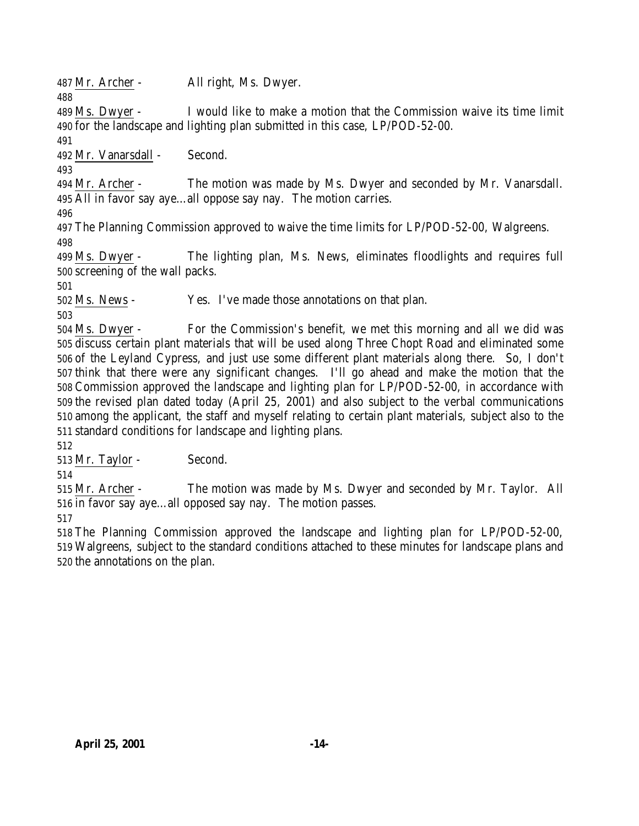Mr. Archer - All right, Ms. Dwyer.

 Ms. Dwyer - I would like to make a motion that the Commission waive its time limit for the landscape and lighting plan submitted in this case, LP/POD-52-00.

Mr. Vanarsdall - Second.

 Mr. Archer - The motion was made by Ms. Dwyer and seconded by Mr. Vanarsdall. All in favor say aye…all oppose say nay. The motion carries.

 The Planning Commission approved to waive the time limits for LP/POD-52-00, Walgreens. 

 Ms. Dwyer - The lighting plan, Ms. News, eliminates floodlights and requires full screening of the wall packs.

Ms. News - Yes. I've made those annotations on that plan.

 Ms. Dwyer - For the Commission's benefit, we met this morning and all we did was discuss certain plant materials that will be used along Three Chopt Road and eliminated some of the Leyland Cypress, and just use some different plant materials along there. So, I don't think that there were any significant changes. I'll go ahead and make the motion that the Commission approved the landscape and lighting plan for LP/POD-52-00, in accordance with the revised plan dated today (April 25, 2001) and also subject to the verbal communications among the applicant, the staff and myself relating to certain plant materials, subject also to the standard conditions for landscape and lighting plans.

Mr. Taylor - Second.

 Mr. Archer - The motion was made by Ms. Dwyer and seconded by Mr. Taylor. All in favor say aye…all opposed say nay. The motion passes.

 The Planning Commission approved the landscape and lighting plan for LP/POD-52-00, Walgreens, subject to the standard conditions attached to these minutes for landscape plans and the annotations on the plan.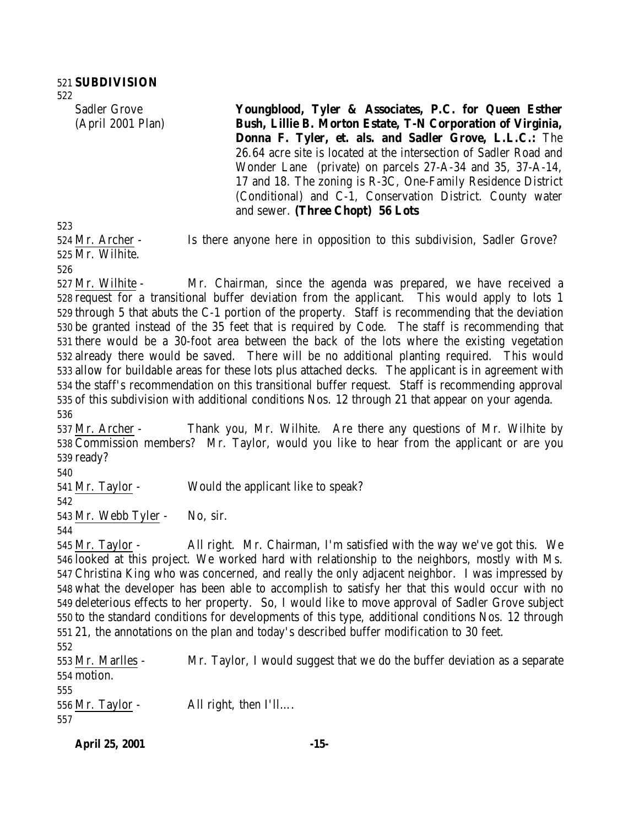Sadler Grove (April 2001 Plan) **Youngblood, Tyler & Associates, P.C. for Queen Esther Bush, Lillie B. Morton Estate, T-N Corporation of Virginia, Donna F. Tyler, et. als. and Sadler Grove, L.L.C.:** The 26.64 acre site is located at the intersection of Sadler Road and Wonder Lane (private) on parcels 27-A-34 and 35, 37-A-14, 17 and 18. The zoning is R-3C, One-Family Residence District (Conditional) and C-1, Conservation District. County water and sewer. **(Three Chopt) 56 Lots** Mr. Archer - Is there anyone here in opposition to this subdivision, Sadler Grove?

Mr. Wilhite.

 Mr. Wilhite - Mr. Chairman, since the agenda was prepared, we have received a request for a transitional buffer deviation from the applicant. This would apply to lots 1 through 5 that abuts the C-1 portion of the property. Staff is recommending that the deviation be granted instead of the 35 feet that is required by Code. The staff is recommending that there would be a 30-foot area between the back of the lots where the existing vegetation already there would be saved. There will be no additional planting required. This would allow for buildable areas for these lots plus attached decks. The applicant is in agreement with the staff's recommendation on this transitional buffer request. Staff is recommending approval of this subdivision with additional conditions Nos. 12 through 21 that appear on your agenda. 

 Mr. Archer - Thank you, Mr. Wilhite. Are there any questions of Mr. Wilhite by Commission members? Mr. Taylor, would you like to hear from the applicant or are you ready?

Mr. Taylor - Would the applicant like to speak?

Mr. Webb Tyler - No, sir.

 Mr. Taylor - All right. Mr. Chairman, I'm satisfied with the way we've got this. We looked at this project. We worked hard with relationship to the neighbors, mostly with Ms. Christina King who was concerned, and really the only adjacent neighbor. I was impressed by what the developer has been able to accomplish to satisfy her that this would occur with no deleterious effects to her property. So, I would like to move approval of Sadler Grove subject to the standard conditions for developments of this type, additional conditions Nos. 12 through 21, the annotations on the plan and today's described buffer modification to 30 feet. Mr. Marlles - Mr. Taylor, I would suggest that we do the buffer deviation as a separate

 motion. Mr. Taylor - All right, then I'll…. 

**April 25, 2001 -15-**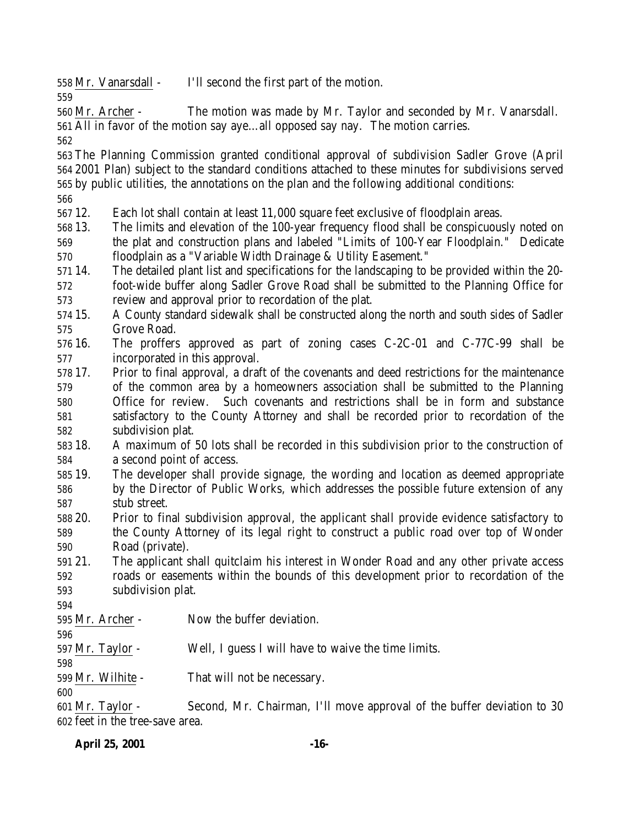Mr. Vanarsdall - I'll second the first part of the motion.

 Mr. Archer - The motion was made by Mr. Taylor and seconded by Mr. Vanarsdall. All in favor of the motion say aye…all opposed say nay. The motion carries.

 The Planning Commission granted conditional approval of subdivision Sadler Grove (April 2001 Plan) subject to the standard conditions attached to these minutes for subdivisions served by public utilities, the annotations on the plan and the following additional conditions:

12. Each lot shall contain at least 11,000 square feet exclusive of floodplain areas.

- 13. The limits and elevation of the 100-year frequency flood shall be conspicuously noted on the plat and construction plans and labeled "Limits of 100-Year Floodplain." Dedicate floodplain as a "Variable Width Drainage & Utility Easement."
- 14. The detailed plant list and specifications for the landscaping to be provided within the 20-
- foot-wide buffer along Sadler Grove Road shall be submitted to the Planning Office for review and approval prior to recordation of the plat.
- 15. A County standard sidewalk shall be constructed along the north and south sides of Sadler Grove Road.
- 16. The proffers approved as part of zoning cases C-2C-01 and C-77C-99 shall be incorporated in this approval.
- 17. Prior to final approval, a draft of the covenants and deed restrictions for the maintenance of the common area by a homeowners association shall be submitted to the Planning Office for review. Such covenants and restrictions shall be in form and substance satisfactory to the County Attorney and shall be recorded prior to recordation of the subdivision plat.
- 18. A maximum of 50 lots shall be recorded in this subdivision prior to the construction of a second point of access.
- 19. The developer shall provide signage, the wording and location as deemed appropriate by the Director of Public Works, which addresses the possible future extension of any stub street.
- 20. Prior to final subdivision approval, the applicant shall provide evidence satisfactory to the County Attorney of its legal right to construct a public road over top of Wonder Road (private).
- 21. The applicant shall quitclaim his interest in Wonder Road and any other private access roads or easements within the bounds of this development prior to recordation of the subdivision plat.
- 
- Mr. Archer Now the buffer deviation.
- Mr. Taylor Well, I guess I will have to waive the time limits.

Mr. Wilhite - That will not be necessary.

 Mr. Taylor - Second, Mr. Chairman, I'll move approval of the buffer deviation to 30 feet in the tree-save area.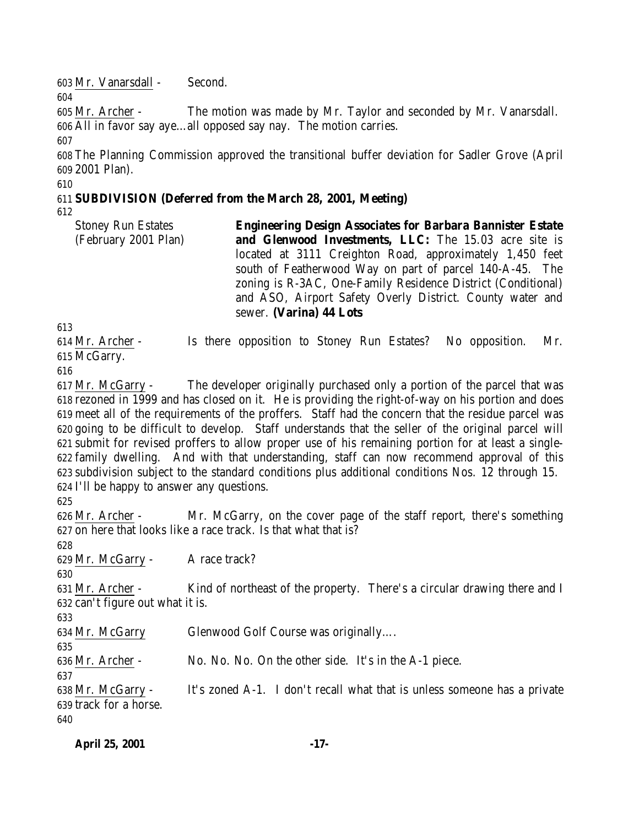Mr. Vanarsdall - Second. Mr. Archer - The motion was made by Mr. Taylor and seconded by Mr. Vanarsdall. All in favor say aye…all opposed say nay. The motion carries. The Planning Commission approved the transitional buffer deviation for Sadler Grove (April 2001 Plan). **SUBDIVISION (Deferred from the March 28, 2001, Meeting)** Stoney Run Estates (February 2001 Plan) **Engineering Design Associates for Barbara Bannister Estate and Glenwood Investments, LLC:** The 15.03 acre site is located at 3111 Creighton Road, approximately 1,450 feet south of Featherwood Way on part of parcel 140-A-45. The zoning is R-3AC, One-Family Residence District (Conditional) and ASO, Airport Safety Overly District. County water and sewer. **(Varina) 44 Lots** Mr. Archer - Is there opposition to Stoney Run Estates? No opposition. Mr. McGarry. Mr. McGarry - The developer originally purchased only a portion of the parcel that was rezoned in 1999 and has closed on it. He is providing the right-of-way on his portion and does meet all of the requirements of the proffers. Staff had the concern that the residue parcel was going to be difficult to develop. Staff understands that the seller of the original parcel will submit for revised proffers to allow proper use of his remaining portion for at least a single- family dwelling. And with that understanding, staff can now recommend approval of this subdivision subject to the standard conditions plus additional conditions Nos. 12 through 15. I'll be happy to answer any questions. Mr. Archer - Mr. McGarry, on the cover page of the staff report, there's something on here that looks like a race track. Is that what that is? 629 Mr. McGarry - A race track? Mr. Archer - Kind of northeast of the property. There's a circular drawing there and I can't figure out what it is. Mr. McGarry Glenwood Golf Course was originally…. Mr. Archer - No. No. No. On the other side. It's in the A-1 piece. 

 Mr. McGarry - It's zoned A-1. I don't recall what that is unless someone has a private track for a horse. 

| <b>April 25, 2001</b> | $-17-$ |
|-----------------------|--------|
|                       |        |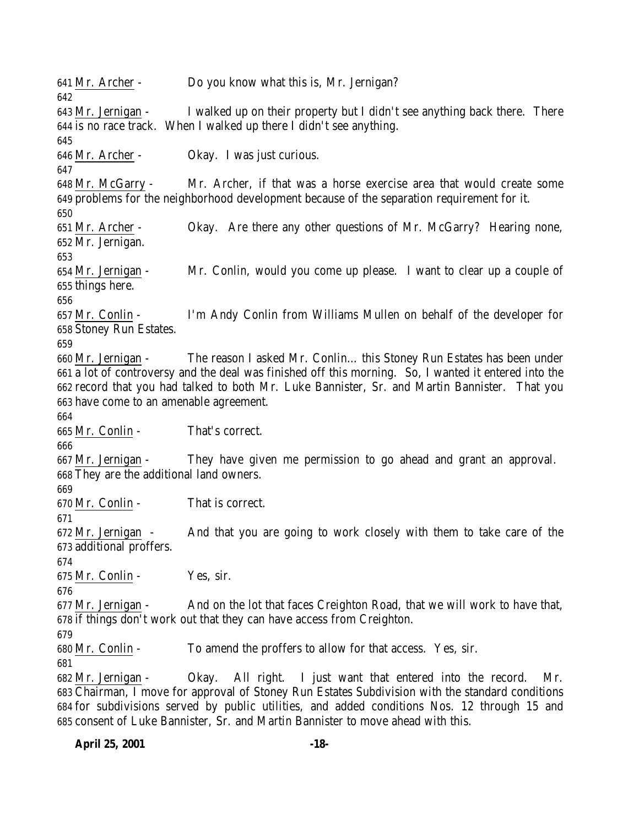Mr. Archer - Do you know what this is, Mr. Jernigan? Mr. Jernigan - I walked up on their property but I didn't see anything back there. There is no race track. When I walked up there I didn't see anything. Mr. Archer - Okay. I was just curious. Mr. McGarry - Mr. Archer, if that was a horse exercise area that would create some problems for the neighborhood development because of the separation requirement for it. Mr. Archer - Okay. Are there any other questions of Mr. McGarry? Hearing none, Mr. Jernigan. Mr. Jernigan - Mr. Conlin, would you come up please. I want to clear up a couple of things here. Mr. Conlin - I'm Andy Conlin from Williams Mullen on behalf of the developer for Stoney Run Estates. Mr. Jernigan - The reason I asked Mr. Conlin… this Stoney Run Estates has been under a lot of controversy and the deal was finished off this morning. So, I wanted it entered into the record that you had talked to both Mr. Luke Bannister, Sr. and Martin Bannister. That you have come to an amenable agreement. Mr. Conlin - That's correct. Mr. Jernigan - They have given me permission to go ahead and grant an approval. They are the additional land owners. 670 Mr. Conlin - That is correct. Mr. Jernigan - And that you are going to work closely with them to take care of the additional proffers. Mr. Conlin - Yes, sir. Mr. Jernigan - And on the lot that faces Creighton Road, that we will work to have that, if things don't work out that they can have access from Creighton. Mr. Conlin - To amend the proffers to allow for that access. Yes, sir. Mr. Jernigan - Okay. All right. I just want that entered into the record. Mr. Chairman, I move for approval of Stoney Run Estates Subdivision with the standard conditions for subdivisions served by public utilities, and added conditions Nos. 12 through 15 and consent of Luke Bannister, Sr. and Martin Bannister to move ahead with this.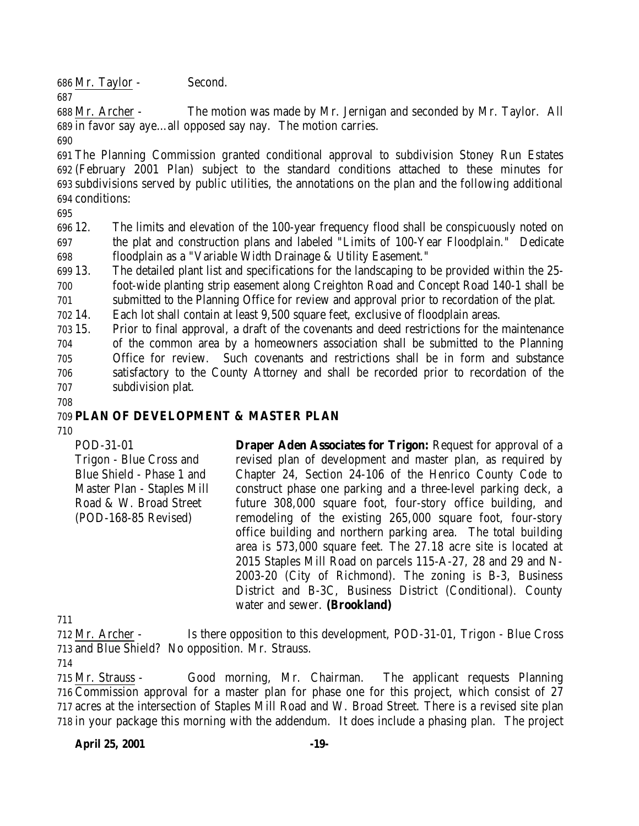Mr. Taylor - Second.

 Mr. Archer - The motion was made by Mr. Jernigan and seconded by Mr. Taylor. All in favor say aye…all opposed say nay. The motion carries.

 The Planning Commission granted conditional approval to subdivision Stoney Run Estates (February 2001 Plan) subject to the standard conditions attached to these minutes for subdivisions served by public utilities, the annotations on the plan and the following additional conditions:

 12. The limits and elevation of the 100-year frequency flood shall be conspicuously noted on the plat and construction plans and labeled "Limits of 100-Year Floodplain." Dedicate floodplain as a "Variable Width Drainage & Utility Easement."

 13. The detailed plant list and specifications for the landscaping to be provided within the 25- foot-wide planting strip easement along Creighton Road and Concept Road 140-1 shall be submitted to the Planning Office for review and approval prior to recordation of the plat.

14. Each lot shall contain at least 9,500 square feet, exclusive of floodplain areas.

 15. Prior to final approval, a draft of the covenants and deed restrictions for the maintenance of the common area by a homeowners association shall be submitted to the Planning Office for review. Such covenants and restrictions shall be in form and substance satisfactory to the County Attorney and shall be recorded prior to recordation of the subdivision plat.

### **PLAN OF DEVELOPMENT & MASTER PLAN**

POD-31-01 Trigon - Blue Cross and Blue Shield - Phase 1 and Master Plan - Staples Mill Road & W. Broad Street (POD-168-85 Revised) **Draper Aden Associates for Trigon:** Request for approval of a revised plan of development and master plan, as required by Chapter 24, Section 24-106 of the Henrico County Code to construct phase one parking and a three-level parking deck, a future 308,000 square foot, four-story office building, and remodeling of the existing 265,000 square foot, four-story office building and northern parking area. The total building area is 573,000 square feet. The 27.18 acre site is located at 2015 Staples Mill Road on parcels 115-A-27, 28 and 29 and N-2003-20 (City of Richmond). The zoning is B-3, Business District and B-3C, Business District (Conditional). County water and sewer. **(Brookland)**

 Mr. Archer - Is there opposition to this development, POD-31-01, Trigon - Blue Cross and Blue Shield? No opposition. Mr. Strauss.

 Mr. Strauss - Good morning, Mr. Chairman. The applicant requests Planning Commission approval for a master plan for phase one for this project, which consist of 27 acres at the intersection of Staples Mill Road and W. Broad Street. There is a revised site plan in your package this morning with the addendum. It does include a phasing plan. The project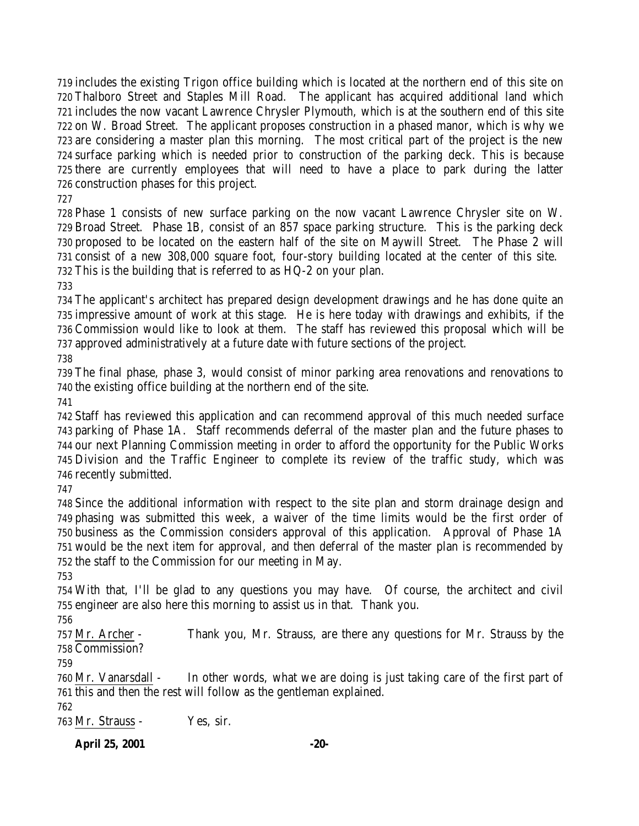includes the existing Trigon office building which is located at the northern end of this site on Thalboro Street and Staples Mill Road. The applicant has acquired additional land which includes the now vacant Lawrence Chrysler Plymouth, which is at the southern end of this site on W. Broad Street. The applicant proposes construction in a phased manor, which is why we are considering a master plan this morning. The most critical part of the project is the new surface parking which is needed prior to construction of the parking deck. This is because there are currently employees that will need to have a place to park during the latter construction phases for this project.

 Phase 1 consists of new surface parking on the now vacant Lawrence Chrysler site on W. Broad Street. Phase 1B, consist of an 857 space parking structure. This is the parking deck proposed to be located on the eastern half of the site on Maywill Street. The Phase 2 will consist of a new 308,000 square foot, four-story building located at the center of this site. This is the building that is referred to as HQ-2 on your plan.

 The applicant's architect has prepared design development drawings and he has done quite an impressive amount of work at this stage. He is here today with drawings and exhibits, if the Commission would like to look at them. The staff has reviewed this proposal which will be approved administratively at a future date with future sections of the project.

 The final phase, phase 3, would consist of minor parking area renovations and renovations to the existing office building at the northern end of the site.

 Staff has reviewed this application and can recommend approval of this much needed surface parking of Phase 1A. Staff recommends deferral of the master plan and the future phases to our next Planning Commission meeting in order to afford the opportunity for the Public Works Division and the Traffic Engineer to complete its review of the traffic study, which was recently submitted.

 Since the additional information with respect to the site plan and storm drainage design and phasing was submitted this week, a waiver of the time limits would be the first order of business as the Commission considers approval of this application. Approval of Phase 1A would be the next item for approval, and then deferral of the master plan is recommended by the staff to the Commission for our meeting in May.

 With that, I'll be glad to any questions you may have. Of course, the architect and civil engineer are also here this morning to assist us in that. Thank you.

 Mr. Archer - Thank you, Mr. Strauss, are there any questions for Mr. Strauss by the Commission?

 Mr. Vanarsdall - In other words, what we are doing is just taking care of the first part of this and then the rest will follow as the gentleman explained.

Mr. Strauss - Yes, sir.

**April 25, 2001 -20-**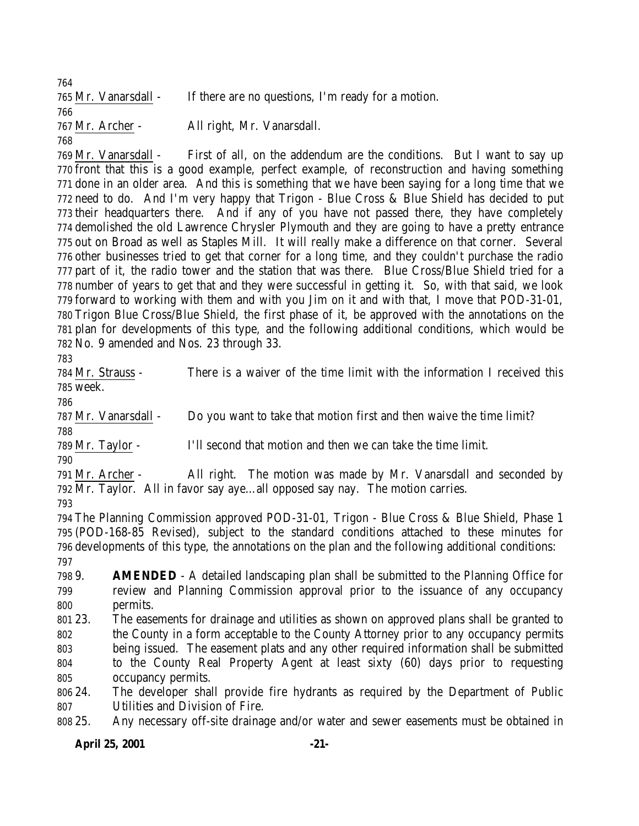| 764                  |                                                    |
|----------------------|----------------------------------------------------|
| 765 Mr. Vanarsdall - | If there are no questions, I'm ready for a motion. |
| 766                  |                                                    |
| 767 Mr. Archer -     | All right, Mr. Vanarsdall.                         |
| 768                  |                                                    |

 Mr. Vanarsdall - First of all, on the addendum are the conditions. But I want to say up front that this is a good example, perfect example, of reconstruction and having something done in an older area. And this is something that we have been saying for a long time that we need to do. And I'm very happy that Trigon - Blue Cross & Blue Shield has decided to put their headquarters there. And if any of you have not passed there, they have completely demolished the old Lawrence Chrysler Plymouth and they are going to have a pretty entrance out on Broad as well as Staples Mill. It will really make a difference on that corner. Several other businesses tried to get that corner for a long time, and they couldn't purchase the radio part of it, the radio tower and the station that was there. Blue Cross/Blue Shield tried for a number of years to get that and they were successful in getting it. So, with that said, we look forward to working with them and with you Jim on it and with that, I move that POD-31-01, Trigon Blue Cross/Blue Shield, the first phase of it, be approved with the annotations on the plan for developments of this type, and the following additional conditions, which would be No. 9 amended and Nos. 23 through 33.

 Mr. Strauss - There is a waiver of the time limit with the information I received this week.

Mr. Vanarsdall - Do you want to take that motion first and then waive the time limit?

Mr. Taylor - I'll second that motion and then we can take the time limit.

 Mr. Archer - All right. The motion was made by Mr. Vanarsdall and seconded by Mr. Taylor. All in favor say aye…all opposed say nay. The motion carries.

 The Planning Commission approved POD-31-01, Trigon - Blue Cross & Blue Shield, Phase 1 (POD-168-85 Revised), subject to the standard conditions attached to these minutes for developments of this type, the annotations on the plan and the following additional conditions: 

 9. **AMENDED** - A detailed landscaping plan shall be submitted to the Planning Office for review and Planning Commission approval prior to the issuance of any occupancy permits.

 23. The easements for drainage and utilities as shown on approved plans shall be granted to the County in a form acceptable to the County Attorney prior to any occupancy permits being issued. The easement plats and any other required information shall be submitted to the County Real Property Agent at least sixty (60) days prior to requesting occupancy permits.

 24. The developer shall provide fire hydrants as required by the Department of Public Utilities and Division of Fire.

25. Any necessary off-site drainage and/or water and sewer easements must be obtained in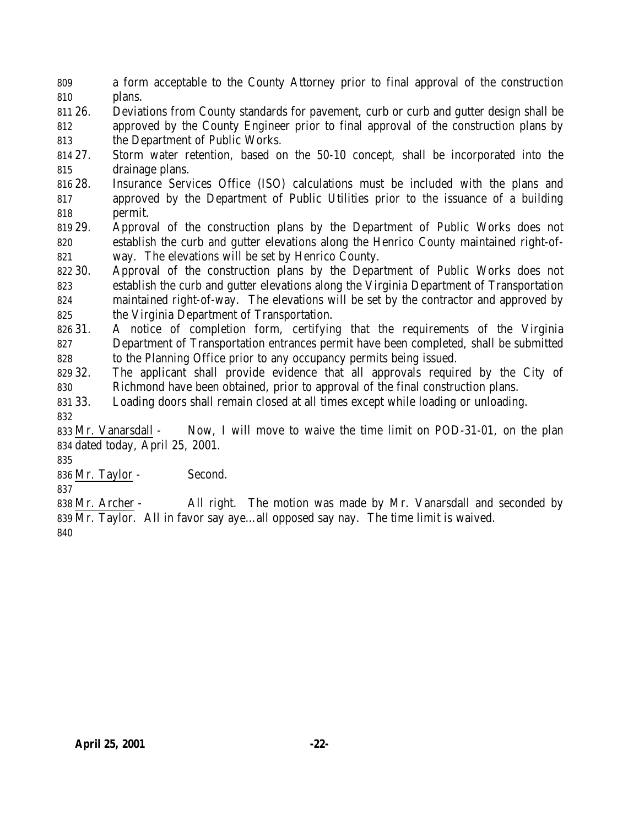a form acceptable to the County Attorney prior to final approval of the construction plans.

 26. Deviations from County standards for pavement, curb or curb and gutter design shall be approved by the County Engineer prior to final approval of the construction plans by the Department of Public Works.

 27. Storm water retention, based on the 50-10 concept, shall be incorporated into the drainage plans.

 28. Insurance Services Office (ISO) calculations must be included with the plans and approved by the Department of Public Utilities prior to the issuance of a building permit.

 29. Approval of the construction plans by the Department of Public Works does not establish the curb and gutter elevations along the Henrico County maintained right-of-way. The elevations will be set by Henrico County.

 30. Approval of the construction plans by the Department of Public Works does not establish the curb and gutter elevations along the Virginia Department of Transportation maintained right-of-way. The elevations will be set by the contractor and approved by the Virginia Department of Transportation.

 31. A notice of completion form, certifying that the requirements of the Virginia Department of Transportation entrances permit have been completed, shall be submitted to the Planning Office prior to any occupancy permits being issued.

 32. The applicant shall provide evidence that all approvals required by the City of Richmond have been obtained, prior to approval of the final construction plans.

33. Loading doors shall remain closed at all times except while loading or unloading.

 Mr. Vanarsdall - Now, I will move to waive the time limit on POD-31-01, on the plan dated today, April 25, 2001.

Mr. Taylor - Second.

 Mr. Archer - All right. The motion was made by Mr. Vanarsdall and seconded by Mr. Taylor. All in favor say aye…all opposed say nay. The time limit is waived.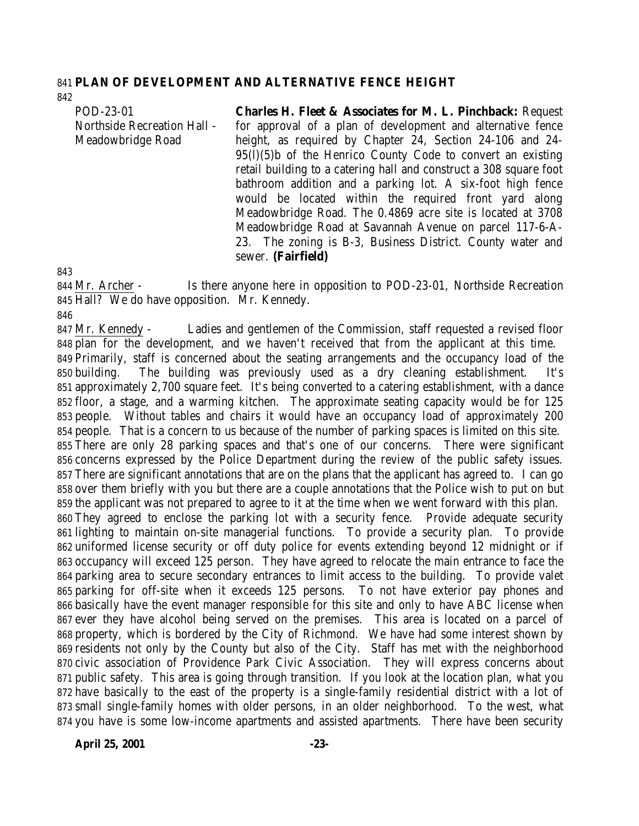#### **PLAN OF DEVELOPMENT AND ALTERNATIVE FENCE HEIGHT**

POD-23-01 Northside Recreation Hall - Meadowbridge Road **Charles H. Fleet & Associates for M. L. Pinchback:** Request for approval of a plan of development and alternative fence height, as required by Chapter 24, Section 24-106 and 24-95(l)(5)b of the Henrico County Code to convert an existing retail building to a catering hall and construct a 308 square foot bathroom addition and a parking lot. A six-foot high fence would be located within the required front yard along Meadowbridge Road. The 0.4869 acre site is located at 3708 Meadowbridge Road at Savannah Avenue on parcel 117-6-A-23. The zoning is B-3, Business District. County water and

sewer. **(Fairfield)**

 Mr. Archer - Is there anyone here in opposition to POD-23-01, Northside Recreation Hall? We do have opposition. Mr. Kennedy.

 Mr. Kennedy - Ladies and gentlemen of the Commission, staff requested a revised floor plan for the development, and we haven't received that from the applicant at this time. Primarily, staff is concerned about the seating arrangements and the occupancy load of the building. The building was previously used as a dry cleaning establishment. It's approximately 2,700 square feet. It's being converted to a catering establishment, with a dance floor, a stage, and a warming kitchen. The approximate seating capacity would be for 125 people. Without tables and chairs it would have an occupancy load of approximately 200 people. That is a concern to us because of the number of parking spaces is limited on this site. There are only 28 parking spaces and that's one of our concerns. There were significant concerns expressed by the Police Department during the review of the public safety issues. There are significant annotations that are on the plans that the applicant has agreed to. I can go over them briefly with you but there are a couple annotations that the Police wish to put on but the applicant was not prepared to agree to it at the time when we went forward with this plan. They agreed to enclose the parking lot with a security fence. Provide adequate security lighting to maintain on-site managerial functions. To provide a security plan. To provide uniformed license security or off duty police for events extending beyond 12 midnight or if occupancy will exceed 125 person. They have agreed to relocate the main entrance to face the parking area to secure secondary entrances to limit access to the building. To provide valet parking for off-site when it exceeds 125 persons. To not have exterior pay phones and basically have the event manager responsible for this site and only to have ABC license when ever they have alcohol being served on the premises. This area is located on a parcel of property, which is bordered by the City of Richmond. We have had some interest shown by residents not only by the County but also of the City. Staff has met with the neighborhood civic association of Providence Park Civic Association. They will express concerns about public safety. This area is going through transition. If you look at the location plan, what you have basically to the east of the property is a single-family residential district with a lot of small single-family homes with older persons, in an older neighborhood. To the west, what you have is some low-income apartments and assisted apartments. There have been security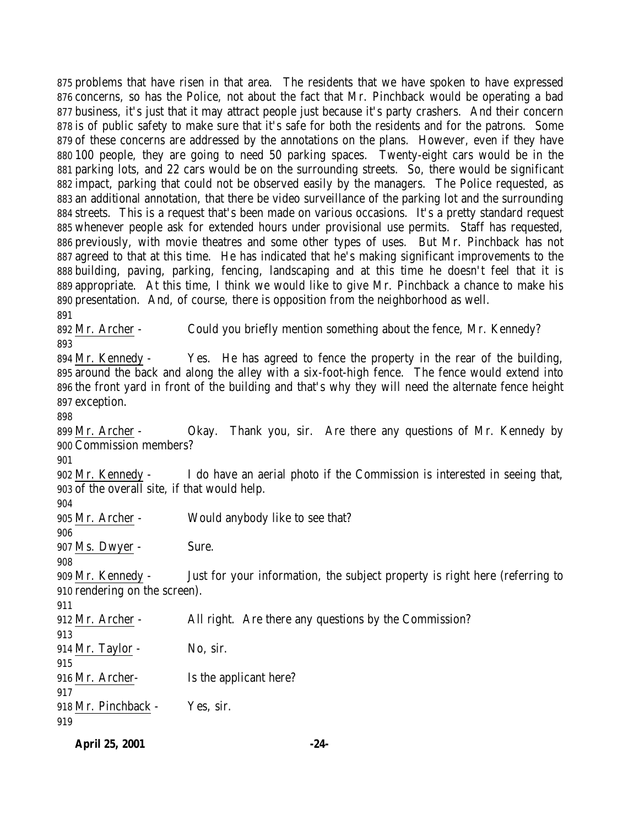problems that have risen in that area. The residents that we have spoken to have expressed concerns, so has the Police, not about the fact that Mr. Pinchback would be operating a bad business, it's just that it may attract people just because it's party crashers. And their concern is of public safety to make sure that it's safe for both the residents and for the patrons. Some of these concerns are addressed by the annotations on the plans. However, even if they have 100 people, they are going to need 50 parking spaces. Twenty-eight cars would be in the parking lots, and 22 cars would be on the surrounding streets. So, there would be significant impact, parking that could not be observed easily by the managers. The Police requested, as an additional annotation, that there be video surveillance of the parking lot and the surrounding streets. This is a request that's been made on various occasions. It's a pretty standard request whenever people ask for extended hours under provisional use permits. Staff has requested, previously, with movie theatres and some other types of uses. But Mr. Pinchback has not agreed to that at this time. He has indicated that he's making significant improvements to the building, paving, parking, fencing, landscaping and at this time he doesn't feel that it is appropriate. At this time, I think we would like to give Mr. Pinchback a chance to make his presentation. And, of course, there is opposition from the neighborhood as well. Mr. Archer - Could you briefly mention something about the fence, Mr. Kennedy? Mr. Kennedy - Yes. He has agreed to fence the property in the rear of the building, around the back and along the alley with a six-foot-high fence. The fence would extend into the front yard in front of the building and that's why they will need the alternate fence height exception. Mr. Archer - Okay. Thank you, sir. Are there any questions of Mr. Kennedy by Commission members? Mr. Kennedy - I do have an aerial photo if the Commission is interested in seeing that, of the overall site, if that would help. Mr. Archer - Would anybody like to see that? Ms. Dwyer - Sure. Mr. Kennedy - Just for your information, the subject property is right here (referring to rendering on the screen). Mr. Archer - All right. Are there any questions by the Commission? 914 Mr. Taylor - No, sir. Mr. Archer- Is the applicant here? Mr. Pinchback - Yes, sir. 

**April 25, 2001 -24-**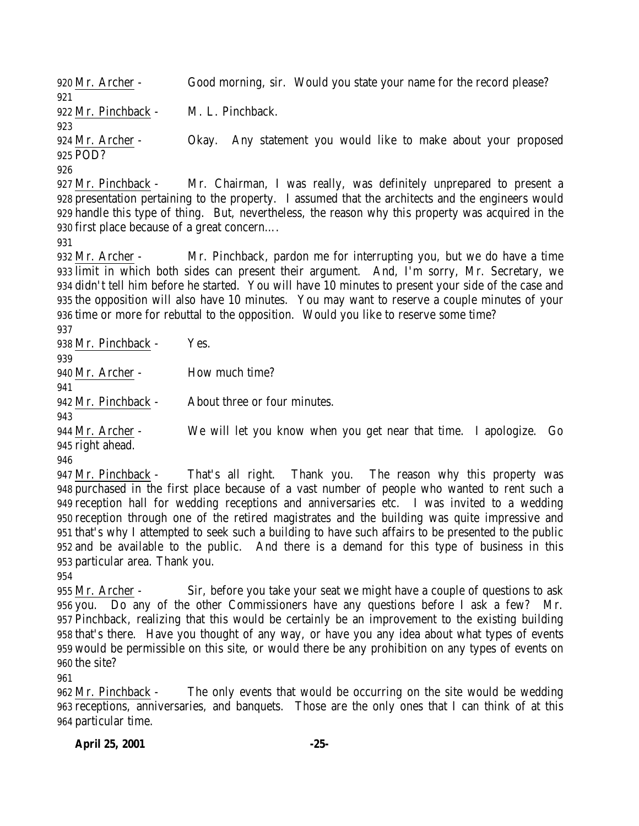Mr. Archer - Good morning, sir. Would you state your name for the record please? Mr. Pinchback - M. L. Pinchback. Mr. Archer - Okay. Any statement you would like to make about your proposed POD? Mr. Pinchback - Mr. Chairman, I was really, was definitely unprepared to present a presentation pertaining to the property. I assumed that the architects and the engineers would handle this type of thing. But, nevertheless, the reason why this property was acquired in the first place because of a great concern…. Mr. Archer - Mr. Pinchback, pardon me for interrupting you, but we do have a time limit in which both sides can present their argument. And, I'm sorry, Mr. Secretary, we didn't tell him before he started. You will have 10 minutes to present your side of the case and the opposition will also have 10 minutes. You may want to reserve a couple minutes of your time or more for rebuttal to the opposition. Would you like to reserve some time? Mr. Pinchback - Yes. Mr. Archer - How much time? Mr. Pinchback - About three or four minutes. Mr. Archer - We will let you know when you get near that time. I apologize. Go right ahead. Mr. Pinchback - That's all right. Thank you. The reason why this property was purchased in the first place because of a vast number of people who wanted to rent such a reception hall for wedding receptions and anniversaries etc. I was invited to a wedding reception through one of the retired magistrates and the building was quite impressive and that's why I attempted to seek such a building to have such affairs to be presented to the public and be available to the public. And there is a demand for this type of business in this particular area. Thank you.

 Mr. Archer - Sir, before you take your seat we might have a couple of questions to ask you. Do any of the other Commissioners have any questions before I ask a few? Mr. Pinchback, realizing that this would be certainly be an improvement to the existing building that's there. Have you thought of any way, or have you any idea about what types of events would be permissible on this site, or would there be any prohibition on any types of events on the site?

 Mr. Pinchback - The only events that would be occurring on the site would be wedding receptions, anniversaries, and banquets. Those are the only ones that I can think of at this particular time.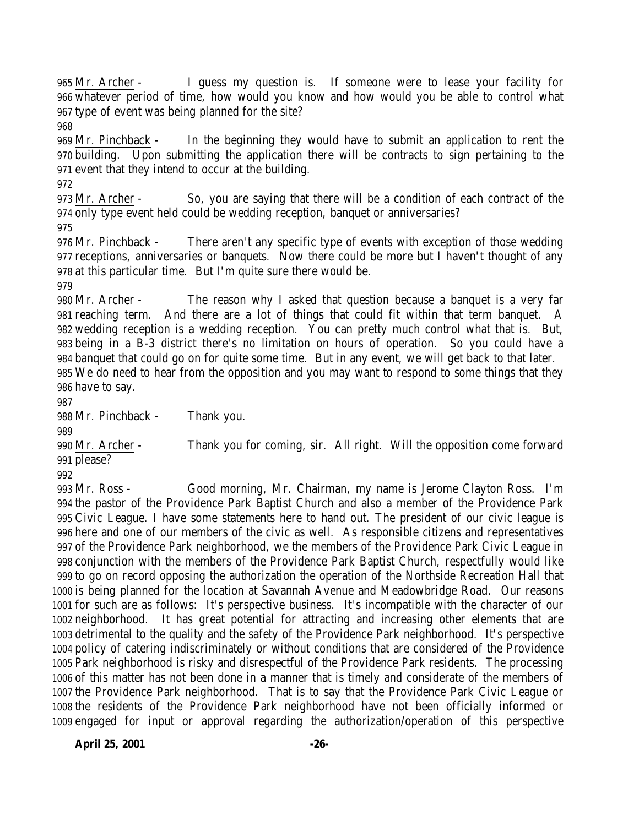Mr. Archer - I guess my question is. If someone were to lease your facility for whatever period of time, how would you know and how would you be able to control what type of event was being planned for the site? 

 Mr. Pinchback - In the beginning they would have to submit an application to rent the building. Upon submitting the application there will be contracts to sign pertaining to the event that they intend to occur at the building.

 Mr. Archer - So, you are saying that there will be a condition of each contract of the only type event held could be wedding reception, banquet or anniversaries?

 Mr. Pinchback - There aren't any specific type of events with exception of those wedding receptions, anniversaries or banquets. Now there could be more but I haven't thought of any at this particular time. But I'm quite sure there would be.

 Mr. Archer - The reason why I asked that question because a banquet is a very far reaching term. And there are a lot of things that could fit within that term banquet. A wedding reception is a wedding reception. You can pretty much control what that is. But, being in a B-3 district there's no limitation on hours of operation. So you could have a banquet that could go on for quite some time. But in any event, we will get back to that later. We do need to hear from the opposition and you may want to respond to some things that they have to say.

Mr. Pinchback - Thank you.

 Mr. Archer - Thank you for coming, sir. All right. Will the opposition come forward please?

 Mr. Ross - Good morning, Mr. Chairman, my name is Jerome Clayton Ross. I'm the pastor of the Providence Park Baptist Church and also a member of the Providence Park Civic League. I have some statements here to hand out. The president of our civic league is here and one of our members of the civic as well. As responsible citizens and representatives of the Providence Park neighborhood, we the members of the Providence Park Civic League in conjunction with the members of the Providence Park Baptist Church, respectfully would like to go on record opposing the authorization the operation of the Northside Recreation Hall that is being planned for the location at Savannah Avenue and Meadowbridge Road. Our reasons for such are as follows: It's perspective business. It's incompatible with the character of our neighborhood. It has great potential for attracting and increasing other elements that are detrimental to the quality and the safety of the Providence Park neighborhood. It's perspective policy of catering indiscriminately or without conditions that are considered of the Providence Park neighborhood is risky and disrespectful of the Providence Park residents. The processing of this matter has not been done in a manner that is timely and considerate of the members of the Providence Park neighborhood. That is to say that the Providence Park Civic League or the residents of the Providence Park neighborhood have not been officially informed or engaged for input or approval regarding the authorization/operation of this perspective

**April 25, 2001 -26-**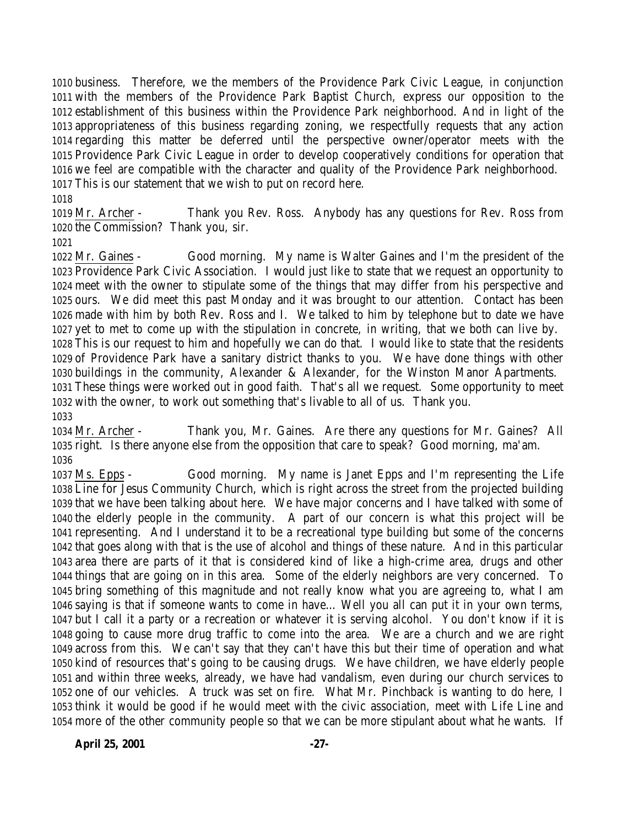business. Therefore, we the members of the Providence Park Civic League, in conjunction with the members of the Providence Park Baptist Church, express our opposition to the establishment of this business within the Providence Park neighborhood. And in light of the appropriateness of this business regarding zoning, we respectfully requests that any action regarding this matter be deferred until the perspective owner/operator meets with the Providence Park Civic League in order to develop cooperatively conditions for operation that we feel are compatible with the character and quality of the Providence Park neighborhood. This is our statement that we wish to put on record here.

 Mr. Archer - Thank you Rev. Ross. Anybody has any questions for Rev. Ross from the Commission? Thank you, sir.

 Mr. Gaines - Good morning. My name is Walter Gaines and I'm the president of the Providence Park Civic Association. I would just like to state that we request an opportunity to meet with the owner to stipulate some of the things that may differ from his perspective and ours. We did meet this past Monday and it was brought to our attention. Contact has been made with him by both Rev. Ross and I. We talked to him by telephone but to date we have yet to met to come up with the stipulation in concrete, in writing, that we both can live by. This is our request to him and hopefully we can do that. I would like to state that the residents of Providence Park have a sanitary district thanks to you. We have done things with other buildings in the community, Alexander & Alexander, for the Winston Manor Apartments. These things were worked out in good faith. That's all we request. Some opportunity to meet with the owner, to work out something that's livable to all of us. Thank you. 

 Mr. Archer - Thank you, Mr. Gaines. Are there any questions for Mr. Gaines? All right. Is there anyone else from the opposition that care to speak? Good morning, ma'am. 

 Ms. Epps - Good morning. My name is Janet Epps and I'm representing the Life Line for Jesus Community Church, which is right across the street from the projected building that we have been talking about here. We have major concerns and I have talked with some of the elderly people in the community. A part of our concern is what this project will be representing. And I understand it to be a recreational type building but some of the concerns that goes along with that is the use of alcohol and things of these nature. And in this particular area there are parts of it that is considered kind of like a high-crime area, drugs and other things that are going on in this area. Some of the elderly neighbors are very concerned. To bring something of this magnitude and not really know what you are agreeing to, what I am saying is that if someone wants to come in have… Well you all can put it in your own terms, but I call it a party or a recreation or whatever it is serving alcohol. You don't know if it is going to cause more drug traffic to come into the area. We are a church and we are right across from this. We can't say that they can't have this but their time of operation and what kind of resources that's going to be causing drugs. We have children, we have elderly people and within three weeks, already, we have had vandalism, even during our church services to one of our vehicles. A truck was set on fire. What Mr. Pinchback is wanting to do here, I think it would be good if he would meet with the civic association, meet with Life Line and more of the other community people so that we can be more stipulant about what he wants. If

**April 25, 2001 -27-**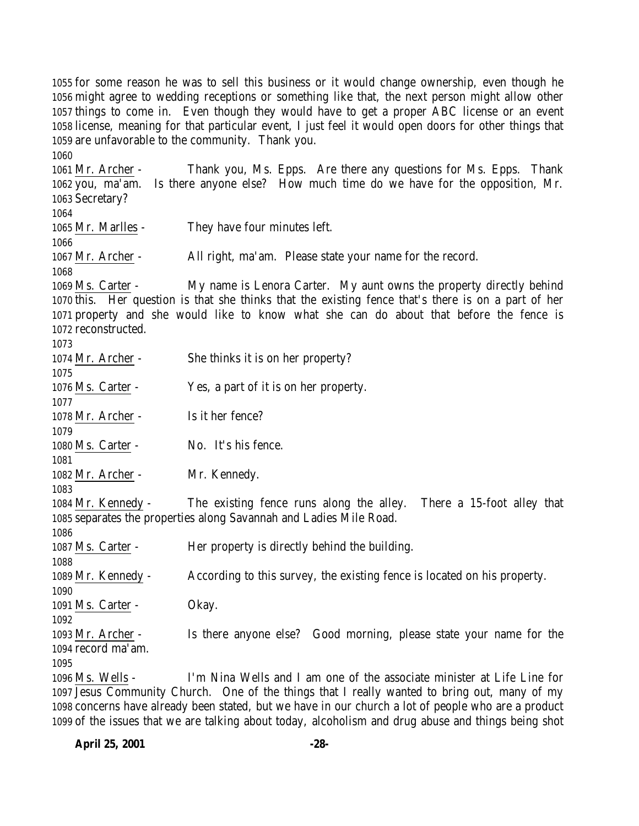for some reason he was to sell this business or it would change ownership, even though he might agree to wedding receptions or something like that, the next person might allow other things to come in. Even though they would have to get a proper ABC license or an event license, meaning for that particular event, I just feel it would open doors for other things that are unfavorable to the community. Thank you. Mr. Archer - Thank you, Ms. Epps. Are there any questions for Ms. Epps. Thank you, ma'am. Is there anyone else? How much time do we have for the opposition, Mr. Secretary? Mr. Marlles - They have four minutes left. Mr. Archer - All right, ma'am. Please state your name for the record. Ms. Carter - My name is Lenora Carter. My aunt owns the property directly behind this. Her question is that she thinks that the existing fence that's there is on a part of her property and she would like to know what she can do about that before the fence is reconstructed. Mr. Archer - She thinks it is on her property? Ms. Carter - Yes, a part of it is on her property. 1078 Mr. Archer - Is it her fence? Ms. Carter - No. It's his fence. Mr. Archer - Mr. Kennedy. Mr. Kennedy - The existing fence runs along the alley. There a 15-foot alley that separates the properties along Savannah and Ladies Mile Road. Ms. Carter - Her property is directly behind the building. Mr. Kennedy - According to this survey, the existing fence is located on his property. Ms. Carter - Okay. Mr. Archer - Is there anyone else? Good morning, please state your name for the record ma'am. Ms. Wells - I'm Nina Wells and I am one of the associate minister at Life Line for Jesus Community Church. One of the things that I really wanted to bring out, many of my

 concerns have already been stated, but we have in our church a lot of people who are a product of the issues that we are talking about today, alcoholism and drug abuse and things being shot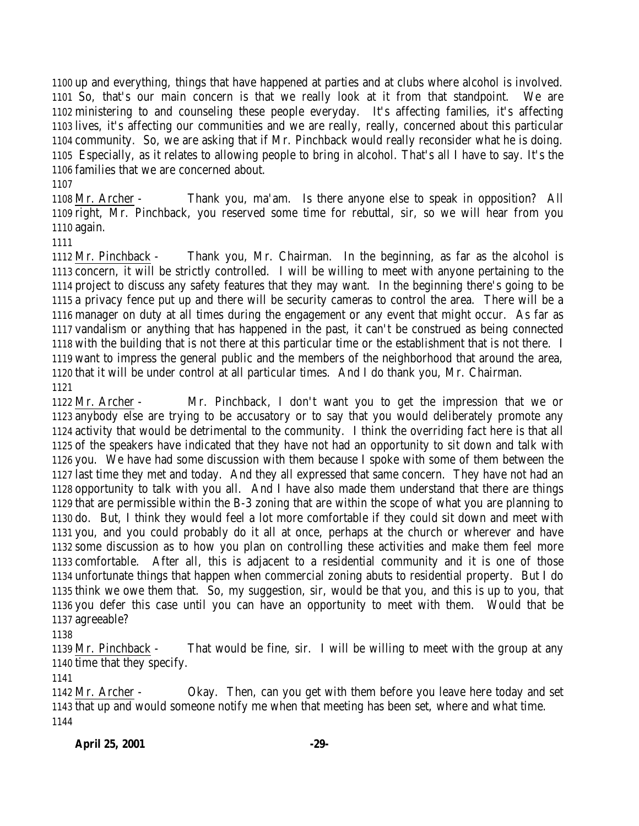up and everything, things that have happened at parties and at clubs where alcohol is involved. So, that's our main concern is that we really look at it from that standpoint. We are ministering to and counseling these people everyday. It's affecting families, it's affecting lives, it's affecting our communities and we are really, really, concerned about this particular community. So, we are asking that if Mr. Pinchback would really reconsider what he is doing. Especially, as it relates to allowing people to bring in alcohol. That's all I have to say. It's the families that we are concerned about.

 Mr. Archer - Thank you, ma'am. Is there anyone else to speak in opposition? All right, Mr. Pinchback, you reserved some time for rebuttal, sir, so we will hear from you again.

 Mr. Pinchback - Thank you, Mr. Chairman. In the beginning, as far as the alcohol is concern, it will be strictly controlled. I will be willing to meet with anyone pertaining to the project to discuss any safety features that they may want. In the beginning there's going to be a privacy fence put up and there will be security cameras to control the area. There will be a manager on duty at all times during the engagement or any event that might occur. As far as vandalism or anything that has happened in the past, it can't be construed as being connected with the building that is not there at this particular time or the establishment that is not there. I want to impress the general public and the members of the neighborhood that around the area, that it will be under control at all particular times. And I do thank you, Mr. Chairman. 

 Mr. Archer - Mr. Pinchback, I don't want you to get the impression that we or anybody else are trying to be accusatory or to say that you would deliberately promote any activity that would be detrimental to the community. I think the overriding fact here is that all of the speakers have indicated that they have not had an opportunity to sit down and talk with you. We have had some discussion with them because I spoke with some of them between the last time they met and today. And they all expressed that same concern. They have not had an opportunity to talk with you all. And I have also made them understand that there are things that are permissible within the B-3 zoning that are within the scope of what you are planning to do. But, I think they would feel a lot more comfortable if they could sit down and meet with you, and you could probably do it all at once, perhaps at the church or wherever and have some discussion as to how you plan on controlling these activities and make them feel more comfortable. After all, this is adjacent to a residential community and it is one of those unfortunate things that happen when commercial zoning abuts to residential property. But I do think we owe them that. So, my suggestion, sir, would be that you, and this is up to you, that you defer this case until you can have an opportunity to meet with them. Would that be agreeable?

 Mr. Pinchback - That would be fine, sir. I will be willing to meet with the group at any time that they specify.

 Mr. Archer - Okay. Then, can you get with them before you leave here today and set that up and would someone notify me when that meeting has been set, where and what time. 

#### **April 25, 2001 -29-**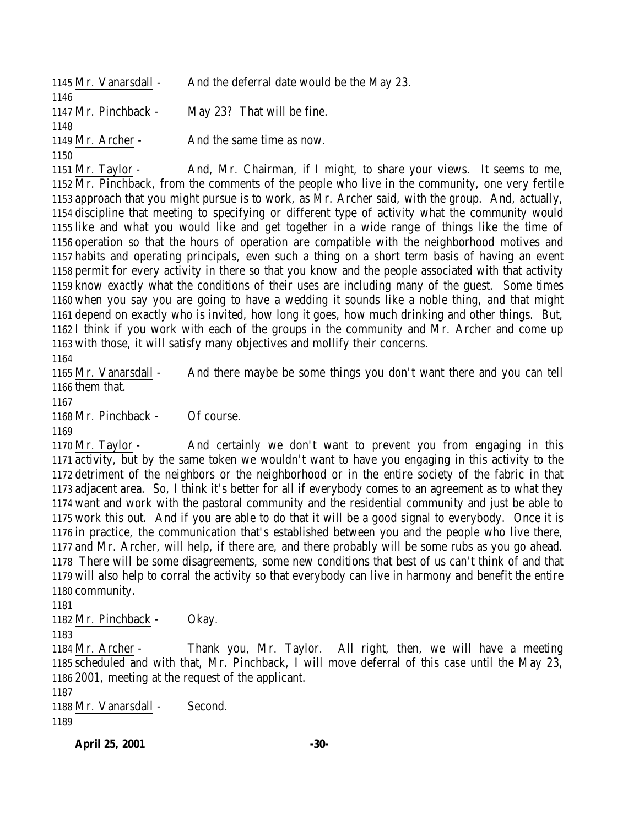| 1145 Mr. Vanarsdall -   | And the deferral date would be the May 23. |
|-------------------------|--------------------------------------------|
| 1146                    |                                            |
| 1147 Mr. Pinchback -    | May 23? That will be fine.                 |
| 1148                    |                                            |
| 1149 Mr. Archer -       | And the same time as now.                  |
| 1150                    |                                            |
| $1151 \text{ M}$ Torlor | And Mr. Choirman if I might to change      |

1151 Mr. Taylor - And, Mr. Chairman, if I might, to share your views. It seems to me, Mr. Pinchback, from the comments of the people who live in the community, one very fertile approach that you might pursue is to work, as Mr. Archer said, with the group. And, actually, discipline that meeting to specifying or different type of activity what the community would like and what you would like and get together in a wide range of things like the time of operation so that the hours of operation are compatible with the neighborhood motives and habits and operating principals, even such a thing on a short term basis of having an event permit for every activity in there so that you know and the people associated with that activity know exactly what the conditions of their uses are including many of the guest. Some times when you say you are going to have a wedding it sounds like a noble thing, and that might depend on exactly who is invited, how long it goes, how much drinking and other things. But, I think if you work with each of the groups in the community and Mr. Archer and come up with those, it will satisfy many objectives and mollify their concerns.

 Mr. Vanarsdall - And there maybe be some things you don't want there and you can tell them that.

Mr. Pinchback - Of course.

 Mr. Taylor - And certainly we don't want to prevent you from engaging in this activity, but by the same token we wouldn't want to have you engaging in this activity to the detriment of the neighbors or the neighborhood or in the entire society of the fabric in that adjacent area. So, I think it's better for all if everybody comes to an agreement as to what they want and work with the pastoral community and the residential community and just be able to work this out. And if you are able to do that it will be a good signal to everybody. Once it is in practice, the communication that's established between you and the people who live there, and Mr. Archer, will help, if there are, and there probably will be some rubs as you go ahead. There will be some disagreements, some new conditions that best of us can't think of and that will also help to corral the activity so that everybody can live in harmony and benefit the entire community.

Mr. Pinchback - Okay.

 Mr. Archer - Thank you, Mr. Taylor. All right, then, we will have a meeting scheduled and with that, Mr. Pinchback, I will move deferral of this case until the May 23, 2001, meeting at the request of the applicant.

 Mr. Vanarsdall - Second. 

**April 25, 2001 -30-**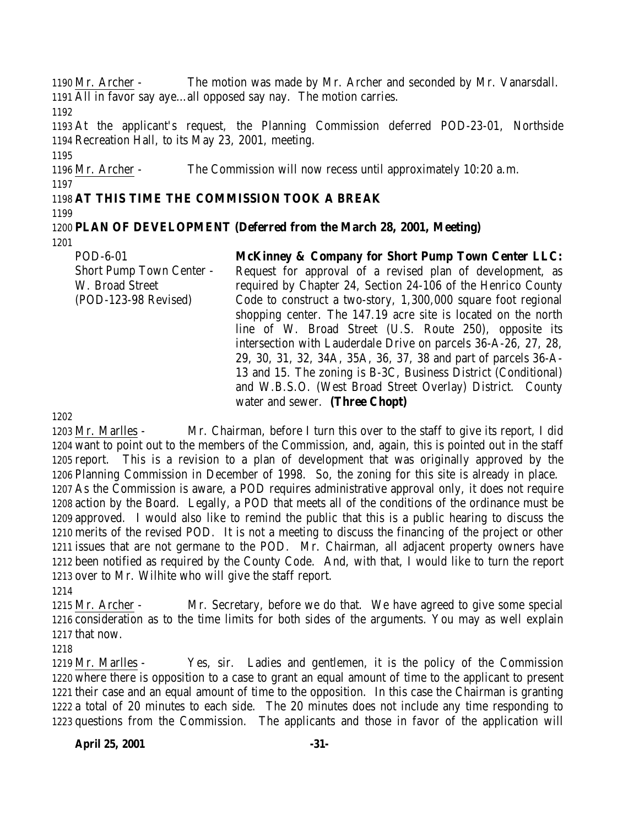Mr. Archer - The motion was made by Mr. Archer and seconded by Mr. Vanarsdall. All in favor say aye…all opposed say nay. The motion carries. At the applicant's request, the Planning Commission deferred POD-23-01, Northside

Recreation Hall, to its May 23, 2001, meeting.

 Mr. Archer - The Commission will now recess until approximately 10:20 a.m. 

# **AT THIS TIME THE COMMISSION TOOK A BREAK**

#### **PLAN OF DEVELOPMENT (Deferred from the March 28, 2001, Meeting)**

POD-6-01 Short Pump Town Center - W. Broad Street (POD-123-98 Revised)

**McKinney & Company for Short Pump Town Center LLC:** Request for approval of a revised plan of development, as required by Chapter 24, Section 24-106 of the Henrico County Code to construct a two-story, 1,300,000 square foot regional shopping center. The 147.19 acre site is located on the north line of W. Broad Street (U.S. Route 250), opposite its intersection with Lauderdale Drive on parcels 36-A-26, 27, 28, 29, 30, 31, 32, 34A, 35A, 36, 37, 38 and part of parcels 36-A-13 and 15. The zoning is B-3C, Business District (Conditional) and W.B.S.O. (West Broad Street Overlay) District. County water and sewer. **(Three Chopt)**

 Mr. Marlles - Mr. Chairman, before I turn this over to the staff to give its report, I did want to point out to the members of the Commission, and, again, this is pointed out in the staff report. This is a revision to a plan of development that was originally approved by the Planning Commission in December of 1998. So, the zoning for this site is already in place. As the Commission is aware, a POD requires administrative approval only, it does not require action by the Board. Legally, a POD that meets all of the conditions of the ordinance must be approved. I would also like to remind the public that this is a public hearing to discuss the merits of the revised POD. It is not a meeting to discuss the financing of the project or other issues that are not germane to the POD. Mr. Chairman, all adjacent property owners have been notified as required by the County Code. And, with that, I would like to turn the report over to Mr. Wilhite who will give the staff report.

 Mr. Archer - Mr. Secretary, before we do that. We have agreed to give some special consideration as to the time limits for both sides of the arguments. You may as well explain that now.

 Mr. Marlles - Yes, sir. Ladies and gentlemen, it is the policy of the Commission where there is opposition to a case to grant an equal amount of time to the applicant to present their case and an equal amount of time to the opposition. In this case the Chairman is granting a total of 20 minutes to each side. The 20 minutes does not include any time responding to questions from the Commission. The applicants and those in favor of the application will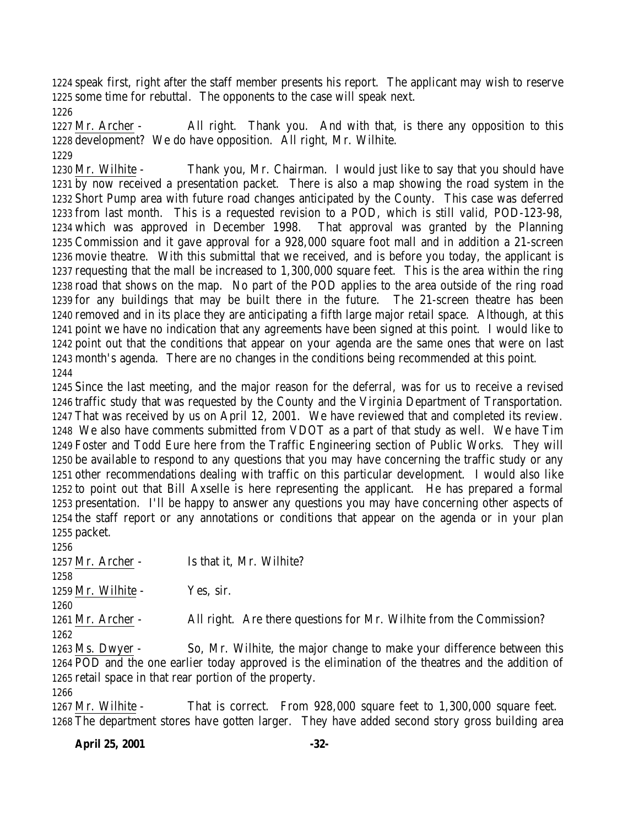speak first, right after the staff member presents his report. The applicant may wish to reserve some time for rebuttal. The opponents to the case will speak next.

 Mr. Archer - All right. Thank you. And with that, is there any opposition to this development? We do have opposition. All right, Mr. Wilhite. 

 Mr. Wilhite - Thank you, Mr. Chairman. I would just like to say that you should have by now received a presentation packet. There is also a map showing the road system in the Short Pump area with future road changes anticipated by the County. This case was deferred from last month. This is a requested revision to a POD, which is still valid, POD-123-98, which was approved in December 1998. That approval was granted by the Planning Commission and it gave approval for a 928,000 square foot mall and in addition a 21-screen movie theatre. With this submittal that we received, and is before you today, the applicant is requesting that the mall be increased to 1,300,000 square feet. This is the area within the ring road that shows on the map. No part of the POD applies to the area outside of the ring road for any buildings that may be built there in the future. The 21-screen theatre has been removed and in its place they are anticipating a fifth large major retail space. Although, at this point we have no indication that any agreements have been signed at this point. I would like to point out that the conditions that appear on your agenda are the same ones that were on last month's agenda. There are no changes in the conditions being recommended at this point. 

 Since the last meeting, and the major reason for the deferral, was for us to receive a revised traffic study that was requested by the County and the Virginia Department of Transportation. That was received by us on April 12, 2001. We have reviewed that and completed its review. We also have comments submitted from VDOT as a part of that study as well. We have Tim Foster and Todd Eure here from the Traffic Engineering section of Public Works. They will be available to respond to any questions that you may have concerning the traffic study or any other recommendations dealing with traffic on this particular development. I would also like to point out that Bill Axselle is here representing the applicant. He has prepared a formal presentation. I'll be happy to answer any questions you may have concerning other aspects of the staff report or any annotations or conditions that appear on the agenda or in your plan packet.

 1257 Mr. Archer - Is that it, Mr. Wilhite? 1259 Mr. Wilhite - Yes, sir. Mr. Archer - All right. Are there questions for Mr. Wilhite from the Commission? Ms. Dwyer - So, Mr. Wilhite, the major change to make your difference between this POD and the one earlier today approved is the elimination of the theatres and the addition of

 retail space in that rear portion of the property. Mr. Wilhite - That is correct. From 928,000 square feet to 1,300,000 square feet.

The department stores have gotten larger. They have added second story gross building area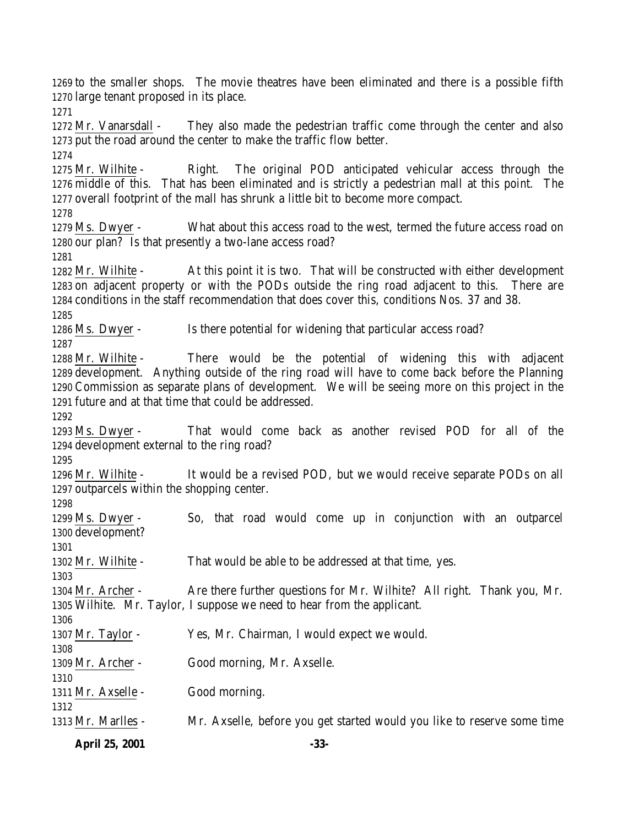to the smaller shops. The movie theatres have been eliminated and there is a possible fifth large tenant proposed in its place.

 Mr. Vanarsdall - They also made the pedestrian traffic come through the center and also put the road around the center to make the traffic flow better. 

 Mr. Wilhite - Right. The original POD anticipated vehicular access through the middle of this. That has been eliminated and is strictly a pedestrian mall at this point. The overall footprint of the mall has shrunk a little bit to become more compact.

 Ms. Dwyer - What about this access road to the west, termed the future access road on our plan? Is that presently a two-lane access road?

 Mr. Wilhite - At this point it is two. That will be constructed with either development on adjacent property or with the PODs outside the ring road adjacent to this. There are conditions in the staff recommendation that does cover this, conditions Nos. 37 and 38.

1286 Ms. Dwyer - Is there potential for widening that particular access road?

 Mr. Wilhite - There would be the potential of widening this with adjacent development. Anything outside of the ring road will have to come back before the Planning Commission as separate plans of development. We will be seeing more on this project in the future and at that time that could be addressed.

 Ms. Dwyer - That would come back as another revised POD for all of the development external to the ring road?

 Mr. Wilhite - It would be a revised POD, but we would receive separate PODs on all outparcels within the shopping center.

**April 25, 2001 -33-** Ms. Dwyer - So, that road would come up in conjunction with an outparcel development? Mr. Wilhite - That would be able to be addressed at that time, yes. Mr. Archer - Are there further questions for Mr. Wilhite? All right. Thank you, Mr. Wilhite. Mr. Taylor, I suppose we need to hear from the applicant. Mr. Taylor - Yes, Mr. Chairman, I would expect we would. Mr. Archer - Good morning, Mr. Axselle. Mr. Axselle - Good morning. Mr. Marlles - Mr. Axselle, before you get started would you like to reserve some time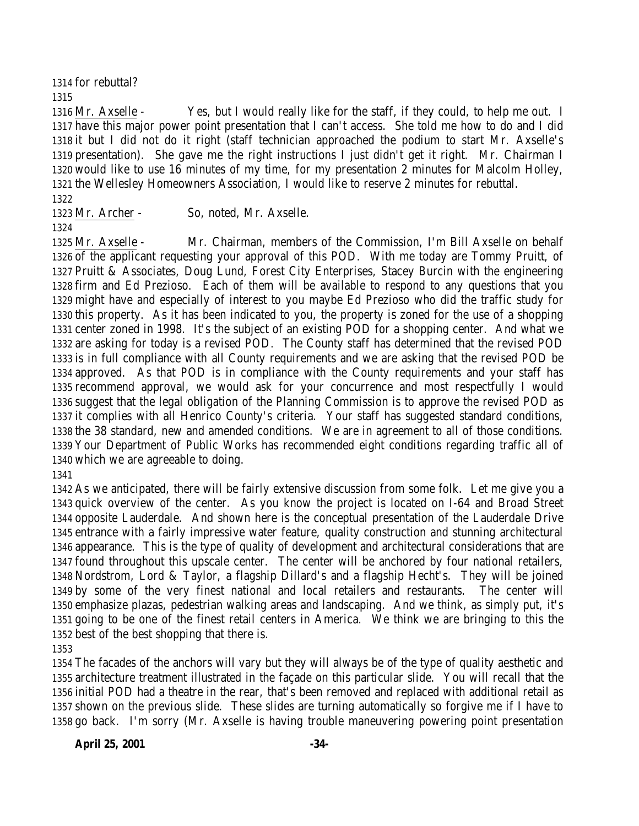for rebuttal? 

 Mr. Axselle - Yes, but I would really like for the staff, if they could, to help me out. I have this major power point presentation that I can't access. She told me how to do and I did it but I did not do it right (staff technician approached the podium to start Mr. Axselle's presentation). She gave me the right instructions I just didn't get it right. Mr. Chairman I would like to use 16 minutes of my time, for my presentation 2 minutes for Malcolm Holley, the Wellesley Homeowners Association, I would like to reserve 2 minutes for rebuttal.

Mr. Archer - So, noted, Mr. Axselle.

 Mr. Axselle - Mr. Chairman, members of the Commission, I'm Bill Axselle on behalf of the applicant requesting your approval of this POD. With me today are Tommy Pruitt, of Pruitt & Associates, Doug Lund, Forest City Enterprises, Stacey Burcin with the engineering firm and Ed Prezioso. Each of them will be available to respond to any questions that you might have and especially of interest to you maybe Ed Prezioso who did the traffic study for this property. As it has been indicated to you, the property is zoned for the use of a shopping center zoned in 1998. It's the subject of an existing POD for a shopping center. And what we are asking for today is a revised POD. The County staff has determined that the revised POD is in full compliance with all County requirements and we are asking that the revised POD be approved. As that POD is in compliance with the County requirements and your staff has recommend approval, we would ask for your concurrence and most respectfully I would suggest that the legal obligation of the Planning Commission is to approve the revised POD as it complies with all Henrico County's criteria. Your staff has suggested standard conditions, the 38 standard, new and amended conditions. We are in agreement to all of those conditions. Your Department of Public Works has recommended eight conditions regarding traffic all of which we are agreeable to doing.

 As we anticipated, there will be fairly extensive discussion from some folk. Let me give you a quick overview of the center. As you know the project is located on I-64 and Broad Street opposite Lauderdale. And shown here is the conceptual presentation of the Lauderdale Drive entrance with a fairly impressive water feature, quality construction and stunning architectural appearance. This is the type of quality of development and architectural considerations that are found throughout this upscale center. The center will be anchored by four national retailers, Nordstrom, Lord & Taylor, a flagship Dillard's and a flagship Hecht's. They will be joined by some of the very finest national and local retailers and restaurants. The center will emphasize plazas, pedestrian walking areas and landscaping. And we think, as simply put, it's going to be one of the finest retail centers in America. We think we are bringing to this the best of the best shopping that there is.

 The facades of the anchors will vary but they will always be of the type of quality aesthetic and architecture treatment illustrated in the façade on this particular slide. You will recall that the initial POD had a theatre in the rear, that's been removed and replaced with additional retail as shown on the previous slide. These slides are turning automatically so forgive me if I have to go back. I'm sorry (Mr. Axselle is having trouble maneuvering powering point presentation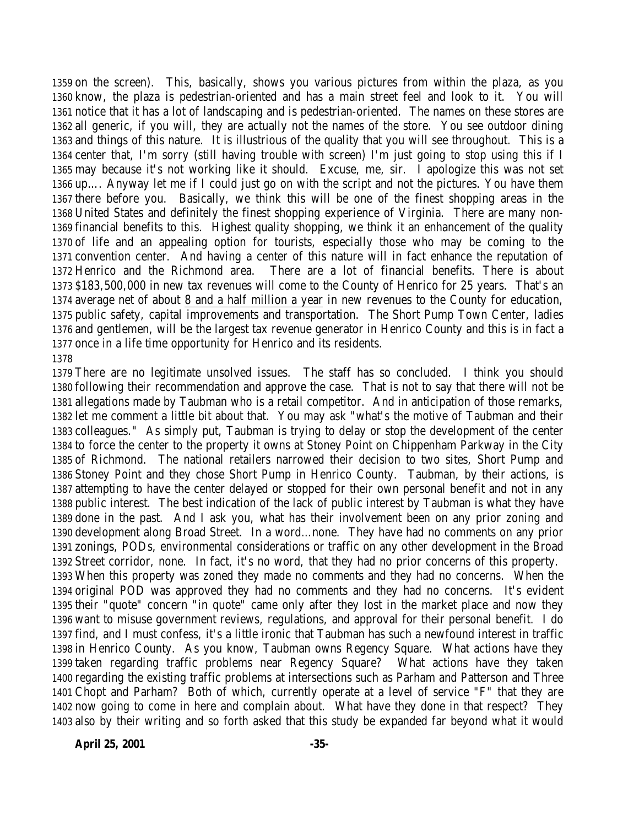on the screen). This, basically, shows you various pictures from within the plaza, as you know, the plaza is pedestrian-oriented and has a main street feel and look to it. You will notice that it has a lot of landscaping and is pedestrian-oriented. The names on these stores are all generic, if you will, they are actually not the names of the store. You see outdoor dining and things of this nature. It is illustrious of the quality that you will see throughout. This is a center that, I'm sorry (still having trouble with screen) I'm just going to stop using this if I may because it's not working like it should. Excuse, me, sir. I apologize this was not set up…. Anyway let me if I could just go on with the script and not the pictures. You have them there before you. Basically, we think this will be one of the finest shopping areas in the United States and definitely the finest shopping experience of Virginia. There are many non- financial benefits to this. Highest quality shopping, we think it an enhancement of the quality of life and an appealing option for tourists, especially those who may be coming to the convention center. And having a center of this nature will in fact enhance the reputation of Henrico and the Richmond area. There are a lot of financial benefits. There is about \$183,500,000 in new tax revenues will come to the County of Henrico for 25 years. That's an average net of about 8 and a half million a year in new revenues to the County for education, public safety, capital improvements and transportation. The Short Pump Town Center, ladies and gentlemen, will be the largest tax revenue generator in Henrico County and this is in fact a once in a life time opportunity for Henrico and its residents. 

 There are no legitimate unsolved issues. The staff has so concluded. I think you should following their recommendation and approve the case. That is not to say that there will not be allegations made by Taubman who is a retail competitor. And in anticipation of those remarks, let me comment a little bit about that. You may ask "what's the motive of Taubman and their colleagues." As simply put, Taubman is trying to delay or stop the development of the center to force the center to the property it owns at Stoney Point on Chippenham Parkway in the City of Richmond. The national retailers narrowed their decision to two sites, Short Pump and Stoney Point and they chose Short Pump in Henrico County. Taubman, by their actions, is attempting to have the center delayed or stopped for their own personal benefit and not in any public interest. The best indication of the lack of public interest by Taubman is what they have done in the past. And I ask you, what has their involvement been on any prior zoning and development along Broad Street. In a word…none. They have had no comments on any prior zonings, PODs, environmental considerations or traffic on any other development in the Broad Street corridor, none. In fact, it's no word, that they had no prior concerns of this property. When this property was zoned they made no comments and they had no concerns. When the original POD was approved they had no comments and they had no concerns. It's evident their "quote" concern "in quote" came only after they lost in the market place and now they want to misuse government reviews, regulations, and approval for their personal benefit. I do find, and I must confess, it's a little ironic that Taubman has such a newfound interest in traffic in Henrico County. As you know, Taubman owns Regency Square. What actions have they taken regarding traffic problems near Regency Square? What actions have they taken regarding the existing traffic problems at intersections such as Parham and Patterson and Three Chopt and Parham? Both of which, currently operate at a level of service "F" that they are now going to come in here and complain about. What have they done in that respect? They also by their writing and so forth asked that this study be expanded far beyond what it would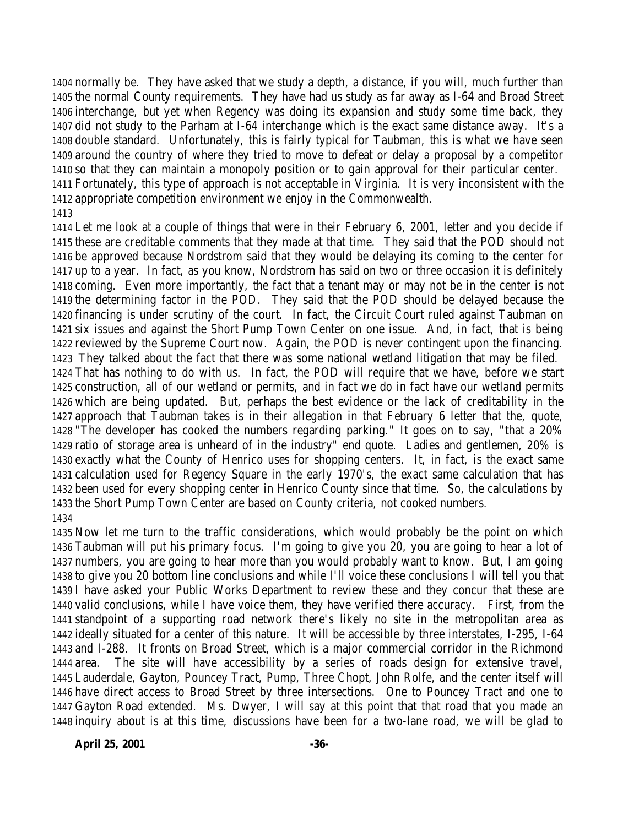normally be. They have asked that we study a depth, a distance, if you will, much further than the normal County requirements. They have had us study as far away as I-64 and Broad Street interchange, but yet when Regency was doing its expansion and study some time back, they did not study to the Parham at I-64 interchange which is the exact same distance away. It's a double standard. Unfortunately, this is fairly typical for Taubman, this is what we have seen around the country of where they tried to move to defeat or delay a proposal by a competitor so that they can maintain a monopoly position or to gain approval for their particular center. Fortunately, this type of approach is not acceptable in Virginia. It is very inconsistent with the appropriate competition environment we enjoy in the Commonwealth. 

 Let me look at a couple of things that were in their February 6, 2001, letter and you decide if these are creditable comments that they made at that time. They said that the POD should not be approved because Nordstrom said that they would be delaying its coming to the center for up to a year. In fact, as you know, Nordstrom has said on two or three occasion it is definitely coming. Even more importantly, the fact that a tenant may or may not be in the center is not the determining factor in the POD. They said that the POD should be delayed because the financing is under scrutiny of the court. In fact, the Circuit Court ruled against Taubman on six issues and against the Short Pump Town Center on one issue. And, in fact, that is being reviewed by the Supreme Court now. Again, the POD is never contingent upon the financing. They talked about the fact that there was some national wetland litigation that may be filed. That has nothing to do with us. In fact, the POD will require that we have, before we start construction, all of our wetland or permits, and in fact we do in fact have our wetland permits which are being updated. But, perhaps the best evidence or the lack of creditability in the approach that Taubman takes is in their allegation in that February 6 letter that the, quote, "The developer has cooked the numbers regarding parking." It goes on to say, "that a 20% ratio of storage area is unheard of in the industry" end quote. Ladies and gentlemen, 20% is exactly what the County of Henrico uses for shopping centers. It, in fact, is the exact same calculation used for Regency Square in the early 1970's, the exact same calculation that has been used for every shopping center in Henrico County since that time. So, the calculations by the Short Pump Town Center are based on County criteria, not cooked numbers. 

 Now let me turn to the traffic considerations, which would probably be the point on which Taubman will put his primary focus. I'm going to give you 20, you are going to hear a lot of numbers, you are going to hear more than you would probably want to know. But, I am going to give you 20 bottom line conclusions and while I'll voice these conclusions I will tell you that I have asked your Public Works Department to review these and they concur that these are valid conclusions, while I have voice them, they have verified there accuracy. First, from the standpoint of a supporting road network there's likely no site in the metropolitan area as ideally situated for a center of this nature. It will be accessible by three interstates, I-295, I-64 and I-288. It fronts on Broad Street, which is a major commercial corridor in the Richmond area. The site will have accessibility by a series of roads design for extensive travel, Lauderdale, Gayton, Pouncey Tract, Pump, Three Chopt, John Rolfe, and the center itself will have direct access to Broad Street by three intersections. One to Pouncey Tract and one to Gayton Road extended. Ms. Dwyer, I will say at this point that that road that you made an inquiry about is at this time, discussions have been for a two-lane road, we will be glad to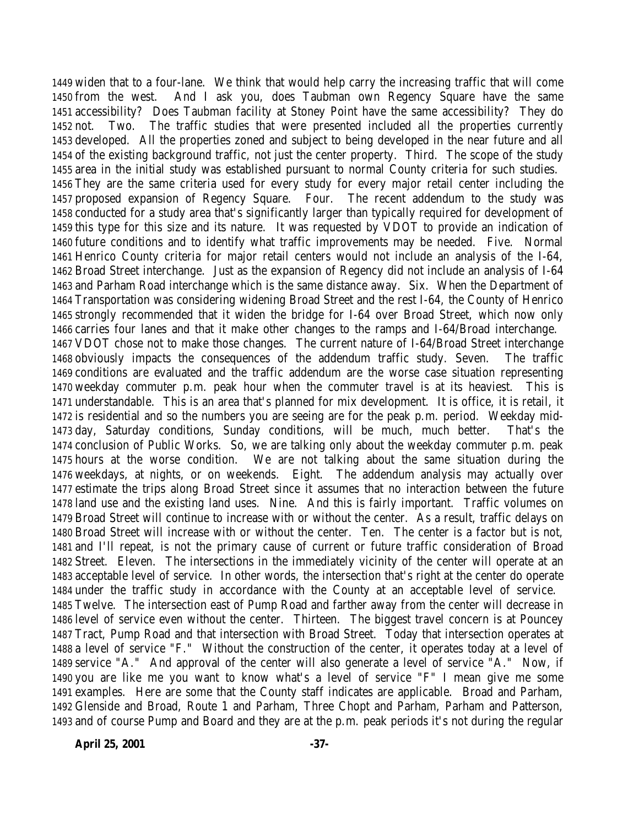widen that to a four-lane. We think that would help carry the increasing traffic that will come from the west. And I ask you, does Taubman own Regency Square have the same accessibility? Does Taubman facility at Stoney Point have the same accessibility? They do not. Two. The traffic studies that were presented included all the properties currently developed. All the properties zoned and subject to being developed in the near future and all of the existing background traffic, not just the center property. Third. The scope of the study area in the initial study was established pursuant to normal County criteria for such studies. They are the same criteria used for every study for every major retail center including the proposed expansion of Regency Square. Four. The recent addendum to the study was conducted for a study area that's significantly larger than typically required for development of this type for this size and its nature. It was requested by VDOT to provide an indication of future conditions and to identify what traffic improvements may be needed. Five. Normal Henrico County criteria for major retail centers would not include an analysis of the I-64, Broad Street interchange. Just as the expansion of Regency did not include an analysis of I-64 and Parham Road interchange which is the same distance away. Six. When the Department of Transportation was considering widening Broad Street and the rest I-64, the County of Henrico strongly recommended that it widen the bridge for I-64 over Broad Street, which now only carries four lanes and that it make other changes to the ramps and I-64/Broad interchange. VDOT chose not to make those changes. The current nature of I-64/Broad Street interchange obviously impacts the consequences of the addendum traffic study. Seven. The traffic conditions are evaluated and the traffic addendum are the worse case situation representing weekday commuter p.m. peak hour when the commuter travel is at its heaviest. This is understandable. This is an area that's planned for mix development. It is office, it is retail, it is residential and so the numbers you are seeing are for the peak p.m. period. Weekday mid- day, Saturday conditions, Sunday conditions, will be much, much better. That's the conclusion of Public Works. So, we are talking only about the weekday commuter p.m. peak hours at the worse condition. We are not talking about the same situation during the weekdays, at nights, or on weekends. Eight. The addendum analysis may actually over estimate the trips along Broad Street since it assumes that no interaction between the future land use and the existing land uses. Nine. And this is fairly important. Traffic volumes on Broad Street will continue to increase with or without the center. As a result, traffic delays on Broad Street will increase with or without the center. Ten. The center is a factor but is not, and I'll repeat, is not the primary cause of current or future traffic consideration of Broad Street. Eleven. The intersections in the immediately vicinity of the center will operate at an acceptable level of service. In other words, the intersection that's right at the center do operate under the traffic study in accordance with the County at an acceptable level of service. Twelve. The intersection east of Pump Road and farther away from the center will decrease in level of service even without the center. Thirteen. The biggest travel concern is at Pouncey Tract, Pump Road and that intersection with Broad Street. Today that intersection operates at a level of service "F." Without the construction of the center, it operates today at a level of service "A." And approval of the center will also generate a level of service "A." Now, if you are like me you want to know what's a level of service "F" I mean give me some examples. Here are some that the County staff indicates are applicable. Broad and Parham, Glenside and Broad, Route 1 and Parham, Three Chopt and Parham, Parham and Patterson, and of course Pump and Board and they are at the p.m. peak periods it's not during the regular

**April 25, 2001 -37-**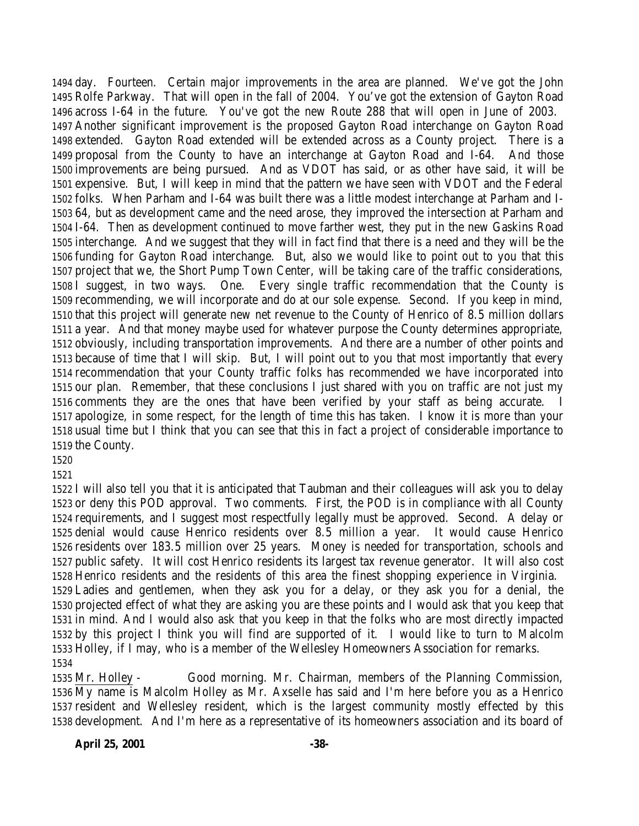day. Fourteen. Certain major improvements in the area are planned. We've got the John Rolfe Parkway. That will open in the fall of 2004. You've got the extension of Gayton Road across I-64 in the future. You've got the new Route 288 that will open in June of 2003. Another significant improvement is the proposed Gayton Road interchange on Gayton Road extended. Gayton Road extended will be extended across as a County project. There is a proposal from the County to have an interchange at Gayton Road and I-64. And those improvements are being pursued. And as VDOT has said, or as other have said, it will be expensive. But, I will keep in mind that the pattern we have seen with VDOT and the Federal folks. When Parham and I-64 was built there was a little modest interchange at Parham and I- 64, but as development came and the need arose, they improved the intersection at Parham and I-64. Then as development continued to move farther west, they put in the new Gaskins Road interchange. And we suggest that they will in fact find that there is a need and they will be the funding for Gayton Road interchange. But, also we would like to point out to you that this project that we, the Short Pump Town Center, will be taking care of the traffic considerations, I suggest, in two ways. One. Every single traffic recommendation that the County is recommending, we will incorporate and do at our sole expense. Second. If you keep in mind, that this project will generate new net revenue to the County of Henrico of 8.5 million dollars a year. And that money maybe used for whatever purpose the County determines appropriate, obviously, including transportation improvements. And there are a number of other points and because of time that I will skip. But, I will point out to you that most importantly that every recommendation that your County traffic folks has recommended we have incorporated into our plan. Remember, that these conclusions I just shared with you on traffic are not just my comments they are the ones that have been verified by your staff as being accurate. I apologize, in some respect, for the length of time this has taken. I know it is more than your usual time but I think that you can see that this in fact a project of considerable importance to the County.

 I will also tell you that it is anticipated that Taubman and their colleagues will ask you to delay or deny this POD approval. Two comments. First, the POD is in compliance with all County requirements, and I suggest most respectfully legally must be approved. Second. A delay or denial would cause Henrico residents over 8.5 million a year. It would cause Henrico residents over 183.5 million over 25 years. Money is needed for transportation, schools and public safety. It will cost Henrico residents its largest tax revenue generator. It will also cost Henrico residents and the residents of this area the finest shopping experience in Virginia. Ladies and gentlemen, when they ask you for a delay, or they ask you for a denial, the projected effect of what they are asking you are these points and I would ask that you keep that in mind. And I would also ask that you keep in that the folks who are most directly impacted by this project I think you will find are supported of it. I would like to turn to Malcolm Holley, if I may, who is a member of the Wellesley Homeowners Association for remarks. 

 Mr. Holley - Good morning. Mr. Chairman, members of the Planning Commission, My name is Malcolm Holley as Mr. Axselle has said and I'm here before you as a Henrico resident and Wellesley resident, which is the largest community mostly effected by this development. And I'm here as a representative of its homeowners association and its board of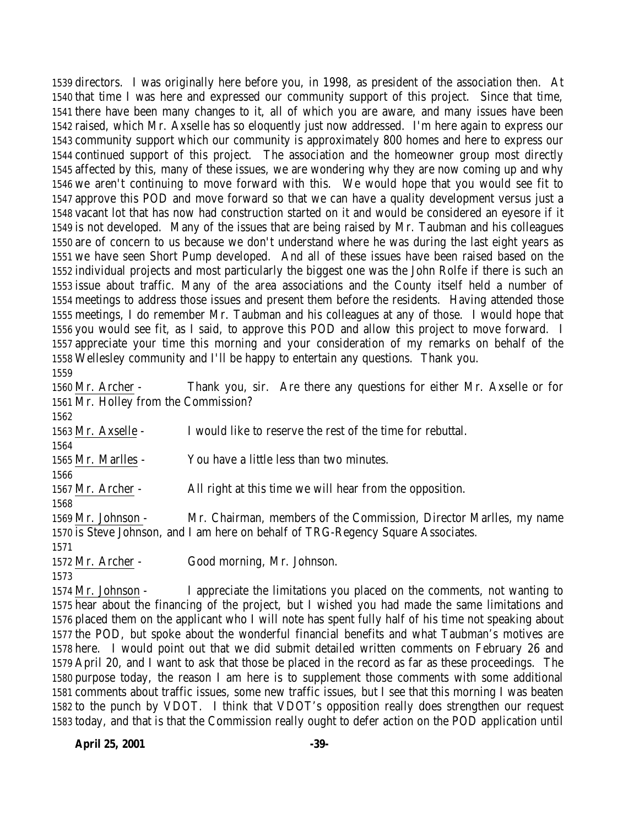directors. I was originally here before you, in 1998, as president of the association then. At that time I was here and expressed our community support of this project. Since that time, there have been many changes to it, all of which you are aware, and many issues have been raised, which Mr. Axselle has so eloquently just now addressed. I'm here again to express our community support which our community is approximately 800 homes and here to express our continued support of this project. The association and the homeowner group most directly affected by this, many of these issues, we are wondering why they are now coming up and why we aren't continuing to move forward with this. We would hope that you would see fit to approve this POD and move forward so that we can have a quality development versus just a vacant lot that has now had construction started on it and would be considered an eyesore if it is not developed. Many of the issues that are being raised by Mr. Taubman and his colleagues are of concern to us because we don't understand where he was during the last eight years as we have seen Short Pump developed. And all of these issues have been raised based on the individual projects and most particularly the biggest one was the John Rolfe if there is such an issue about traffic. Many of the area associations and the County itself held a number of meetings to address those issues and present them before the residents. Having attended those meetings, I do remember Mr. Taubman and his colleagues at any of those. I would hope that you would see fit, as I said, to approve this POD and allow this project to move forward. I appreciate your time this morning and your consideration of my remarks on behalf of the Wellesley community and I'll be happy to entertain any questions. Thank you.

 Mr. Archer - Thank you, sir. Are there any questions for either Mr. Axselle or for Mr. Holley from the Commission?

 Mr. Axselle - I would like to reserve the rest of the time for rebuttal. Mr. Marlles - You have a little less than two minutes. Mr. Archer - All right at this time we will hear from the opposition. Mr. Johnson - Mr. Chairman, members of the Commission, Director Marlles, my name is Steve Johnson, and I am here on behalf of TRG-Regency Square Associates. 

Mr. Archer - Good morning, Mr. Johnson.

 Mr. Johnson - I appreciate the limitations you placed on the comments, not wanting to hear about the financing of the project, but I wished you had made the same limitations and placed them on the applicant who I will note has spent fully half of his time not speaking about the POD, but spoke about the wonderful financial benefits and what Taubman's motives are here. I would point out that we did submit detailed written comments on February 26 and April 20, and I want to ask that those be placed in the record as far as these proceedings. The purpose today, the reason I am here is to supplement those comments with some additional comments about traffic issues, some new traffic issues, but I see that this morning I was beaten to the punch by VDOT. I think that VDOT's opposition really does strengthen our request today, and that is that the Commission really ought to defer action on the POD application until

**April 25, 2001 -39-**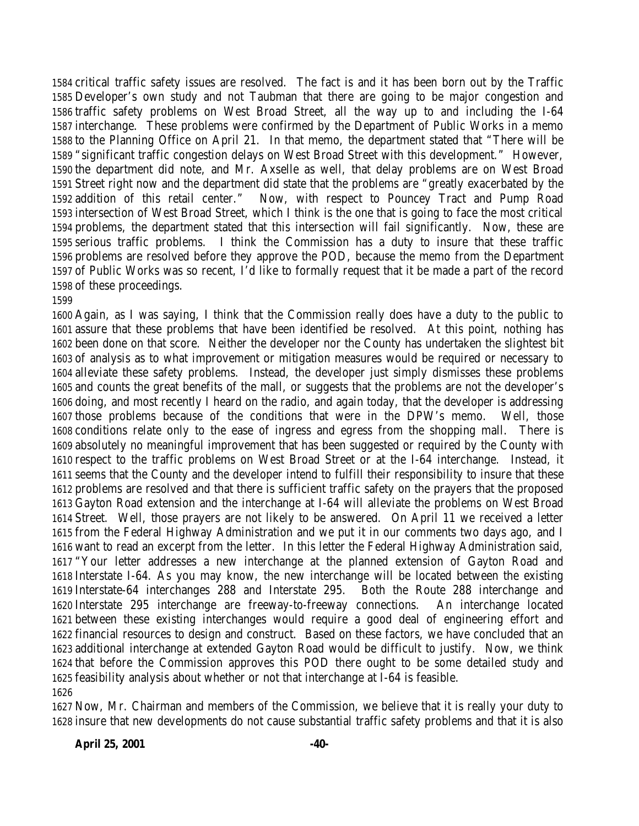critical traffic safety issues are resolved. The fact is and it has been born out by the Traffic Developer's own study and not Taubman that there are going to be major congestion and traffic safety problems on West Broad Street, all the way up to and including the I-64 interchange. These problems were confirmed by the Department of Public Works in a memo to the Planning Office on April 21. In that memo, the department stated that "There will be "significant traffic congestion delays on West Broad Street with this development." However, the department did note, and Mr. Axselle as well, that delay problems are on West Broad Street right now and the department did state that the problems are "greatly exacerbated by the addition of this retail center." Now, with respect to Pouncey Tract and Pump Road intersection of West Broad Street, which I think is the one that is going to face the most critical problems, the department stated that this intersection will fail significantly. Now, these are serious traffic problems. I think the Commission has a duty to insure that these traffic problems are resolved before they approve the POD, because the memo from the Department of Public Works was so recent, I'd like to formally request that it be made a part of the record of these proceedings.

 Again, as I was saying, I think that the Commission really does have a duty to the public to assure that these problems that have been identified be resolved. At this point, nothing has been done on that score. Neither the developer nor the County has undertaken the slightest bit of analysis as to what improvement or mitigation measures would be required or necessary to alleviate these safety problems. Instead, the developer just simply dismisses these problems and counts the great benefits of the mall, or suggests that the problems are not the developer's doing, and most recently I heard on the radio, and again today, that the developer is addressing those problems because of the conditions that were in the DPW's memo. Well, those conditions relate only to the ease of ingress and egress from the shopping mall. There is absolutely no meaningful improvement that has been suggested or required by the County with respect to the traffic problems on West Broad Street or at the I-64 interchange. Instead, it seems that the County and the developer intend to fulfill their responsibility to insure that these problems are resolved and that there is sufficient traffic safety on the prayers that the proposed Gayton Road extension and the interchange at I-64 will alleviate the problems on West Broad Street. Well, those prayers are not likely to be answered. On April 11 we received a letter from the Federal Highway Administration and we put it in our comments two days ago, and I want to read an excerpt from the letter. In this letter the Federal Highway Administration said, "Your letter addresses a new interchange at the planned extension of Gayton Road and Interstate I-64. As you may know, the new interchange will be located between the existing Interstate-64 interchanges 288 and Interstate 295. Both the Route 288 interchange and Interstate 295 interchange are freeway-to-freeway connections. An interchange located between these existing interchanges would require a good deal of engineering effort and financial resources to design and construct. Based on these factors, we have concluded that an additional interchange at extended Gayton Road would be difficult to justify. Now, we think that before the Commission approves this POD there ought to be some detailed study and feasibility analysis about whether or not that interchange at I-64 is feasible. 

 Now, Mr. Chairman and members of the Commission, we believe that it is really your duty to insure that new developments do not cause substantial traffic safety problems and that it is also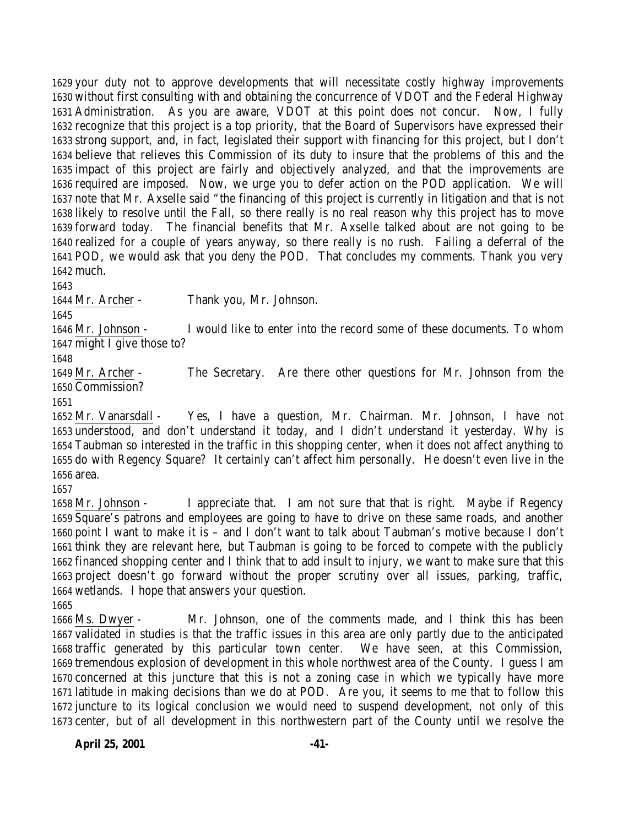your duty not to approve developments that will necessitate costly highway improvements without first consulting with and obtaining the concurrence of VDOT and the Federal Highway Administration. As you are aware, VDOT at this point does not concur. Now, I fully recognize that this project is a top priority, that the Board of Supervisors have expressed their strong support, and, in fact, legislated their support with financing for this project, but I don't believe that relieves this Commission of its duty to insure that the problems of this and the impact of this project are fairly and objectively analyzed, and that the improvements are required are imposed. Now, we urge you to defer action on the POD application. We will note that Mr. Axselle said "the financing of this project is currently in litigation and that is not likely to resolve until the Fall, so there really is no real reason why this project has to move forward today. The financial benefits that Mr. Axselle talked about are not going to be realized for a couple of years anyway, so there really is no rush. Failing a deferral of the POD, we would ask that you deny the POD. That concludes my comments. Thank you very much.

Mr. Archer - Thank you, Mr. Johnson.

 Mr. Johnson - I would like to enter into the record some of these documents. To whom 1647 might I give those to?

 Mr. Archer - The Secretary. Are there other questions for Mr. Johnson from the Commission?

 Mr. Vanarsdall - Yes, I have a question, Mr. Chairman. Mr. Johnson, I have not understood, and don't understand it today, and I didn't understand it yesterday. Why is Taubman so interested in the traffic in this shopping center, when it does not affect anything to do with Regency Square? It certainly can't affect him personally. He doesn't even live in the area.

 Mr. Johnson - I appreciate that. I am not sure that that is right. Maybe if Regency Square's patrons and employees are going to have to drive on these same roads, and another point I want to make it is – and I don't want to talk about Taubman's motive because I don't think they are relevant here, but Taubman is going to be forced to compete with the publicly financed shopping center and I think that to add insult to injury, we want to make sure that this project doesn't go forward without the proper scrutiny over all issues, parking, traffic, wetlands. I hope that answers your question.

 Ms. Dwyer - Mr. Johnson, one of the comments made, and I think this has been validated in studies is that the traffic issues in this area are only partly due to the anticipated traffic generated by this particular town center. We have seen, at this Commission, tremendous explosion of development in this whole northwest area of the County. I guess I am concerned at this juncture that this is not a zoning case in which we typically have more latitude in making decisions than we do at POD. Are you, it seems to me that to follow this juncture to its logical conclusion we would need to suspend development, not only of this center, but of all development in this northwestern part of the County until we resolve the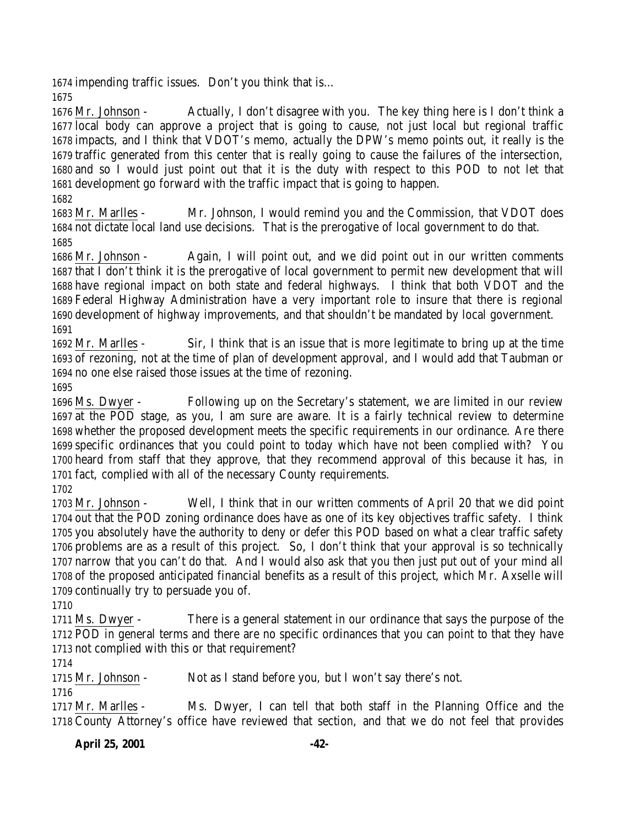impending traffic issues. Don't you think that is…

 Mr. Johnson - Actually, I don't disagree with you. The key thing here is I don't think a local body can approve a project that is going to cause, not just local but regional traffic impacts, and I think that VDOT's memo, actually the DPW's memo points out, it really is the traffic generated from this center that is really going to cause the failures of the intersection, and so I would just point out that it is the duty with respect to this POD to not let that development go forward with the traffic impact that is going to happen.

 Mr. Marlles - Mr. Johnson, I would remind you and the Commission, that VDOT does not dictate local land use decisions. That is the prerogative of local government to do that. 

 Mr. Johnson - Again, I will point out, and we did point out in our written comments that I don't think it is the prerogative of local government to permit new development that will have regional impact on both state and federal highways. I think that both VDOT and the Federal Highway Administration have a very important role to insure that there is regional development of highway improvements, and that shouldn't be mandated by local government. 

 Mr. Marlles - Sir, I think that is an issue that is more legitimate to bring up at the time of rezoning, not at the time of plan of development approval, and I would add that Taubman or no one else raised those issues at the time of rezoning.

 Ms. Dwyer - Following up on the Secretary's statement, we are limited in our review at the POD stage, as you, I am sure are aware. It is a fairly technical review to determine whether the proposed development meets the specific requirements in our ordinance. Are there specific ordinances that you could point to today which have not been complied with? You heard from staff that they approve, that they recommend approval of this because it has, in fact, complied with all of the necessary County requirements.

 Mr. Johnson - Well, I think that in our written comments of April 20 that we did point out that the POD zoning ordinance does have as one of its key objectives traffic safety. I think you absolutely have the authority to deny or defer this POD based on what a clear traffic safety problems are as a result of this project. So, I don't think that your approval is so technically narrow that you can't do that. And I would also ask that you then just put out of your mind all of the proposed anticipated financial benefits as a result of this project, which Mr. Axselle will continually try to persuade you of.

 Ms. Dwyer - There is a general statement in our ordinance that says the purpose of the POD in general terms and there are no specific ordinances that you can point to that they have not complied with this or that requirement?

Mr. Johnson - Not as I stand before you, but I won't say there's not.

 Mr. Marlles - Ms. Dwyer, I can tell that both staff in the Planning Office and the County Attorney's office have reviewed that section, and that we do not feel that provides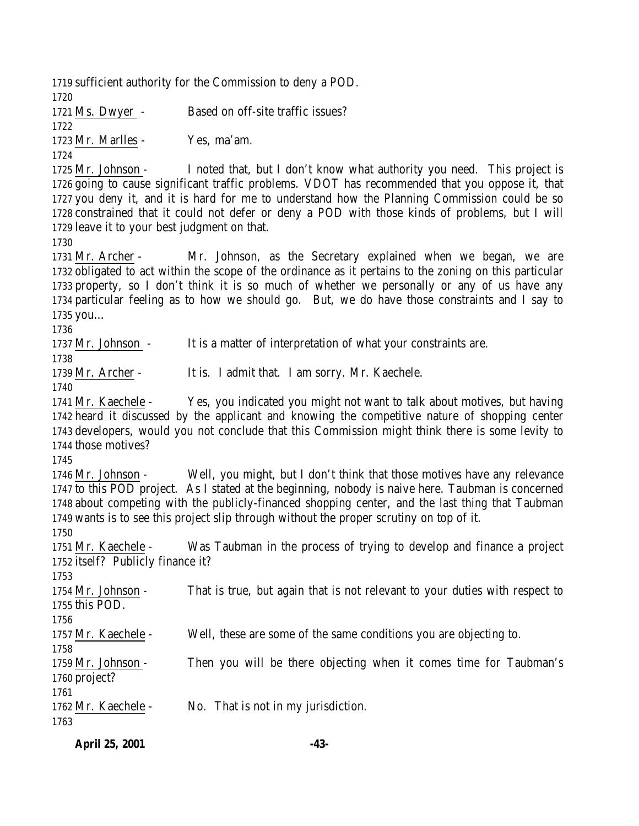sufficient authority for the Commission to deny a POD. Ms. Dwyer - Based on off-site traffic issues? Mr. Marlles - Yes, ma'am. Mr. Johnson - I noted that, but I don't know what authority you need. This project is going to cause significant traffic problems. VDOT has recommended that you oppose it, that you deny it, and it is hard for me to understand how the Planning Commission could be so constrained that it could not defer or deny a POD with those kinds of problems, but I will leave it to your best judgment on that. Mr. Archer - Mr. Johnson, as the Secretary explained when we began, we are obligated to act within the scope of the ordinance as it pertains to the zoning on this particular property, so I don't think it is so much of whether we personally or any of us have any particular feeling as to how we should go. But, we do have those constraints and I say to you… Mr. Johnson - It is a matter of interpretation of what your constraints are. Mr. Archer - It is. I admit that. I am sorry. Mr. Kaechele. Mr. Kaechele - Yes, you indicated you might not want to talk about motives, but having heard it discussed by the applicant and knowing the competitive nature of shopping center developers, would you not conclude that this Commission might think there is some levity to those motives? Mr. Johnson - Well, you might, but I don't think that those motives have any relevance to this POD project. As I stated at the beginning, nobody is naive here. Taubman is concerned about competing with the publicly-financed shopping center, and the last thing that Taubman wants is to see this project slip through without the proper scrutiny on top of it. Mr. Kaechele - Was Taubman in the process of trying to develop and finance a project itself? Publicly finance it? Mr. Johnson - That is true, but again that is not relevant to your duties with respect to this POD. Mr. Kaechele - Well, these are some of the same conditions you are objecting to. Mr. Johnson - Then you will be there objecting when it comes time for Taubman's project? Mr. Kaechele - No. That is not in my jurisdiction. 

**April 25, 2001 -43-**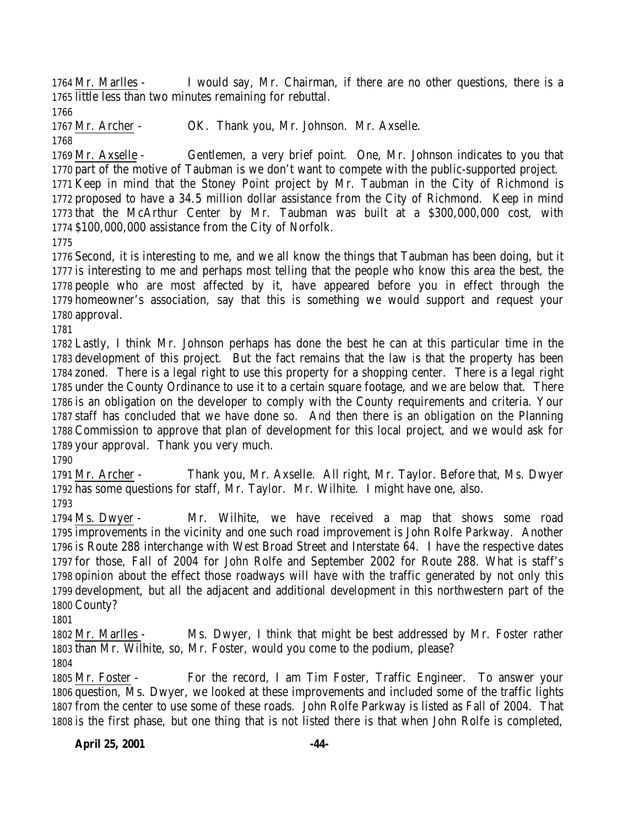Mr. Marlles - I would say, Mr. Chairman, if there are no other questions, there is a little less than two minutes remaining for rebuttal.

Mr. Archer - OK. Thank you, Mr. Johnson. Mr. Axselle.

 Mr. Axselle - Gentlemen, a very brief point. One, Mr. Johnson indicates to you that part of the motive of Taubman is we don't want to compete with the public-supported project. Keep in mind that the Stoney Point project by Mr. Taubman in the City of Richmond is proposed to have a 34.5 million dollar assistance from the City of Richmond. Keep in mind that the McArthur Center by Mr. Taubman was built at a \$300,000,000 cost, with \$100,000,000 assistance from the City of Norfolk.

 Second, it is interesting to me, and we all know the things that Taubman has been doing, but it is interesting to me and perhaps most telling that the people who know this area the best, the people who are most affected by it, have appeared before you in effect through the homeowner's association, say that this is something we would support and request your approval.

 Lastly, I think Mr. Johnson perhaps has done the best he can at this particular time in the development of this project. But the fact remains that the law is that the property has been zoned. There is a legal right to use this property for a shopping center. There is a legal right under the County Ordinance to use it to a certain square footage, and we are below that. There is an obligation on the developer to comply with the County requirements and criteria. Your staff has concluded that we have done so. And then there is an obligation on the Planning Commission to approve that plan of development for this local project, and we would ask for your approval. Thank you very much.

 Mr. Archer - Thank you, Mr. Axselle. All right, Mr. Taylor. Before that, Ms. Dwyer has some questions for staff, Mr. Taylor. Mr. Wilhite. I might have one, also. 

 Ms. Dwyer - Mr. Wilhite, we have received a map that shows some road improvements in the vicinity and one such road improvement is John Rolfe Parkway. Another is Route 288 interchange with West Broad Street and Interstate 64. I have the respective dates for those, Fall of 2004 for John Rolfe and September 2002 for Route 288. What is staff's opinion about the effect those roadways will have with the traffic generated by not only this development, but all the adjacent and additional development in this northwestern part of the County?

 Mr. Marlles - Ms. Dwyer, I think that might be best addressed by Mr. Foster rather than Mr. Wilhite, so, Mr. Foster, would you come to the podium, please?

 Mr. Foster - For the record, I am Tim Foster, Traffic Engineer. To answer your question, Ms. Dwyer, we looked at these improvements and included some of the traffic lights from the center to use some of these roads. John Rolfe Parkway is listed as Fall of 2004. That is the first phase, but one thing that is not listed there is that when John Rolfe is completed,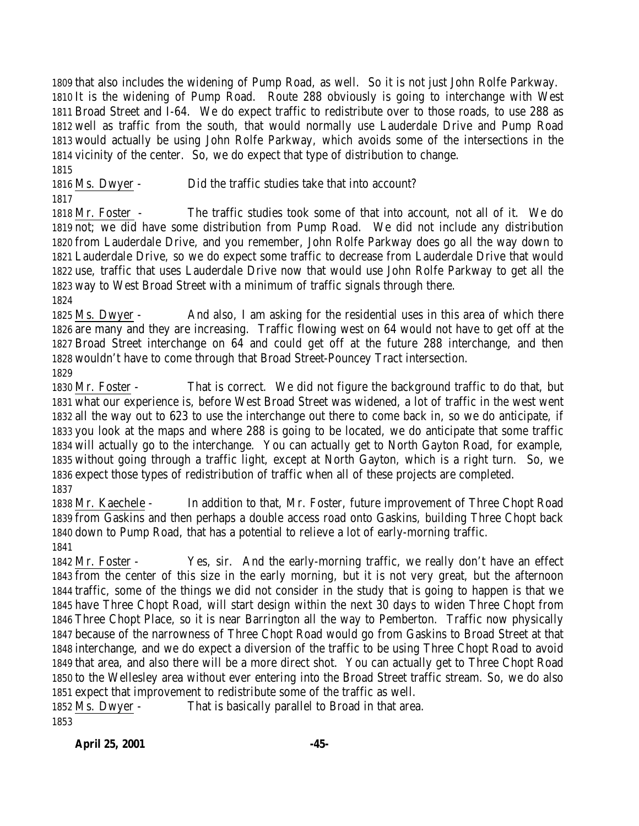that also includes the widening of Pump Road, as well. So it is not just John Rolfe Parkway. It is the widening of Pump Road. Route 288 obviously is going to interchange with West Broad Street and I-64. We do expect traffic to redistribute over to those roads, to use 288 as well as traffic from the south, that would normally use Lauderdale Drive and Pump Road would actually be using John Rolfe Parkway, which avoids some of the intersections in the vicinity of the center. So, we do expect that type of distribution to change. 

Ms. Dwyer - Did the traffic studies take that into account?

 Mr. Foster - The traffic studies took some of that into account, not all of it. We do not; we did have some distribution from Pump Road. We did not include any distribution from Lauderdale Drive, and you remember, John Rolfe Parkway does go all the way down to Lauderdale Drive, so we do expect some traffic to decrease from Lauderdale Drive that would use, traffic that uses Lauderdale Drive now that would use John Rolfe Parkway to get all the way to West Broad Street with a minimum of traffic signals through there.

 Ms. Dwyer - And also, I am asking for the residential uses in this area of which there are many and they are increasing. Traffic flowing west on 64 would not have to get off at the Broad Street interchange on 64 and could get off at the future 288 interchange, and then wouldn't have to come through that Broad Street-Pouncey Tract intersection. 

 Mr. Foster - That is correct. We did not figure the background traffic to do that, but what our experience is, before West Broad Street was widened, a lot of traffic in the west went all the way out to 623 to use the interchange out there to come back in, so we do anticipate, if you look at the maps and where 288 is going to be located, we do anticipate that some traffic will actually go to the interchange. You can actually get to North Gayton Road, for example, without going through a traffic light, except at North Gayton, which is a right turn. So, we expect those types of redistribution of traffic when all of these projects are completed. 

 Mr. Kaechele - In addition to that, Mr. Foster, future improvement of Three Chopt Road from Gaskins and then perhaps a double access road onto Gaskins, building Three Chopt back down to Pump Road, that has a potential to relieve a lot of early-morning traffic. 

 Mr. Foster - Yes, sir. And the early-morning traffic, we really don't have an effect from the center of this size in the early morning, but it is not very great, but the afternoon traffic, some of the things we did not consider in the study that is going to happen is that we have Three Chopt Road, will start design within the next 30 days to widen Three Chopt from Three Chopt Place, so it is near Barrington all the way to Pemberton. Traffic now physically because of the narrowness of Three Chopt Road would go from Gaskins to Broad Street at that interchange, and we do expect a diversion of the traffic to be using Three Chopt Road to avoid that area, and also there will be a more direct shot. You can actually get to Three Chopt Road to the Wellesley area without ever entering into the Broad Street traffic stream. So, we do also expect that improvement to redistribute some of the traffic as well.

 Ms. Dwyer - That is basically parallel to Broad in that area.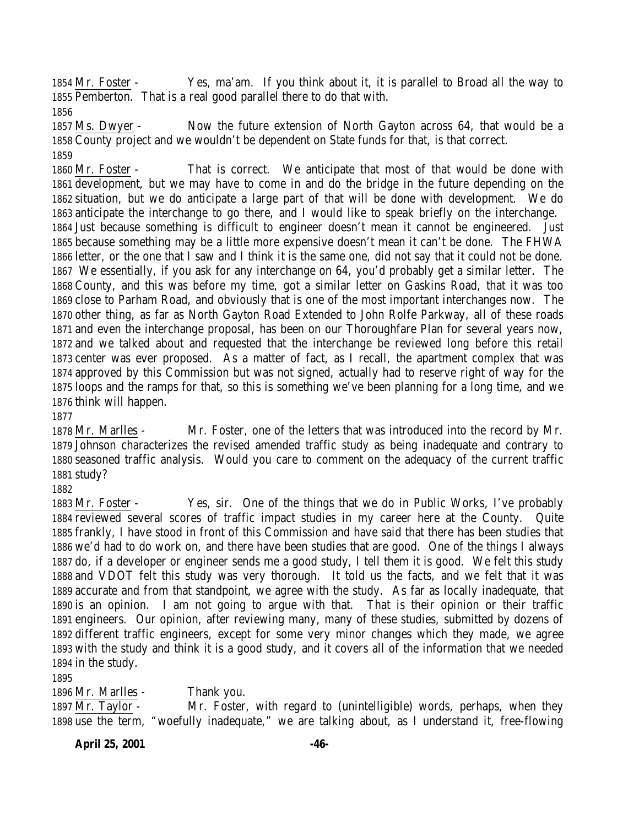Mr. Foster - Yes, ma'am. If you think about it, it is parallel to Broad all the way to Pemberton. That is a real good parallel there to do that with.

 Ms. Dwyer - Now the future extension of North Gayton across 64, that would be a County project and we wouldn't be dependent on State funds for that, is that correct. 

 Mr. Foster - That is correct. We anticipate that most of that would be done with development, but we may have to come in and do the bridge in the future depending on the situation, but we do anticipate a large part of that will be done with development. We do anticipate the interchange to go there, and I would like to speak briefly on the interchange. Just because something is difficult to engineer doesn't mean it cannot be engineered. Just because something may be a little more expensive doesn't mean it can't be done. The FHWA letter, or the one that I saw and I think it is the same one, did not say that it could not be done. We essentially, if you ask for any interchange on 64, you'd probably get a similar letter. The County, and this was before my time, got a similar letter on Gaskins Road, that it was too close to Parham Road, and obviously that is one of the most important interchanges now. The other thing, as far as North Gayton Road Extended to John Rolfe Parkway, all of these roads and even the interchange proposal, has been on our Thoroughfare Plan for several years now, and we talked about and requested that the interchange be reviewed long before this retail center was ever proposed. As a matter of fact, as I recall, the apartment complex that was approved by this Commission but was not signed, actually had to reserve right of way for the loops and the ramps for that, so this is something we've been planning for a long time, and we think will happen.

 Mr. Marlles - Mr. Foster, one of the letters that was introduced into the record by Mr. Johnson characterizes the revised amended traffic study as being inadequate and contrary to seasoned traffic analysis. Would you care to comment on the adequacy of the current traffic study?

 Mr. Foster - Yes, sir. One of the things that we do in Public Works, I've probably reviewed several scores of traffic impact studies in my career here at the County. Quite frankly, I have stood in front of this Commission and have said that there has been studies that we'd had to do work on, and there have been studies that are good. One of the things I always do, if a developer or engineer sends me a good study, I tell them it is good. We felt this study and VDOT felt this study was very thorough. It told us the facts, and we felt that it was accurate and from that standpoint, we agree with the study. As far as locally inadequate, that is an opinion. I am not going to argue with that. That is their opinion or their traffic engineers. Our opinion, after reviewing many, many of these studies, submitted by dozens of different traffic engineers, except for some very minor changes which they made, we agree with the study and think it is a good study, and it covers all of the information that we needed in the study.

Mr. Marlles - Thank you.

 Mr. Taylor - Mr. Foster, with regard to (unintelligible) words, perhaps, when they use the term, "woefully inadequate," we are talking about, as I understand it, free-flowing

**April 25, 2001 -46-**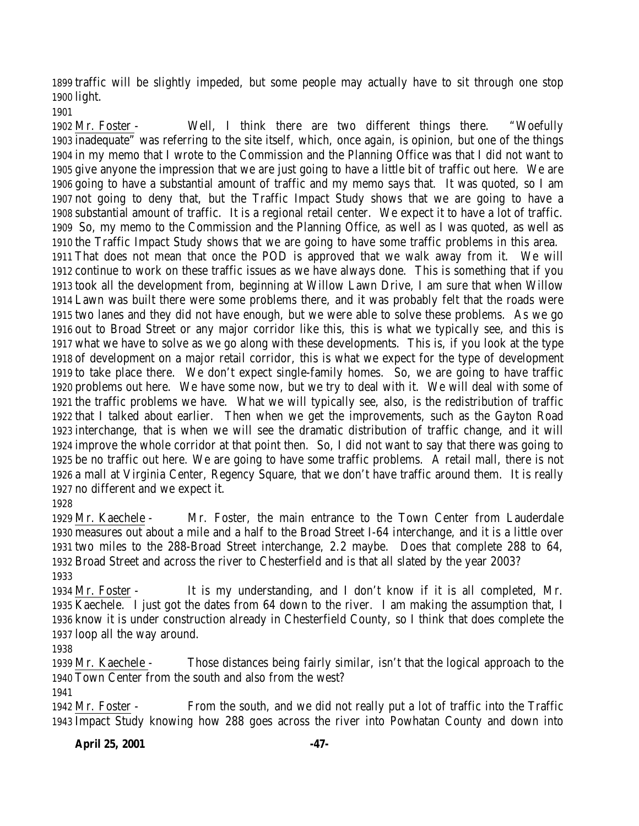traffic will be slightly impeded, but some people may actually have to sit through one stop light.

 Mr. Foster - Well, I think there are two different things there. "Woefully inadequate" was referring to the site itself, which, once again, is opinion, but one of the things in my memo that I wrote to the Commission and the Planning Office was that I did not want to give anyone the impression that we are just going to have a little bit of traffic out here. We are going to have a substantial amount of traffic and my memo says that. It was quoted, so I am not going to deny that, but the Traffic Impact Study shows that we are going to have a substantial amount of traffic. It is a regional retail center. We expect it to have a lot of traffic. So, my memo to the Commission and the Planning Office, as well as I was quoted, as well as the Traffic Impact Study shows that we are going to have some traffic problems in this area. That does not mean that once the POD is approved that we walk away from it. We will continue to work on these traffic issues as we have always done. This is something that if you took all the development from, beginning at Willow Lawn Drive, I am sure that when Willow Lawn was built there were some problems there, and it was probably felt that the roads were two lanes and they did not have enough, but we were able to solve these problems. As we go out to Broad Street or any major corridor like this, this is what we typically see, and this is what we have to solve as we go along with these developments. This is, if you look at the type of development on a major retail corridor, this is what we expect for the type of development to take place there. We don't expect single-family homes. So, we are going to have traffic problems out here. We have some now, but we try to deal with it. We will deal with some of the traffic problems we have. What we will typically see, also, is the redistribution of traffic that I talked about earlier. Then when we get the improvements, such as the Gayton Road interchange, that is when we will see the dramatic distribution of traffic change, and it will improve the whole corridor at that point then. So, I did not want to say that there was going to be no traffic out here. We are going to have some traffic problems. A retail mall, there is not a mall at Virginia Center, Regency Square, that we don't have traffic around them. It is really no different and we expect it.

 Mr. Kaechele - Mr. Foster, the main entrance to the Town Center from Lauderdale measures out about a mile and a half to the Broad Street I-64 interchange, and it is a little over two miles to the 288-Broad Street interchange, 2.2 maybe. Does that complete 288 to 64, Broad Street and across the river to Chesterfield and is that all slated by the year 2003? 

 Mr. Foster - It is my understanding, and I don't know if it is all completed, Mr. Kaechele. I just got the dates from 64 down to the river. I am making the assumption that, I know it is under construction already in Chesterfield County, so I think that does complete the loop all the way around.

 Mr. Kaechele - Those distances being fairly similar, isn't that the logical approach to the Town Center from the south and also from the west?

 Mr. Foster - From the south, and we did not really put a lot of traffic into the Traffic Impact Study knowing how 288 goes across the river into Powhatan County and down into

**April 25, 2001 -47-**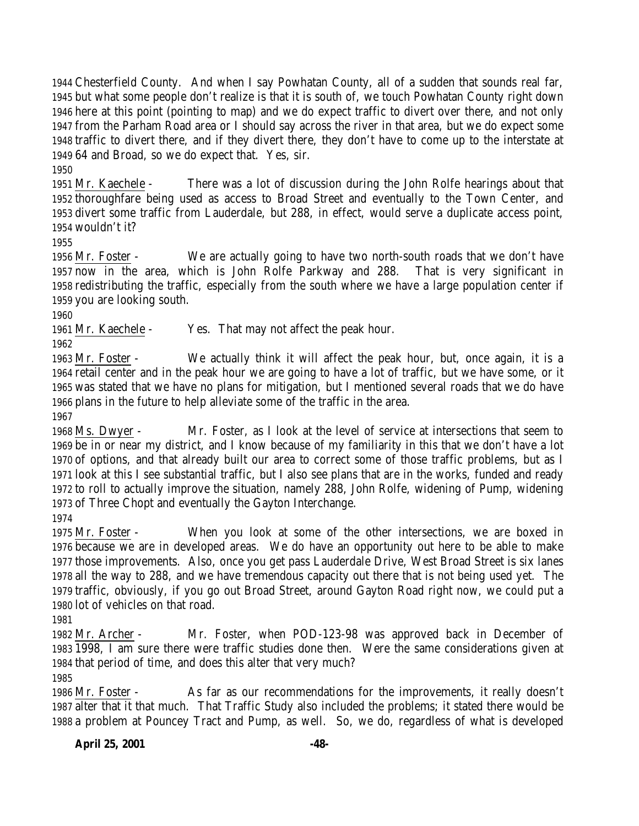Chesterfield County. And when I say Powhatan County, all of a sudden that sounds real far, but what some people don't realize is that it is south of, we touch Powhatan County right down here at this point (pointing to map) and we do expect traffic to divert over there, and not only from the Parham Road area or I should say across the river in that area, but we do expect some traffic to divert there, and if they divert there, they don't have to come up to the interstate at 64 and Broad, so we do expect that. Yes, sir.

 Mr. Kaechele - There was a lot of discussion during the John Rolfe hearings about that thoroughfare being used as access to Broad Street and eventually to the Town Center, and divert some traffic from Lauderdale, but 288, in effect, would serve a duplicate access point, wouldn't it?

 Mr. Foster - We are actually going to have two north-south roads that we don't have now in the area, which is John Rolfe Parkway and 288. That is very significant in redistributing the traffic, especially from the south where we have a large population center if you are looking south.

Mr. Kaechele - Yes. That may not affect the peak hour.

 Mr. Foster - We actually think it will affect the peak hour, but, once again, it is a retail center and in the peak hour we are going to have a lot of traffic, but we have some, or it was stated that we have no plans for mitigation, but I mentioned several roads that we do have plans in the future to help alleviate some of the traffic in the area.

 Ms. Dwyer - Mr. Foster, as I look at the level of service at intersections that seem to be in or near my district, and I know because of my familiarity in this that we don't have a lot of options, and that already built our area to correct some of those traffic problems, but as I look at this I see substantial traffic, but I also see plans that are in the works, funded and ready to roll to actually improve the situation, namely 288, John Rolfe, widening of Pump, widening of Three Chopt and eventually the Gayton Interchange.

 Mr. Foster - When you look at some of the other intersections, we are boxed in because we are in developed areas. We do have an opportunity out here to be able to make those improvements. Also, once you get pass Lauderdale Drive, West Broad Street is six lanes all the way to 288, and we have tremendous capacity out there that is not being used yet. The traffic, obviously, if you go out Broad Street, around Gayton Road right now, we could put a lot of vehicles on that road.

 Mr. Archer - Mr. Foster, when POD-123-98 was approved back in December of 1998, I am sure there were traffic studies done then. Were the same considerations given at that period of time, and does this alter that very much? 

 Mr. Foster - As far as our recommendations for the improvements, it really doesn't alter that it that much. That Traffic Study also included the problems; it stated there would be a problem at Pouncey Tract and Pump, as well. So, we do, regardless of what is developed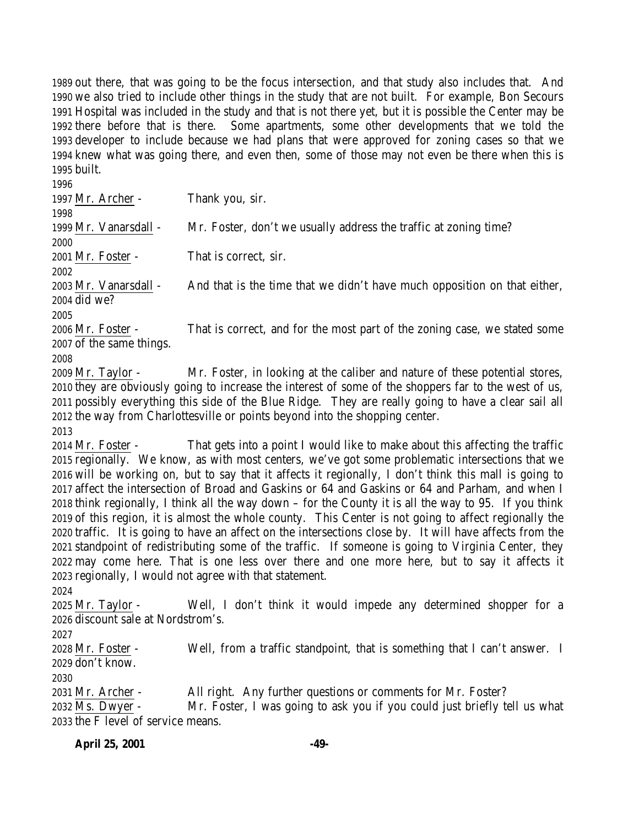out there, that was going to be the focus intersection, and that study also includes that. And we also tried to include other things in the study that are not built. For example, Bon Secours Hospital was included in the study and that is not there yet, but it is possible the Center may be there before that is there. Some apartments, some other developments that we told the developer to include because we had plans that were approved for zoning cases so that we knew what was going there, and even then, some of those may not even be there when this is built.

 Mr. Archer - Thank you, sir. Mr. Vanarsdall - Mr. Foster, don't we usually address the traffic at zoning time? Mr. Foster - That is correct, sir. Mr. Vanarsdall - And that is the time that we didn't have much opposition on that either, did we? Mr. Foster - That is correct, and for the most part of the zoning case, we stated some of the same things. Mr. Taylor - Mr. Foster, in looking at the caliber and nature of these potential stores, they are obviously going to increase the interest of some of the shoppers far to the west of us, possibly everything this side of the Blue Ridge. They are really going to have a clear sail all the way from Charlottesville or points beyond into the shopping center. Mr. Foster - That gets into a point I would like to make about this affecting the traffic regionally. We know, as with most centers, we've got some problematic intersections that we will be working on, but to say that it affects it regionally, I don't think this mall is going to affect the intersection of Broad and Gaskins or 64 and Gaskins or 64 and Parham, and when I think regionally, I think all the way down – for the County it is all the way to 95. If you think of this region, it is almost the whole county. This Center is not going to affect regionally the traffic. It is going to have an affect on the intersections close by. It will have affects from the standpoint of redistributing some of the traffic. If someone is going to Virginia Center, they may come here. That is one less over there and one more here, but to say it affects it regionally, I would not agree with that statement. Mr. Taylor - Well, I don't think it would impede any determined shopper for a discount sale at Nordstrom's. Mr. Foster - Well, from a traffic standpoint, that is something that I can't answer. I don't know. Mr. Archer - All right. Any further questions or comments for Mr. Foster? Ms. Dwyer - Mr. Foster, I was going to ask you if you could just briefly tell us what the F level of service means.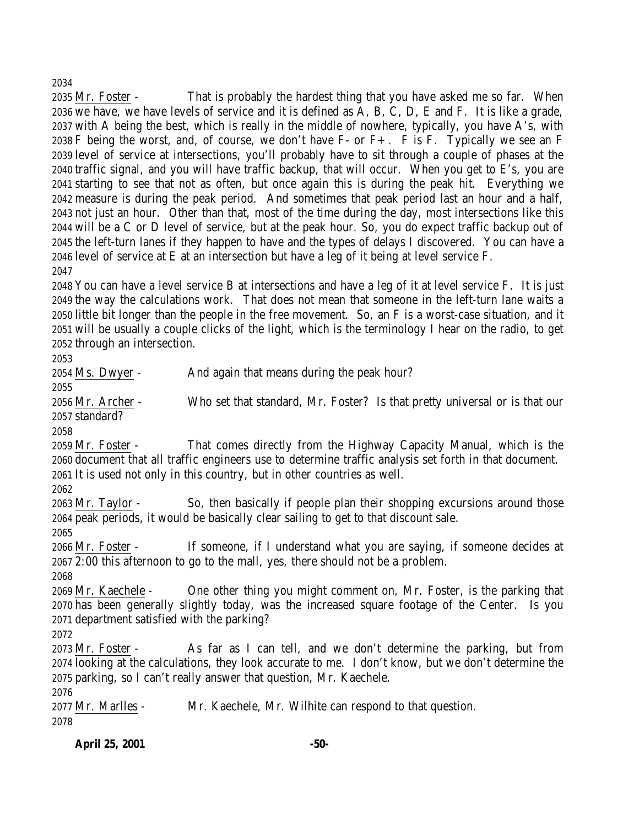#### 

 Mr. Foster - That is probably the hardest thing that you have asked me so far. When we have, we have levels of service and it is defined as A, B, C, D, E and F. It is like a grade, with A being the best, which is really in the middle of nowhere, typically, you have A's, with 2038 F being the worst, and, of course, we don't have  $F-$  or  $F+$ . F is F. Typically we see an F level of service at intersections, you'll probably have to sit through a couple of phases at the traffic signal, and you will have traffic backup, that will occur. When you get to E's, you are starting to see that not as often, but once again this is during the peak hit. Everything we measure is during the peak period. And sometimes that peak period last an hour and a half, not just an hour. Other than that, most of the time during the day, most intersections like this will be a C or D level of service, but at the peak hour. So, you do expect traffic backup out of the left-turn lanes if they happen to have and the types of delays I discovered. You can have a level of service at E at an intersection but have a leg of it being at level service F. 

 You can have a level service B at intersections and have a leg of it at level service F. It is just the way the calculations work. That does not mean that someone in the left-turn lane waits a little bit longer than the people in the free movement. So, an F is a worst-case situation, and it will be usually a couple clicks of the light, which is the terminology I hear on the radio, to get through an intersection.

 Ms. Dwyer - And again that means during the peak hour? Mr. Archer - Who set that standard, Mr. Foster? Is that pretty universal or is that our standard? Mr. Foster - That comes directly from the Highway Capacity Manual, which is the document that all traffic engineers use to determine traffic analysis set forth in that document. It is used not only in this country, but in other countries as well. Mr. Taylor - So, then basically if people plan their shopping excursions around those peak periods, it would be basically clear sailing to get to that discount sale. Mr. Foster - If someone, if I understand what you are saying, if someone decides at 2:00 this afternoon to go to the mall, yes, there should not be a problem. Mr. Kaechele - One other thing you might comment on, Mr. Foster, is the parking that has been generally slightly today, was the increased square footage of the Center. Is you department satisfied with the parking? Mr. Foster - As far as I can tell, and we don't determine the parking, but from looking at the calculations, they look accurate to me. I don't know, but we don't determine the parking, so I can't really answer that question, Mr. Kaechele. Mr. Marlles - Mr. Kaechele, Mr. Wilhite can respond to that question. 

**April 25, 2001 -50-**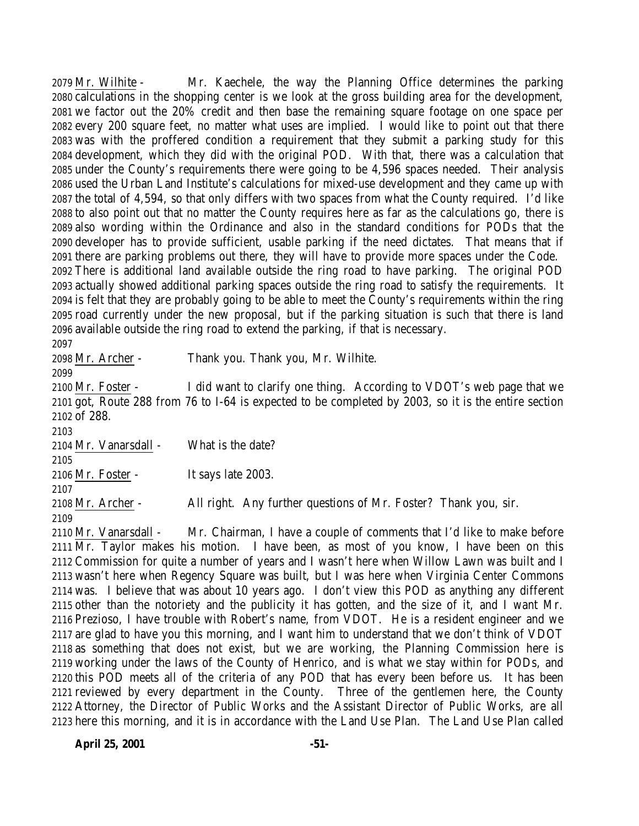Mr. Wilhite - Mr. Kaechele, the way the Planning Office determines the parking calculations in the shopping center is we look at the gross building area for the development, we factor out the 20% credit and then base the remaining square footage on one space per every 200 square feet, no matter what uses are implied. I would like to point out that there was with the proffered condition a requirement that they submit a parking study for this development, which they did with the original POD. With that, there was a calculation that under the County's requirements there were going to be 4,596 spaces needed. Their analysis used the Urban Land Institute's calculations for mixed-use development and they came up with the total of 4,594, so that only differs with two spaces from what the County required. I'd like to also point out that no matter the County requires here as far as the calculations go, there is also wording within the Ordinance and also in the standard conditions for PODs that the developer has to provide sufficient, usable parking if the need dictates. That means that if there are parking problems out there, they will have to provide more spaces under the Code. There is additional land available outside the ring road to have parking. The original POD actually showed additional parking spaces outside the ring road to satisfy the requirements. It is felt that they are probably going to be able to meet the County's requirements within the ring road currently under the new proposal, but if the parking situation is such that there is land available outside the ring road to extend the parking, if that is necessary.

Mr. Archer - Thank you. Thank you, Mr. Wilhite.

 Mr. Foster - I did want to clarify one thing. According to VDOT's web page that we got, Route 288 from 76 to I-64 is expected to be completed by 2003, so it is the entire section of 288.

 Mr. Vanarsdall - What is the date? Mr. Foster - It says late 2003. Mr. Archer - All right. Any further questions of Mr. Foster? Thank you, sir. 

 Mr. Vanarsdall - Mr. Chairman, I have a couple of comments that I'd like to make before Mr. Taylor makes his motion. I have been, as most of you know, I have been on this Commission for quite a number of years and I wasn't here when Willow Lawn was built and I wasn't here when Regency Square was built, but I was here when Virginia Center Commons was. I believe that was about 10 years ago. I don't view this POD as anything any different other than the notoriety and the publicity it has gotten, and the size of it, and I want Mr. Prezioso, I have trouble with Robert's name, from VDOT. He is a resident engineer and we are glad to have you this morning, and I want him to understand that we don't think of VDOT as something that does not exist, but we are working, the Planning Commission here is working under the laws of the County of Henrico, and is what we stay within for PODs, and this POD meets all of the criteria of any POD that has every been before us. It has been reviewed by every department in the County. Three of the gentlemen here, the County Attorney, the Director of Public Works and the Assistant Director of Public Works, are all here this morning, and it is in accordance with the Land Use Plan. The Land Use Plan called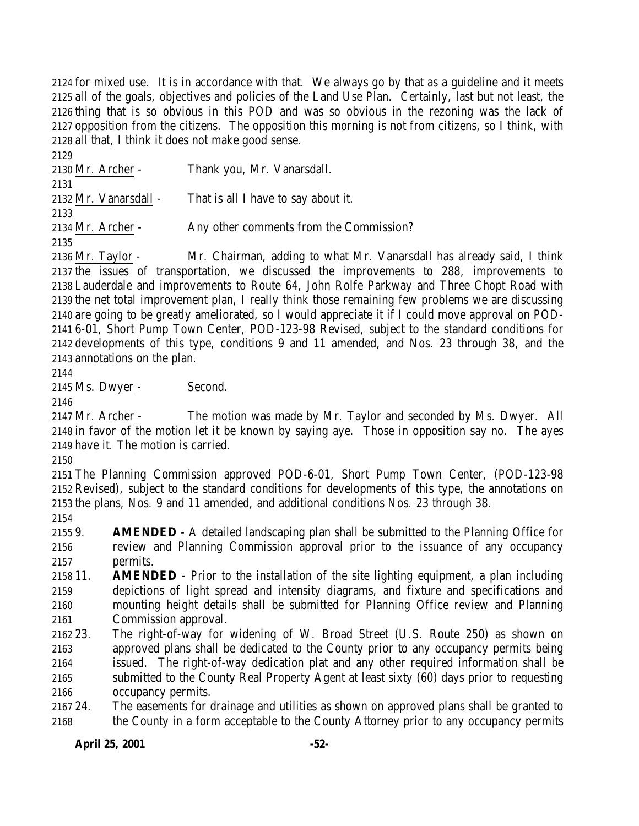for mixed use. It is in accordance with that. We always go by that as a guideline and it meets all of the goals, objectives and policies of the Land Use Plan. Certainly, last but not least, the thing that is so obvious in this POD and was so obvious in the rezoning was the lack of opposition from the citizens. The opposition this morning is not from citizens, so I think, with all that, I think it does not make good sense.

 Mr. Archer - Thank you, Mr. Vanarsdall. Mr. Vanarsdall - That is all I have to say about it. Mr. Archer - Any other comments from the Commission? 

 Mr. Taylor - Mr. Chairman, adding to what Mr. Vanarsdall has already said, I think the issues of transportation, we discussed the improvements to 288, improvements to Lauderdale and improvements to Route 64, John Rolfe Parkway and Three Chopt Road with the net total improvement plan, I really think those remaining few problems we are discussing are going to be greatly ameliorated, so I would appreciate it if I could move approval on POD- 6-01, Short Pump Town Center, POD-123-98 Revised, subject to the standard conditions for developments of this type, conditions 9 and 11 amended, and Nos. 23 through 38, and the annotations on the plan.

Ms. Dwyer - Second.

 Mr. Archer - The motion was made by Mr. Taylor and seconded by Ms. Dwyer. All in favor of the motion let it be known by saying aye. Those in opposition say no. The ayes have it. The motion is carried.

 The Planning Commission approved POD-6-01, Short Pump Town Center, (POD-123-98 Revised), subject to the standard conditions for developments of this type, the annotations on the plans, Nos. 9 and 11 amended, and additional conditions Nos. 23 through 38.

 9. **AMENDED** - A detailed landscaping plan shall be submitted to the Planning Office for review and Planning Commission approval prior to the issuance of any occupancy permits.

- 11. **AMENDED** Prior to the installation of the site lighting equipment, a plan including depictions of light spread and intensity diagrams, and fixture and specifications and mounting height details shall be submitted for Planning Office review and Planning Commission approval.
- 23. The right-of-way for widening of W. Broad Street (U.S. Route 250) as shown on approved plans shall be dedicated to the County prior to any occupancy permits being issued. The right-of-way dedication plat and any other required information shall be submitted to the County Real Property Agent at least sixty (60) days prior to requesting occupancy permits.

 24. The easements for drainage and utilities as shown on approved plans shall be granted to the County in a form acceptable to the County Attorney prior to any occupancy permits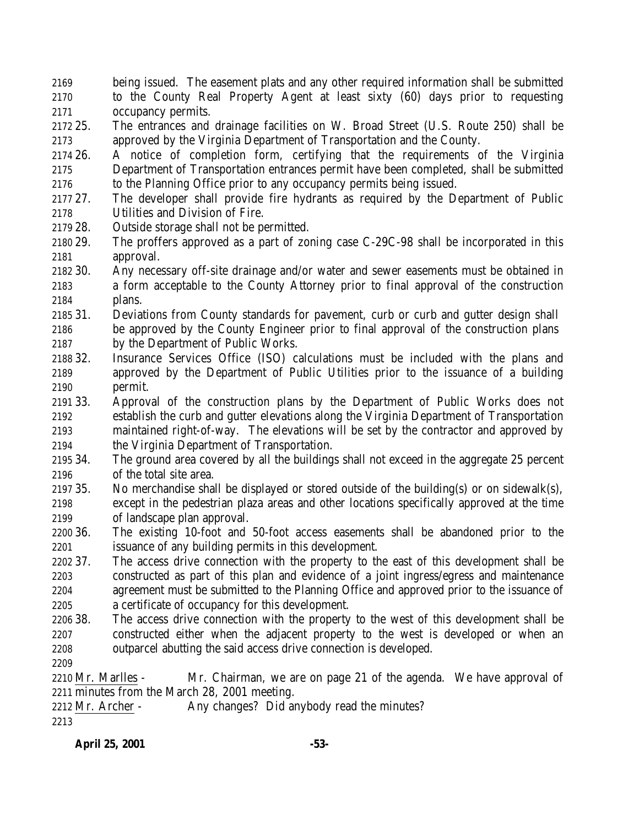- being issued. The easement plats and any other required information shall be submitted to the County Real Property Agent at least sixty (60) days prior to requesting occupancy permits.
- 25. The entrances and drainage facilities on W. Broad Street (U.S. Route 250) shall be approved by the Virginia Department of Transportation and the County.
- 26. A notice of completion form, certifying that the requirements of the Virginia Department of Transportation entrances permit have been completed, shall be submitted to the Planning Office prior to any occupancy permits being issued.
- 27. The developer shall provide fire hydrants as required by the Department of Public Utilities and Division of Fire.
- 28. Outside storage shall not be permitted.
- 29. The proffers approved as a part of zoning case C-29C-98 shall be incorporated in this approval.
- 30. Any necessary off-site drainage and/or water and sewer easements must be obtained in a form acceptable to the County Attorney prior to final approval of the construction plans.
- 31. Deviations from County standards for pavement, curb or curb and gutter design shall be approved by the County Engineer prior to final approval of the construction plans by the Department of Public Works.
- 32. Insurance Services Office (ISO) calculations must be included with the plans and approved by the Department of Public Utilities prior to the issuance of a building permit.
- 33. Approval of the construction plans by the Department of Public Works does not establish the curb and gutter elevations along the Virginia Department of Transportation maintained right-of-way. The elevations will be set by the contractor and approved by the Virginia Department of Transportation.
- 34. The ground area covered by all the buildings shall not exceed in the aggregate 25 percent of the total site area.
- 35. No merchandise shall be displayed or stored outside of the building(s) or on sidewalk(s), except in the pedestrian plaza areas and other locations specifically approved at the time of landscape plan approval.
- 36. The existing 10-foot and 50-foot access easements shall be abandoned prior to the issuance of any building permits in this development.
- 37. The access drive connection with the property to the east of this development shall be constructed as part of this plan and evidence of a joint ingress/egress and maintenance agreement must be submitted to the Planning Office and approved prior to the issuance of a certificate of occupancy for this development.
- 38. The access drive connection with the property to the west of this development shall be constructed either when the adjacent property to the west is developed or when an outparcel abutting the said access drive connection is developed.
- 

 Mr. Marlles - Mr. Chairman, we are on page 21 of the agenda. We have approval of minutes from the March 28, 2001 meeting.

2212 Mr. Archer - Any changes? Did anybody read the minutes?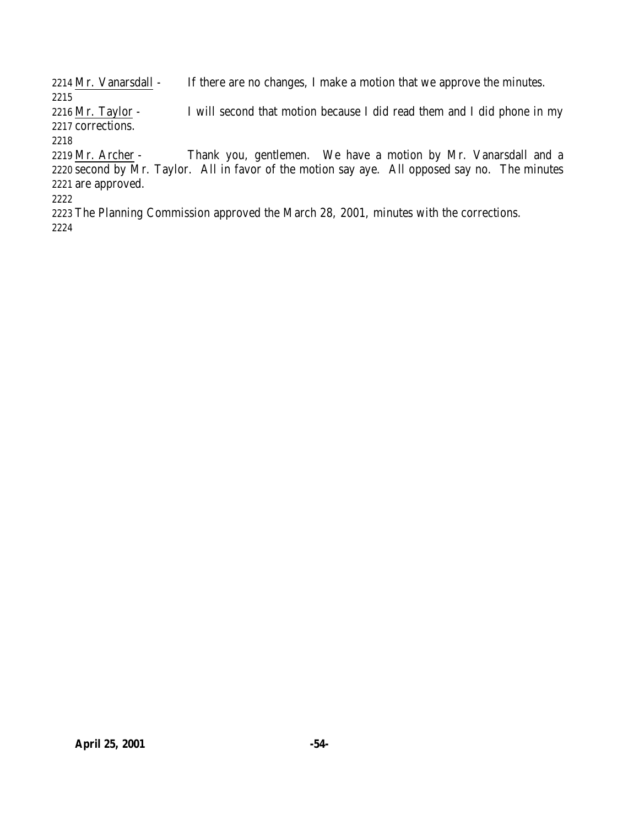2214 Mr. Vanarsdall - If there are no changes, I make a motion that we approve the minutes.

 Mr. Taylor - I will second that motion because I did read them and I did phone in my corrections.

2219 Mr. Archer - Thank you, gentlemen. We have a motion by Mr. Vanarsdall and a 2220 second by Mr. Taylor. All in favor of the motion say aye. All opposed say no. The minutes are approved.

 The Planning Commission approved the March 28, 2001, minutes with the corrections.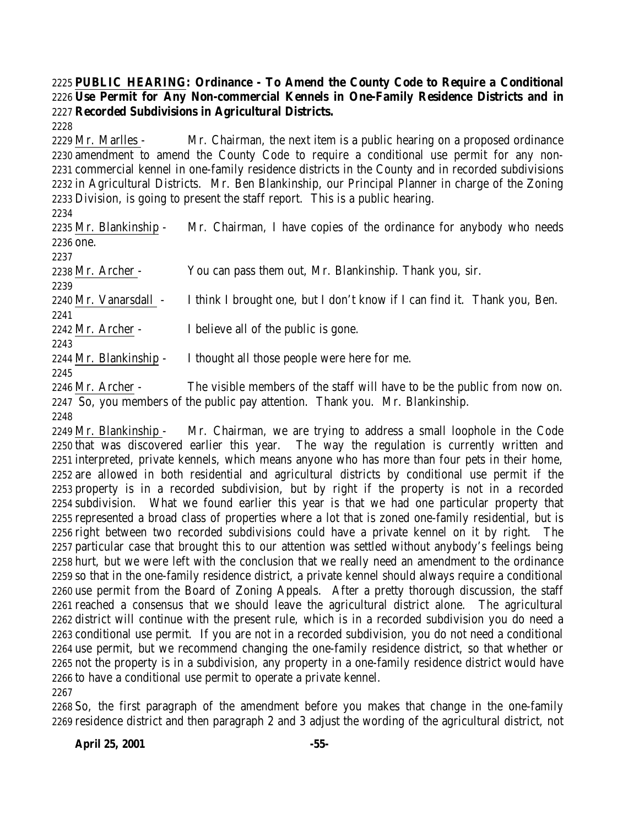### **PUBLIC HEARING: Ordinance - To Amend the County Code to Require a Conditional Use Permit for Any Non-commercial Kennels in One-Family Residence Districts and in Recorded Subdivisions in Agricultural Districts.**

 Mr. Marlles - Mr. Chairman, the next item is a public hearing on a proposed ordinance amendment to amend the County Code to require a conditional use permit for any non- commercial kennel in one-family residence districts in the County and in recorded subdivisions in Agricultural Districts. Mr. Ben Blankinship, our Principal Planner in charge of the Zoning Division, is going to present the staff report. This is a public hearing.

 Mr. Blankinship - Mr. Chairman, I have copies of the ordinance for anybody who needs one. 

Mr. Archer - You can pass them out, Mr. Blankinship. Thank you, sir.

Mr. Vanarsdall - I think I brought one, but I don't know if I can find it. Thank you, Ben.

 Mr. Archer - I believe all of the public is gone.

 

Mr. Blankinship - I thought all those people were here for me.

 Mr. Archer - The visible members of the staff will have to be the public from now on. So, you members of the public pay attention. Thank you. Mr. Blankinship.

 Mr. Blankinship - Mr. Chairman, we are trying to address a small loophole in the Code that was discovered earlier this year. The way the regulation is currently written and interpreted, private kennels, which means anyone who has more than four pets in their home, are allowed in both residential and agricultural districts by conditional use permit if the property is in a recorded subdivision, but by right if the property is not in a recorded subdivision. What we found earlier this year is that we had one particular property that represented a broad class of properties where a lot that is zoned one-family residential, but is right between two recorded subdivisions could have a private kennel on it by right. The particular case that brought this to our attention was settled without anybody's feelings being hurt, but we were left with the conclusion that we really need an amendment to the ordinance so that in the one-family residence district, a private kennel should always require a conditional use permit from the Board of Zoning Appeals. After a pretty thorough discussion, the staff reached a consensus that we should leave the agricultural district alone. The agricultural district will continue with the present rule, which is in a recorded subdivision you do need a conditional use permit. If you are not in a recorded subdivision, you do not need a conditional use permit, but we recommend changing the one-family residence district, so that whether or not the property is in a subdivision, any property in a one-family residence district would have to have a conditional use permit to operate a private kennel. 

 So, the first paragraph of the amendment before you makes that change in the one-family residence district and then paragraph 2 and 3 adjust the wording of the agricultural district, not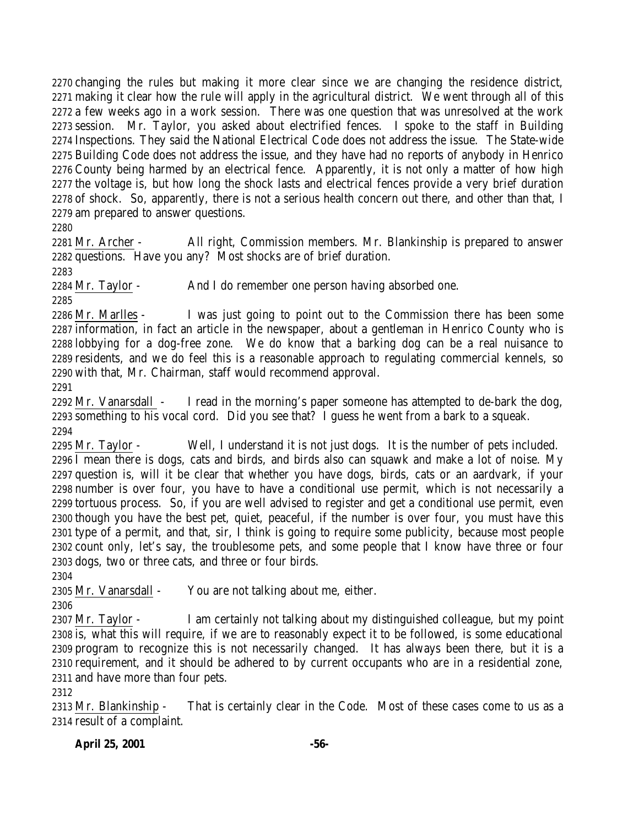changing the rules but making it more clear since we are changing the residence district, making it clear how the rule will apply in the agricultural district. We went through all of this a few weeks ago in a work session. There was one question that was unresolved at the work session. Mr. Taylor, you asked about electrified fences. I spoke to the staff in Building Inspections. They said the National Electrical Code does not address the issue. The State-wide Building Code does not address the issue, and they have had no reports of anybody in Henrico County being harmed by an electrical fence. Apparently, it is not only a matter of how high the voltage is, but how long the shock lasts and electrical fences provide a very brief duration of shock. So, apparently, there is not a serious health concern out there, and other than that, I am prepared to answer questions.

 Mr. Archer - All right, Commission members. Mr. Blankinship is prepared to answer questions. Have you any? Most shocks are of brief duration.

Mr. Taylor - And I do remember one person having absorbed one.

 Mr. Marlles - I was just going to point out to the Commission there has been some information, in fact an article in the newspaper, about a gentleman in Henrico County who is lobbying for a dog-free zone. We do know that a barking dog can be a real nuisance to residents, and we do feel this is a reasonable approach to regulating commercial kennels, so with that, Mr. Chairman, staff would recommend approval.

 Mr. Vanarsdall - I read in the morning's paper someone has attempted to de-bark the dog, something to his vocal cord. Did you see that? I guess he went from a bark to a squeak. 

 Mr. Taylor - Well, I understand it is not just dogs. It is the number of pets included. I mean there is dogs, cats and birds, and birds also can squawk and make a lot of noise. My question is, will it be clear that whether you have dogs, birds, cats or an aardvark, if your number is over four, you have to have a conditional use permit, which is not necessarily a tortuous process. So, if you are well advised to register and get a conditional use permit, even though you have the best pet, quiet, peaceful, if the number is over four, you must have this type of a permit, and that, sir, I think is going to require some publicity, because most people count only, let's say, the troublesome pets, and some people that I know have three or four dogs, two or three cats, and three or four birds.

Mr. Vanarsdall - You are not talking about me, either.

 Mr. Taylor - I am certainly not talking about my distinguished colleague, but my point is, what this will require, if we are to reasonably expect it to be followed, is some educational program to recognize this is not necessarily changed. It has always been there, but it is a requirement, and it should be adhered to by current occupants who are in a residential zone, and have more than four pets.

 Mr. Blankinship - That is certainly clear in the Code. Most of these cases come to us as a result of a complaint.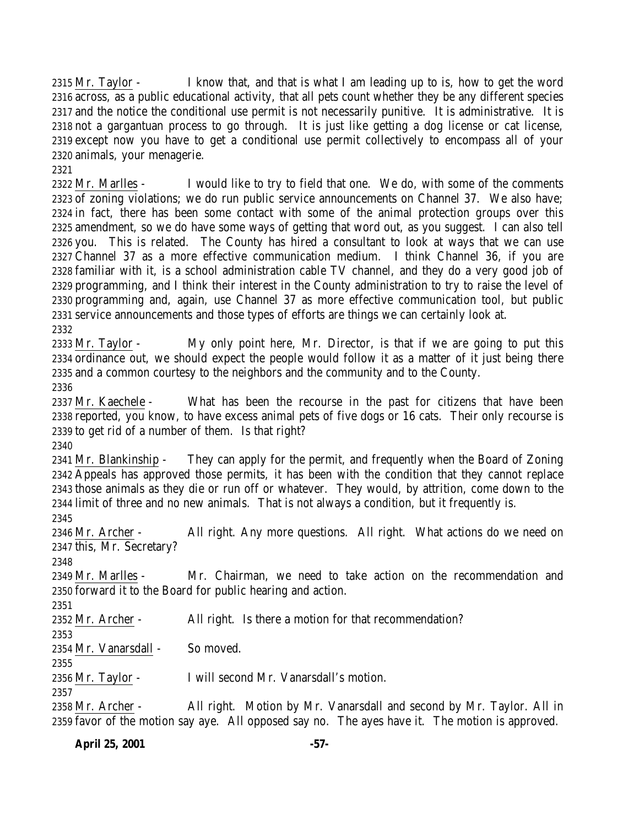Mr. Taylor - I know that, and that is what I am leading up to is, how to get the word across, as a public educational activity, that all pets count whether they be any different species and the notice the conditional use permit is not necessarily punitive. It is administrative. It is not a gargantuan process to go through. It is just like getting a dog license or cat license, except now you have to get a conditional use permit collectively to encompass all of your animals, your menagerie.

 Mr. Marlles - I would like to try to field that one. We do, with some of the comments of zoning violations; we do run public service announcements on Channel 37. We also have; in fact, there has been some contact with some of the animal protection groups over this amendment, so we do have some ways of getting that word out, as you suggest. I can also tell you. This is related. The County has hired a consultant to look at ways that we can use Channel 37 as a more effective communication medium. I think Channel 36, if you are familiar with it, is a school administration cable TV channel, and they do a very good job of programming, and I think their interest in the County administration to try to raise the level of programming and, again, use Channel 37 as more effective communication tool, but public service announcements and those types of efforts are things we can certainly look at. 

 Mr. Taylor - My only point here, Mr. Director, is that if we are going to put this ordinance out, we should expect the people would follow it as a matter of it just being there and a common courtesy to the neighbors and the community and to the County.

 Mr. Kaechele - What has been the recourse in the past for citizens that have been reported, you know, to have excess animal pets of five dogs or 16 cats. Their only recourse is to get rid of a number of them. Is that right?

 Mr. Blankinship - They can apply for the permit, and frequently when the Board of Zoning Appeals has approved those permits, it has been with the condition that they cannot replace those animals as they die or run off or whatever. They would, by attrition, come down to the limit of three and no new animals. That is not always a condition, but it frequently is.

 Mr. Archer - All right. Any more questions. All right. What actions do we need on this, Mr. Secretary?

 Mr. Marlles - Mr. Chairman, we need to take action on the recommendation and forward it to the Board for public hearing and action.

2352 Mr. Archer - All right. Is there a motion for that recommendation?

 Mr. Vanarsdall - So moved.

Mr. Taylor - I will second Mr. Vanarsdall's motion.

 Mr. Archer - All right. Motion by Mr. Vanarsdall and second by Mr. Taylor. All in favor of the motion say aye. All opposed say no. The ayes have it. The motion is approved.

**April 25, 2001 -57-**